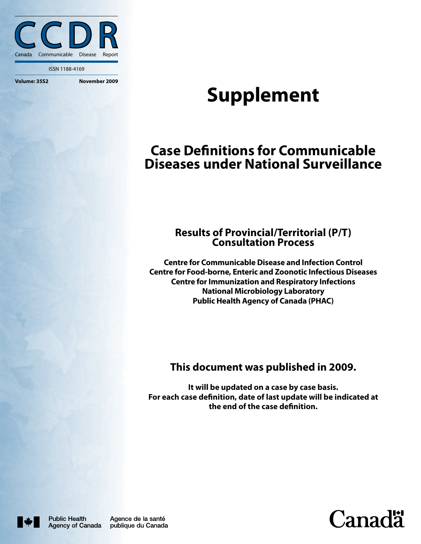

ISSN 1188-4169

# **Supplement**

# **Case Definitions for Communicable Diseases under National Surveillance**

### **Results of Provincial/Territorial (P/T) Consultation Process**

**Centre for Communicable Disease and Infection Control Centre for Food-borne, Enteric and Zoonotic Infectious Diseases Centre for Immunization and Respiratory Infections National Microbiology Laboratory Public Health Agency of Canada (PHAC)**

## **This document was published in 2009.**

**It will be updated on a case by case basis. For each case definition, date of last update will be indicated at the end of the case definition.**



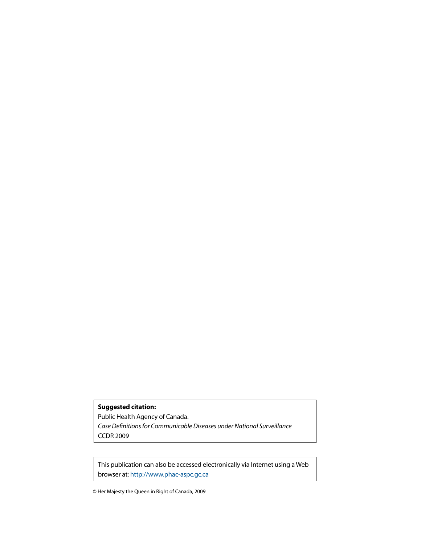**Suggested citation:** Public Health Agency of Canada. *Case Definitions for Communicable Diseases under National Surveillance* CCDR 2009

This publication can also be accessed electronically via Internet using a Web browser at: http://www.phac-aspc.gc.ca

© Her Majesty the Queen in Right of Canada, 2009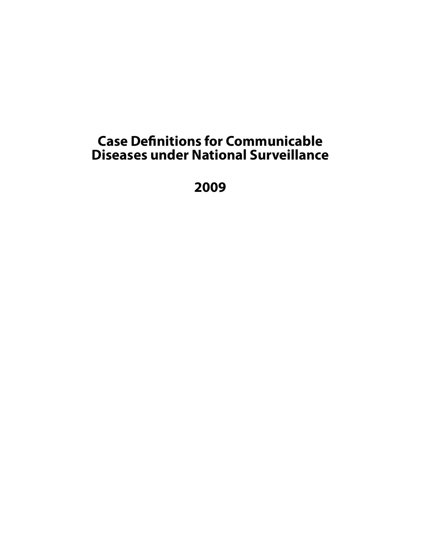# **Case Definitions for Communicable Diseases under National Surveillance**

**2009**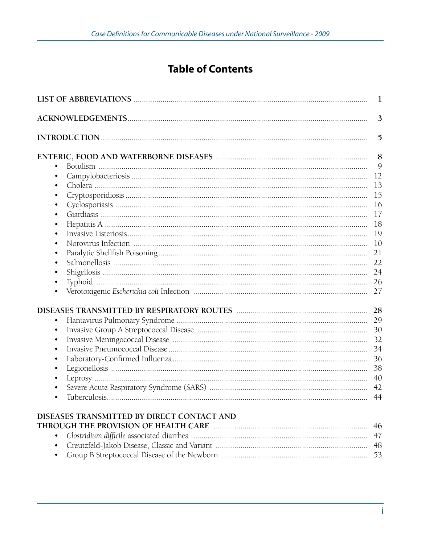# **Table of Contents**

| 1                                          |        |  |
|--------------------------------------------|--------|--|
|                                            | 3      |  |
|                                            | 5      |  |
|                                            | 8<br>9 |  |
|                                            | 12     |  |
|                                            | 13     |  |
| $\bullet$                                  | 15     |  |
| ٠                                          | 16     |  |
| $\bullet$                                  | 17     |  |
| ٠                                          | 18     |  |
| $\bullet$                                  | 19     |  |
| ٠                                          | 10     |  |
| ٠                                          | 21     |  |
| ٠                                          | 22     |  |
| ٠                                          |        |  |
| $\bullet$                                  | 26     |  |
|                                            | 27     |  |
|                                            | 28     |  |
| $\bullet$                                  | 29     |  |
| $\bullet$                                  | 30     |  |
| $\bullet$                                  | 32     |  |
| $\bullet$                                  | 34     |  |
| ٠                                          | 36     |  |
|                                            | 38     |  |
|                                            | 40     |  |
|                                            | 42     |  |
|                                            | 44     |  |
| DISEASES TRANSMITTED BY DIRECT CONTACT AND |        |  |
|                                            | 46     |  |
| $\bullet$                                  | 47     |  |
| ٠                                          | 48     |  |
|                                            | 53     |  |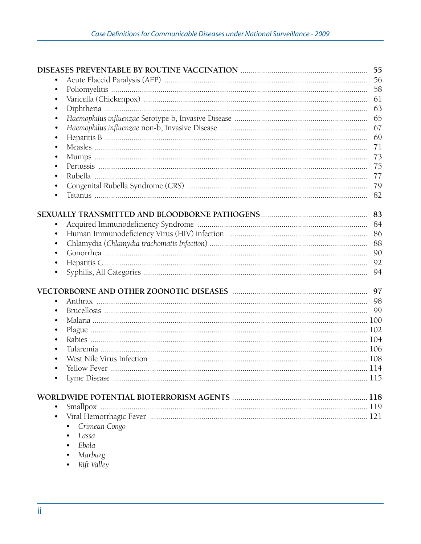|           |               | 55  |
|-----------|---------------|-----|
|           |               | 56  |
| $\bullet$ |               |     |
| $\bullet$ |               | 61  |
| $\bullet$ |               | 63  |
| $\bullet$ |               | 65  |
| $\bullet$ |               | 67  |
| $\bullet$ |               | 69  |
| $\bullet$ |               | 71  |
| $\bullet$ |               | 73  |
|           |               | 75  |
| ٠         |               |     |
|           |               |     |
|           |               | 82  |
|           |               |     |
|           |               |     |
| $\bullet$ |               |     |
| $\bullet$ |               | 86  |
| $\bullet$ |               | 88  |
| $\bullet$ |               | 90  |
| $\bullet$ |               | 92  |
| $\bullet$ |               | 94  |
|           |               |     |
|           |               | 97  |
| $\bullet$ |               |     |
| $\bullet$ |               |     |
| $\bullet$ |               |     |
| ٠         |               |     |
|           |               |     |
|           |               |     |
|           |               |     |
|           |               |     |
|           |               | 115 |
|           |               |     |
|           |               |     |
| $\bullet$ |               | 119 |
| $\bullet$ |               |     |
|           | Crimean Congo |     |
|           | Lassa         |     |
|           | Ebola         |     |
|           |               |     |

- 
- Marburg<br>• Rift Valley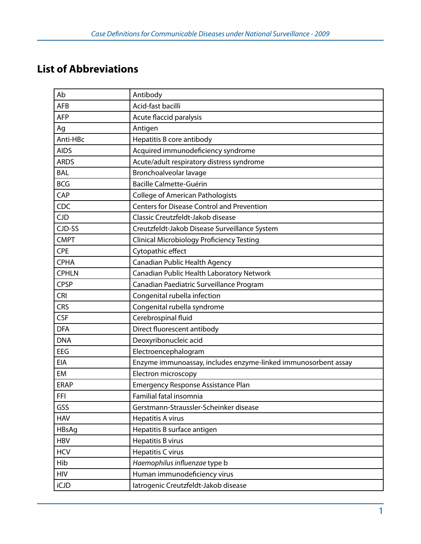# **List of Abbreviations**

| Ab           | Antibody                                                       |
|--------------|----------------------------------------------------------------|
| <b>AFB</b>   | Acid-fast bacilli                                              |
| <b>AFP</b>   | Acute flaccid paralysis                                        |
| Ag           | Antigen                                                        |
| Anti-HBc     | Hepatitis B core antibody                                      |
| <b>AIDS</b>  | Acquired immunodeficiency syndrome                             |
| <b>ARDS</b>  | Acute/adult respiratory distress syndrome                      |
| <b>BAL</b>   | Bronchoalveolar lavage                                         |
| <b>BCG</b>   | <b>Bacille Calmette-Guérin</b>                                 |
| CAP          | <b>College of American Pathologists</b>                        |
| CDC          | <b>Centers for Disease Control and Prevention</b>              |
| <b>CJD</b>   | Classic Creutzfeldt-Jakob disease                              |
| CJD-SS       | Creutzfeldt-Jakob Disease Surveillance System                  |
| <b>CMPT</b>  | Clinical Microbiology Proficiency Testing                      |
| <b>CPE</b>   | Cytopathic effect                                              |
| <b>CPHA</b>  | Canadian Public Health Agency                                  |
| <b>CPHLN</b> | Canadian Public Health Laboratory Network                      |
| <b>CPSP</b>  | Canadian Paediatric Surveillance Program                       |
| <b>CRI</b>   | Congenital rubella infection                                   |
| <b>CRS</b>   | Congenital rubella syndrome                                    |
| <b>CSF</b>   | Cerebrospinal fluid                                            |
| <b>DFA</b>   | Direct fluorescent antibody                                    |
| <b>DNA</b>   | Deoxyribonucleic acid                                          |
| EEG          | Electroencephalogram                                           |
| <b>EIA</b>   | Enzyme immunoassay, includes enzyme-linked immunosorbent assay |
| EM           | Electron microscopy                                            |
| <b>ERAP</b>  | Emergency Response Assistance Plan                             |
| <b>FFI</b>   | Familial fatal insomnia                                        |
| GSS          | Gerstmann-Straussler-Scheinker disease                         |
| <b>HAV</b>   | Hepatitis A virus                                              |
| HBsAg        | Hepatitis B surface antigen                                    |
| <b>HBV</b>   | Hepatitis B virus                                              |
| <b>HCV</b>   | Hepatitis C virus                                              |
| Hib          | Haemophilus influenzae type b                                  |
| <b>HIV</b>   | Human immunodeficiency virus                                   |
| iCJD         | latrogenic Creutzfeldt-Jakob disease                           |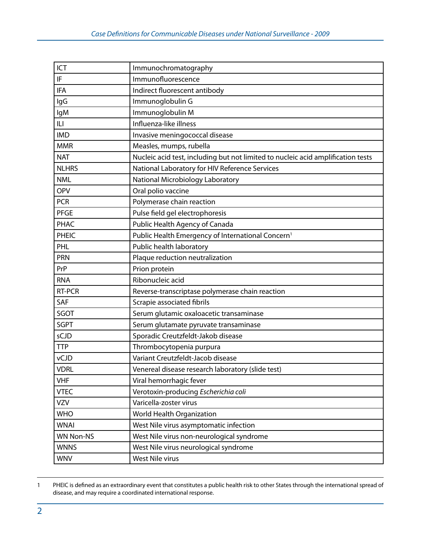| ICT              | Immunochromatography                                                             |
|------------------|----------------------------------------------------------------------------------|
| IF               | Immunofluorescence                                                               |
| <b>IFA</b>       | Indirect fluorescent antibody                                                    |
| lgG              | Immunoglobulin G                                                                 |
| lgM              | Immunoglobulin M                                                                 |
| ILI              | Influenza-like illness                                                           |
| <b>IMD</b>       | Invasive meningococcal disease                                                   |
| <b>MMR</b>       | Measles, mumps, rubella                                                          |
| <b>NAT</b>       | Nucleic acid test, including but not limited to nucleic acid amplification tests |
| <b>NLHRS</b>     | National Laboratory for HIV Reference Services                                   |
| <b>NML</b>       | National Microbiology Laboratory                                                 |
| <b>OPV</b>       | Oral polio vaccine                                                               |
| <b>PCR</b>       | Polymerase chain reaction                                                        |
| <b>PFGE</b>      | Pulse field gel electrophoresis                                                  |
| <b>PHAC</b>      | Public Health Agency of Canada                                                   |
| <b>PHEIC</b>     | Public Health Emergency of International Concern <sup>1</sup>                    |
| PHL              | Public health laboratory                                                         |
| <b>PRN</b>       | Plaque reduction neutralization                                                  |
| PrP              | Prion protein                                                                    |
| <b>RNA</b>       | Ribonucleic acid                                                                 |
| RT-PCR           | Reverse-transcriptase polymerase chain reaction                                  |
| SAF              | Scrapie associated fibrils                                                       |
| SGOT             | Serum glutamic oxaloacetic transaminase                                          |
| <b>SGPT</b>      | Serum glutamate pyruvate transaminase                                            |
| sCJD             | Sporadic Creutzfeldt-Jakob disease                                               |
| <b>TTP</b>       | Thrombocytopenia purpura                                                         |
| vCJD             | Variant Creutzfeldt-Jacob disease                                                |
| <b>VDRL</b>      | Venereal disease research laboratory (slide test)                                |
| <b>VHF</b>       | Viral hemorrhagic fever                                                          |
| <b>VTEC</b>      | Verotoxin-producing Escherichia coli                                             |
| <b>VZV</b>       | Varicella-zoster virus                                                           |
| <b>WHO</b>       | <b>World Health Organization</b>                                                 |
| <b>WNAI</b>      | West Nile virus asymptomatic infection                                           |
| <b>WN Non-NS</b> | West Nile virus non-neurological syndrome                                        |
| <b>WNNS</b>      | West Nile virus neurological syndrome                                            |
| <b>WNV</b>       | West Nile virus                                                                  |

<sup>1</sup> PHEIC is defined as an extraordinary event that constitutes a public health risk to other States through the international spread of disease, and may require a coordinated international response.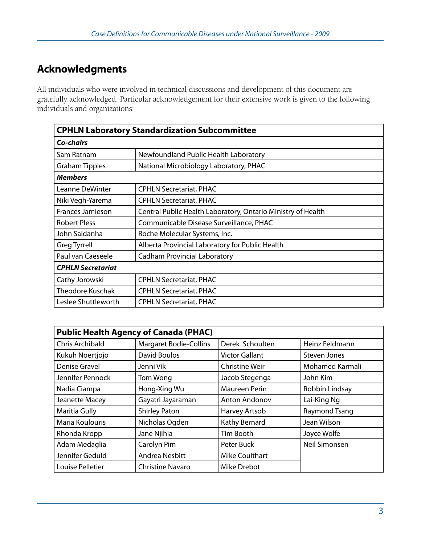# **Acknowledgments**

All individuals who were involved in technical discussions and development of this document are gratefully acknowledged. Particular acknowledgement for their extensive work is given to the following individuals and organizations:

| <b>CPHLN Laboratory Standardization Subcommittee</b> |                                                              |  |
|------------------------------------------------------|--------------------------------------------------------------|--|
| Co-chairs                                            |                                                              |  |
| Sam Ratnam                                           | Newfoundland Public Health Laboratory                        |  |
| <b>Graham Tipples</b>                                | National Microbiology Laboratory, PHAC                       |  |
| <b>Members</b>                                       |                                                              |  |
| Leanne DeWinter                                      | <b>CPHLN Secretariat, PHAC</b>                               |  |
| Niki Vegh-Yarema                                     | <b>CPHLN Secretariat, PHAC</b>                               |  |
| <b>Frances Jamieson</b>                              | Central Public Health Laboratory, Ontario Ministry of Health |  |
| <b>Robert Pless</b>                                  | Communicable Disease Surveillance, PHAC                      |  |
| John Saldanha                                        | Roche Molecular Systems, Inc.                                |  |
| <b>Greg Tyrrell</b>                                  | Alberta Provincial Laboratory for Public Health              |  |
| Paul van Caeseele                                    | <b>Cadham Provincial Laboratory</b>                          |  |
| <b>CPHLN Secretariat</b>                             |                                                              |  |
| Cathy Jorowski                                       | <b>CPHLN Secretariat, PHAC</b>                               |  |
| <b>Theodore Kuschak</b>                              | <b>CPHLN Secretariat, PHAC</b>                               |  |
| Leslee Shuttleworth                                  | <b>CPHLN Secretariat, PHAC</b>                               |  |

| <b>Public Health Agency of Canada (PHAC)</b> |                               |                       |                 |
|----------------------------------------------|-------------------------------|-----------------------|-----------------|
| <b>Chris Archibald</b>                       | <b>Margaret Bodie-Collins</b> | Derek Schoulten       | Heinz Feldmann  |
| Kukuh Noertjojo                              | David Boulos                  | <b>Victor Gallant</b> | Steven Jones    |
| Denise Gravel                                | Jenni Vik                     | <b>Christine Weir</b> | Mohamed Karmali |
| Jennifer Pennock                             | Tom Wong                      | Jacob Stegenga        | John Kim        |
| Nadia Ciampa                                 | Hong-Xing Wu                  | <b>Maureen Perin</b>  | Robbin Lindsay  |
| Jeanette Macey                               | Gayatri Jayaraman             | <b>Anton Andonov</b>  | Lai-King Ng     |
| Maritia Gully                                | <b>Shirley Paton</b>          | Harvey Artsob         | Raymond Tsang   |
| Maria Koulouris                              | Nicholas Ogden                | Kathy Bernard         | Jean Wilson     |
| Rhonda Kropp                                 | Jane Njihia                   | Tim Booth             | Joyce Wolfe     |
| Adam Medaglia                                | Carolyn Pim                   | Peter Buck            | Neil Simonsen   |
| Jennifer Geduld                              | Andrea Nesbitt                | <b>Mike Coulthart</b> |                 |
| Louise Pelletier                             | <b>Christine Navaro</b>       | Mike Drebot           |                 |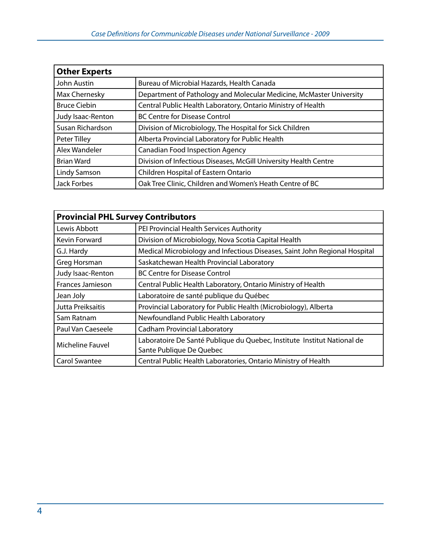| <b>Other Experts</b> |                                                                     |  |
|----------------------|---------------------------------------------------------------------|--|
| John Austin          | Bureau of Microbial Hazards, Health Canada                          |  |
| Max Chernesky        | Department of Pathology and Molecular Medicine, McMaster University |  |
| <b>Bruce Ciebin</b>  | Central Public Health Laboratory, Ontario Ministry of Health        |  |
| Judy Isaac-Renton    | <b>BC Centre for Disease Control</b>                                |  |
| Susan Richardson     | Division of Microbiology, The Hospital for Sick Children            |  |
| Peter Tilley         | Alberta Provincial Laboratory for Public Health                     |  |
| Alex Wandeler        | <b>Canadian Food Inspection Agency</b>                              |  |
| <b>Brian Ward</b>    | Division of Infectious Diseases, McGill University Health Centre    |  |
| Lindy Samson         | Children Hospital of Eastern Ontario                                |  |
| Jack Forbes          | Oak Tree Clinic, Children and Women's Heath Centre of BC            |  |

| <b>Provincial PHL Survey Contributors</b> |                                                                            |  |
|-------------------------------------------|----------------------------------------------------------------------------|--|
| Lewis Abbott                              | PEI Provincial Health Services Authority                                   |  |
| Kevin Forward                             | Division of Microbiology, Nova Scotia Capital Health                       |  |
| G.J. Hardy                                | Medical Microbiology and Infectious Diseases, Saint John Regional Hospital |  |
| Greg Horsman                              | Saskatchewan Health Provincial Laboratory                                  |  |
| Judy Isaac-Renton                         | <b>BC Centre for Disease Control</b>                                       |  |
| <b>Frances Jamieson</b>                   | Central Public Health Laboratory, Ontario Ministry of Health               |  |
| Jean Joly                                 | Laboratoire de santé publique du Québec                                    |  |
| Jutta Preiksaitis                         | Provincial Laboratory for Public Health (Microbiology), Alberta            |  |
| Sam Ratnam                                | Newfoundland Public Health Laboratory                                      |  |
| Paul Van Caeseele                         | <b>Cadham Provincial Laboratory</b>                                        |  |
| <b>Micheline Fauvel</b>                   | Laboratoire De Santé Publique du Quebec, Institute Institut National de    |  |
|                                           | Sante Publique De Quebec                                                   |  |
| <b>Carol Swantee</b>                      | Central Public Health Laboratories, Ontario Ministry of Health             |  |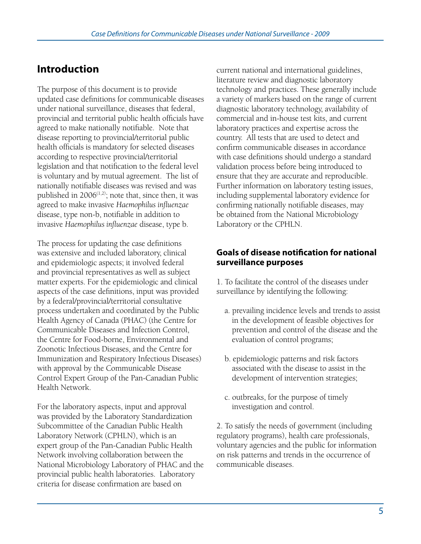# **Introduction**

The purpose of this document is to provide updated case definitions for communicable diseases under national surveillance, diseases that federal, provincial and territorial public health officials have agreed to make nationally notifiable. Note that disease reporting to provincial/territorial public health officials is mandatory for selected diseases according to respective provincial/territorial legislation and that notification to the federal level is voluntary and by mutual agreement. The list of nationally notifiable diseases was revised and was published in  $2006^{(1,2)}$ ; note that, since then, it was agreed to make invasive *Haemophilus influenzae* disease, type non-b, notifiable in addition to invasive *Haemophilus influenzae* disease, type b.

The process for updating the case definitions was extensive and included laboratory, clinical and epidemiologic aspects; it involved federal and provincial representatives as well as subject matter experts. For the epidemiologic and clinical aspects of the case definitions, input was provided by a federal/provincial/territorial consultative process undertaken and coordinated by the Public Health Agency of Canada (PHAC) (the Centre for Communicable Diseases and Infection Control, the Centre for Food-borne, Environmental and Zoonotic Infectious Diseases, and the Centre for Immunization and Respiratory Infectious Diseases) with approval by the Communicable Disease Control Expert Group of the Pan-Canadian Public Health Network.

For the laboratory aspects, input and approval was provided by the Laboratory Standardization Subcommittee of the Canadian Public Health Laboratory Network (CPHLN), which is an expert group of the Pan-Canadian Public Health Network involving collaboration between the National Microbiology Laboratory of PHAC and the provincial public health laboratories. Laboratory criteria for disease confirmation are based on

current national and international guidelines, literature review and diagnostic laboratory technology and practices. These generally include a variety of markers based on the range of current diagnostic laboratory technology, availability of commercial and in-house test kits, and current laboratory practices and expertise across the country. All tests that are used to detect and confirm communicable diseases in accordance with case definitions should undergo a standard validation process before being introduced to ensure that they are accurate and reproducible. Further information on laboratory testing issues, including supplemental laboratory evidence for confirming nationally notifiable diseases, may be obtained from the National Microbiology Laboratory or the CPHLN.

### **Goals of disease notification for national surveillance purposes**

1. To facilitate the control of the diseases under surveillance by identifying the following:

- a. prevailing incidence levels and trends to assist in the development of feasible objectives for prevention and control of the disease and the evaluation of control programs;
- b. epidemiologic patterns and risk factors associated with the disease to assist in the development of intervention strategies;
- c. outbreaks, for the purpose of timely investigation and control.

2. To satisfy the needs of government (including regulatory programs), health care professionals, voluntary agencies and the public for information on risk patterns and trends in the occurrence of communicable diseases.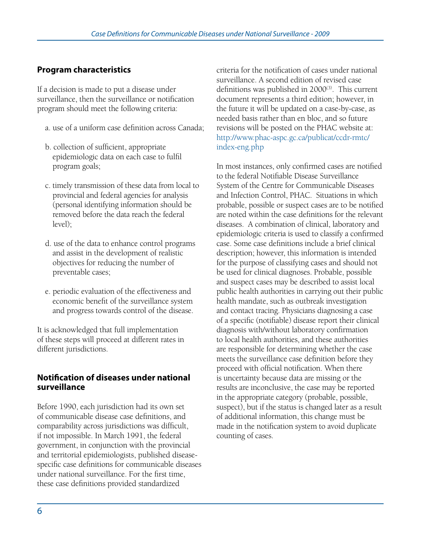## **Program characteristics**

If a decision is made to put a disease under surveillance, then the surveillance or notification program should meet the following criteria:

- a. use of a uniform case definition across Canada;
- b. collection of sufficient, appropriate epidemiologic data on each case to fulfil program goals;
- c. timely transmission of these data from local to provincial and federal agencies for analysis (personal identifying information should be removed before the data reach the federal level);
- d. use of the data to enhance control programs and assist in the development of realistic objectives for reducing the number of preventable cases;
- e. periodic evaluation of the effectiveness and economic benefit of the surveillance system and progress towards control of the disease.

It is acknowledged that full implementation of these steps will proceed at different rates in different jurisdictions.

### **Notification of diseases under national surveillance**

Before 1990, each jurisdiction had its own set of communicable disease case definitions, and comparability across jurisdictions was difficult, if not impossible. In March 1991, the federal government, in conjunction with the provincial and territorial epidemiologists, published diseasespecific case definitions for communicable diseases under national surveillance. For the first time, these case definitions provided standardized

criteria for the notification of cases under national surveillance. A second edition of revised case definitions was published in  $2000^{(3)}$ . This current document represents a third edition; however, in the future it will be updated on a case-by-case, as needed basis rather than en bloc, and so future revisions will be posted on the PHAC website at: http://www.phac-aspc.gc.ca/publicat/ccdr-rmtc/ index-eng.php

In most instances, only confirmed cases are notified to the federal Notifiable Disease Surveillance System of the Centre for Communicable Diseases and Infection Control, PHAC. Situations in which probable, possible or suspect cases are to be notified are noted within the case definitions for the relevant diseases. A combination of clinical, laboratory and epidemiologic criteria is used to classify a confirmed case. Some case definitions include a brief clinical description; however, this information is intended for the purpose of classifying cases and should not be used for clinical diagnoses. Probable, possible and suspect cases may be described to assist local public health authorities in carrying out their public health mandate, such as outbreak investigation and contact tracing. Physicians diagnosing a case of a specific (notifiable) disease report their clinical diagnosis with/without laboratory confirmation to local health authorities, and these authorities are responsible for determining whether the case meets the surveillance case definition before they proceed with official notification. When there is uncertainty because data are missing or the results are inconclusive, the case may be reported in the appropriate category (probable, possible, suspect), but if the status is changed later as a result of additional information, this change must be made in the notification system to avoid duplicate counting of cases.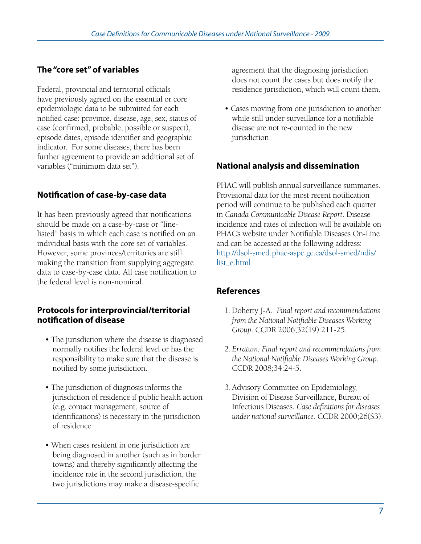## **The "core set" of variables**

Federal, provincial and territorial officials have previously agreed on the essential or core epidemiologic data to be submitted for each notified case: province, disease, age, sex, status of case (confirmed, probable, possible or suspect), episode dates, episode identifier and geographic indicator. For some diseases, there has been further agreement to provide an additional set of variables ("minimum data set").

### **Notification of case-by-case data**

It has been previously agreed that notifications should be made on a case-by-case or "linelisted" basis in which each case is notified on an individual basis with the core set of variables. However, some provinces/territories are still making the transition from supplying aggregate data to case-by-case data. All case notification to the federal level is non-nominal.

### **Protocols for interprovincial/territorial notification of disease**

- The jurisdiction where the disease is diagnosed normally notifies the federal level or has the responsibility to make sure that the disease is notified by some jurisdiction.
- The jurisdiction of diagnosis informs the jurisdiction of residence if public health action (e.g. contact management, source of identifications) is necessary in the jurisdiction of residence.
- When cases resident in one jurisdiction are being diagnosed in another (such as in border towns) and thereby significantly affecting the incidence rate in the second jurisdiction, the two jurisdictions may make a disease-specific

agreement that the diagnosing jurisdiction does not count the cases but does notify the residence jurisdiction, which will count them.

• Cases moving from one jurisdiction to another while still under surveillance for a notifiable disease are not re-counted in the new jurisdiction.

### **National analysis and dissemination**

PHAC will publish annual surveillance summaries. Provisional data for the most recent notification period will continue to be published each quarter in *Canada Communicable Disease Report*. Disease incidence and rates of infection will be available on PHAC's website under Notifiable Diseases On-Line and can be accessed at the following address: http://dsol-smed.phac-aspc.gc.ca/dsol-smed/ndis/ list\_e.html

### **References**

- 1. Doherty J-A. *Final report and recommendations from the National Notifiable Diseases Working Group*. CCDR 2006;32(19):211-25.
- 2.*Erratum: Final report and recommendations from the National Notifiable Diseases Working Group*. CCDR 2008;34:24-5.
- 3. Advisory Committee on Epidemiology, Division of Disease Surveillance, Bureau of Infectious Diseases. *Case definitions for diseases under national surveillance.* CCDR 2000;26(S3).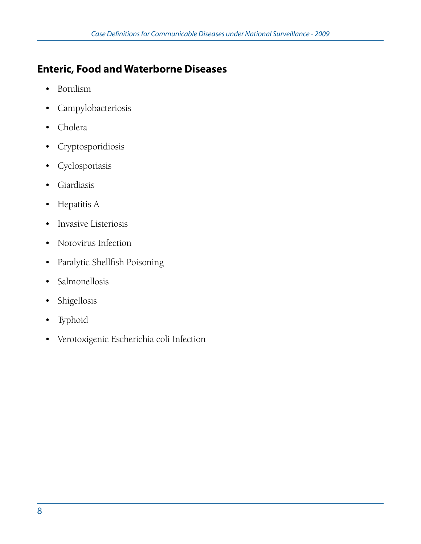# **Enteric, Food and Waterborne Diseases**

- • Botulism
- • Campylobacteriosis
- • Cholera
- • Cryptosporidiosis
- • Cyclosporiasis
- • Giardiasis
- • Hepatitis A
- • Invasive Listeriosis
- • Norovirus Infection
- • Paralytic Shellfish Poisoning
- Salmonellosis
- • Shigellosis
- • Typhoid
- • Verotoxigenic Escherichia coli Infection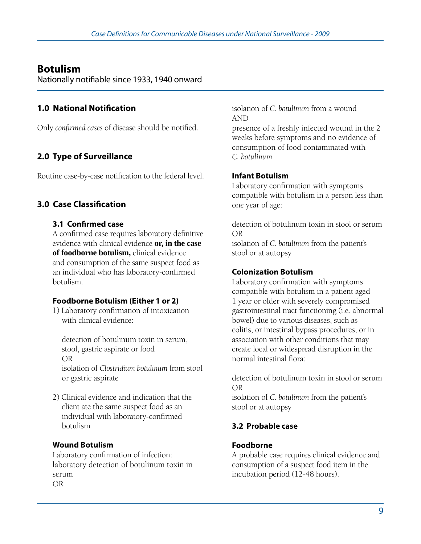## **Botulism**

Nationally notifiable since 1933, 1940 onward

## **1.0 National Notification**

Only *confirmed cases* of disease should be notified.

## **2.0 Type of Surveillance**

Routine case-by-case notification to the federal level.

## **3.0 Case Classification**

### **3.1 Confirmed case**

A confirmed case requires laboratory definitive evidence with clinical evidence **or, in the case of foodborne botulism,** clinical evidence and consumption of the same suspect food as an individual who has laboratory-confirmed botulism.

### **Foodborne Botulism (Either 1 or 2)**

1) Laboratory confirmation of intoxication with clinical evidence:

 detection of botulinum toxin in serum, stool, gastric aspirate or food OR isolation of *Clostridium botulinum* from stool

 or gastric aspirate

2) Clinical evidence and indication that the client ate the same suspect food as an individual with laboratory-confirmed botulism

## **Wound Botulism**

Laboratory confirmation of infection: laboratory detection of botulinum toxin in serum OR

isolation of *C. botulinum* from a wound AND

presence of a freshly infected wound in the 2 weeks before symptoms and no evidence of consumption of food contaminated with *C. botulinum*

## **Infant Botulism**

Laboratory confirmation with symptoms compatible with botulism in a person less than one year of age:

detection of botulinum toxin in stool or serum OR

isolation of *C. botulinum* from the patient's stool or at autopsy

## **Colonization Botulism**

Laboratory confirmation with symptoms compatible with botulism in a patient aged 1 year or older with severely compromised gastrointestinal tract functioning (i.e. abnormal bowel) due to various diseases, such as colitis, or intestinal bypass procedures, or in association with other conditions that may create local or widespread disruption in the normal intestinal flora:

detection of botulinum toxin in stool or serum OR

isolation of *C. botulinum* from the patient's stool or at autopsy

## **3.2 Probable case**

## **Foodborne**

A probable case requires clinical evidence and consumption of a suspect food item in the incubation period (12-48 hours).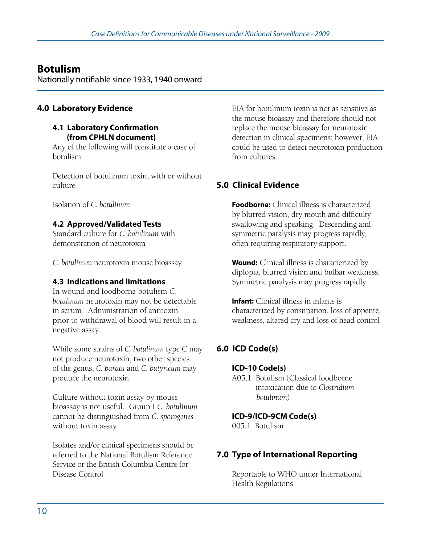## **Botulism**

Nationally notifiable since 1933, 1940 onward

### **4.0 Laboratory Evidence**

### **4.1 Laboratory Confirmation (from CPHLN document)**

Any of the following will constitute a case of botulism:

Detection of botulinum toxin, with or without culture

Isolation of *C. botulinum*

### **4.2 Approved/Validated Tests**

Standard culture for *C. botulinum* with demonstration of neurotoxin

*C. botulinum* neurotoxin mouse bioassay

### **4.3 Indications and limitations**

In wound and foodborne botulism *C. botulinum* neurotoxin may not be detectable in serum. Administration of antitoxin prior to withdrawal of blood will result in a negative assay.

While some strains of *C. botulinum* type C may not produce neurotoxin, two other species of the genus, *C. baratii* and *C. butyricum* may produce the neurotoxin.

Culture without toxin assay by mouse bioassay is not useful. Group I *C. botulinum* cannot be distinguished from *C. sporogenes* without toxin assay.

Isolates and/or clinical specimens should be referred to the National Botulism Reference Service or the British Columbia Centre for Disease Control

EIA for botulinum toxin is not as sensitive as the mouse bioassay and therefore should not replace the mouse bioassay for neurotoxin detection in clinical specimens; however, EIA could be used to detect neurotoxin production from cultures.

## **5.0 Clinical Evidence**

**Foodborne:** Clinical illness is characterized by blurred vision, dry mouth and difficulty swallowing and speaking. Descending and symmetric paralysis may progress rapidly, often requiring respiratory support.

**Wound:** Clinical illness is characterized by diplopia, blurred vision and bulbar weakness. Symmetric paralysis may progress rapidly.

**Infant:** Clinical illness in infants is characterized by constipation, loss of appetite, weakness, altered cry and loss of head control

## **6.0 ICD Code(s)**

### **ICD-10 Code(s)**

A05.1 Botulism (Classical foodborne intoxication due to *Clostridium botulinum*)

### **ICD-9/ICD-9CM Code(s)**

005.1 Botulism

## **7.0 Type of International Reporting**

Reportable to WHO under International Health Regulations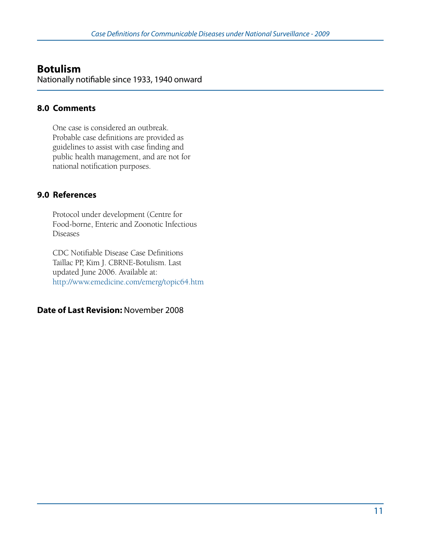## **Botulism**

Nationally notifiable since 1933, 1940 onward

### **8.0 Comments**

One case is considered an outbreak. Probable case definitions are provided as guidelines to assist with case finding and public health management, and are not for national notification purposes.

### **9.0 References**

Protocol under development (Centre for Food-borne, Enteric and Zoonotic Infectious Diseases

CDC Notifiable Disease Case Definitions Taillac PP, Kim J. CBRNE-Botulism. Last updated June 2006. Available at: http://www.emedicine.com/emerg/topic64.htm

### **Date of Last Revision:** November 2008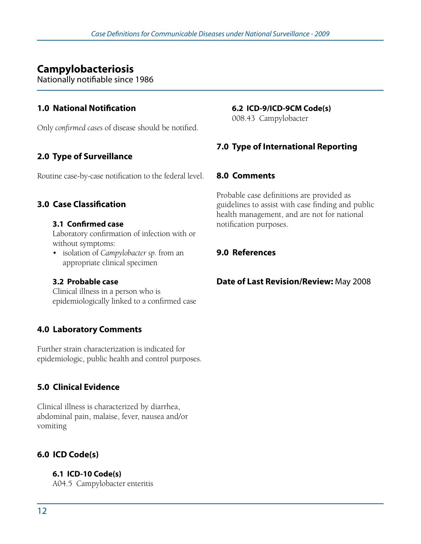## **Campylobacteriosis**

Nationally notifiable since 1986

### **1.0 National Notification**

Only *confirmed cases* of disease should be notified.

### **2.0 Type of Surveillance**

Routine case-by-case notification to the federal level.

### **3.0 Case Classification**

#### **3.1 Confirmed case**

Laboratory confirmation of infection with or without symptoms:

• isolation of *Campylobacter sp.* from an appropriate clinical specimen

### **3.2 Probable case**

Clinical illness in a person who is epidemiologically linked to a confirmed case

### **4.0 Laboratory Comments**

Further strain characterization is indicated for epidemiologic, public health and control purposes.

### **5.0 Clinical Evidence**

Clinical illness is characterized by diarrhea, abdominal pain, malaise, fever, nausea and/or vomiting

### **6.0 ICD Code(s)**

**6.1 ICD-10 Code(s)** A04.5 Campylobacter enteritis

### **6.2 ICD-9/ICD-9CM Code(s)**

008.43 Campylobacter

### **7.0 Type of International Reporting**

### **8.0 Comments**

Probable case definitions are provided as guidelines to assist with case finding and public health management, and are not for national notification purposes.

### **9.0 References**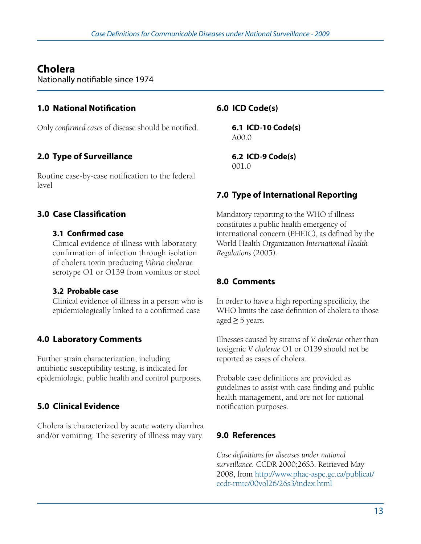## **Cholera**

Nationally notifiable since 1974

## **1.0 National Notification**

Only *confirmed cases* of disease should be notified.

## **2.0 Type of Surveillance**

Routine case-by-case notification to the federal level

## **3.0 Case Classification**

### **3.1 Confirmed case**

Clinical evidence of illness with laboratory confirmation of infection through isolation of cholera toxin producing *Vibrio cholerae* serotype O1 or O139 from vomitus or stool

### **3.2 Probable case**

Clinical evidence of illness in a person who is epidemiologically linked to a confirmed case

## **4.0 Laboratory Comments**

Further strain characterization, including antibiotic susceptibility testing, is indicated for epidemiologic, public health and control purposes.

## **5.0 Clinical Evidence**

Cholera is characterized by acute watery diarrhea and/or vomiting. The severity of illness may vary.

### **6.0 ICD Code(s)**

**6.1 ICD-10 Code(s)**  A00.0

**6.2 ICD-9 Code(s)**  001.0

## **7.0 Type of International Reporting**

Mandatory reporting to the WHO if illness constitutes a public health emergency of international concern (PHEIC), as defined by the World Health Organization *International Health Regulations* (2005).

## **8.0 Comments**

In order to have a high reporting specificity, the WHO limits the case definition of cholera to those aged **≥** 5 years.

Illnesses caused by strains of *V. cholerae* other than toxigenic *V. cholerae* O1 or O139 should not be reported as cases of cholera.

Probable case definitions are provided as guidelines to assist with case finding and public health management, and are not for national notification purposes.

## **9.0 References**

*Case definitions for diseases under national surveillance.* CCDR 2000;26S3. Retrieved May 2008, from http://www.phac-aspc.gc.ca/publicat/ ccdr-rmtc/00vol26/26s3/index.html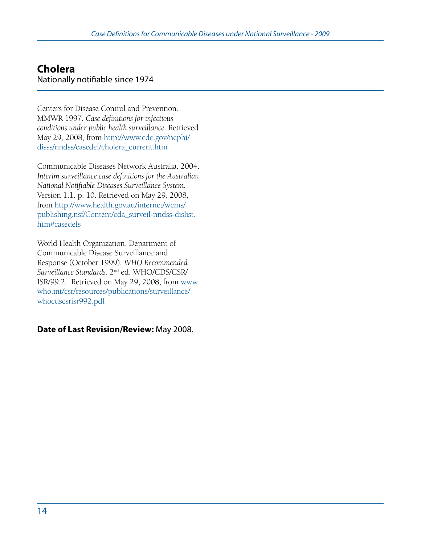## **Cholera**  Nationally notifiable since 1974

Centers for Disease Control and Prevention. MMWR 1997. *Case definitions for infectious conditions under public health surveillance.* Retrieved May 29, 2008, from http://www.cdc.gov/ncphi/ disss/nndss/casedef/cholera\_current.htm

Communicable Diseases Network Australia. 2004. *Interim surveillance case definitions for the Australian National Notifiable Diseases Surveillance System.* Version 1.1. p. 10. Retrieved on May 29, 2008, from http://www.health.gov.au/internet/wcms/ publishing.nsf/Content/cda\_surveil-nndss-dislist. htm#casedefs

World Health Organization. Department of Communicable Disease Surveillance and Response (October 1999). *WHO Recommended Surveillance Standards.* 2nd ed. WHO/CDS/CSR/ ISR/99.2. Retrieved on May 29, 2008, from www. who.int/csr/resources/publications/surveillance/ whocdscsrisr992.pdf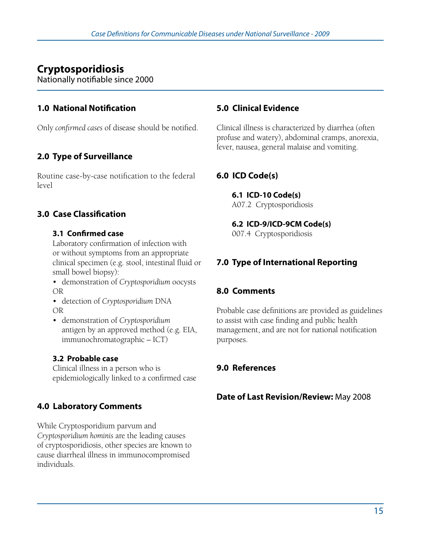# **Cryptosporidiosis**

Nationally notifiable since 2000

## **1.0 National Notification**

Only *confirmed cases* of disease should be notified.

## **2.0 Type of Surveillance**

Routine case-by-case notification to the federal level

## **3.0 Case Classification**

### **3.1 Confirmed case**

Laboratory confirmation of infection with or without symptoms from an appropriate clinical specimen (e.g. stool, intestinal fluid or small bowel biopsy):

- • demonstration of *Cryptosporidium* oocysts OR
- • detection of *Cryptosporidium* DNA OR
- • demonstration of *Cryptosporidium* antigen by an approved method (e.g. EIA, immunochromatographic – ICT)

## **3.2 Probable case**

Clinical illness in a person who is epidemiologically linked to a confirmed case

## **4.0 Laboratory Comments**

While Cryptosporidium parvum and *Cryptosporidium hominis* are the leading causes of cryptosporidiosis, other species are known to cause diarrheal illness in immunocompromised individuals.

### **5.0 Clinical Evidence**

Clinical illness is characterized by diarrhea (often profuse and watery), abdominal cramps, anorexia, fever, nausea, general malaise and vomiting.

## **6.0 ICD Code(s)**

**6.1 ICD-10 Code(s)**  A07.2 Cryptosporidiosis

### **6.2 ICD-9/ICD-9CM Code(s)**

007.4 Cryptosporidiosis

## **7.0 Type of International Reporting**

### **8.0 Comments**

Probable case definitions are provided as guidelines to assist with case finding and public health management, and are not for national notification purposes.

## **9.0 References**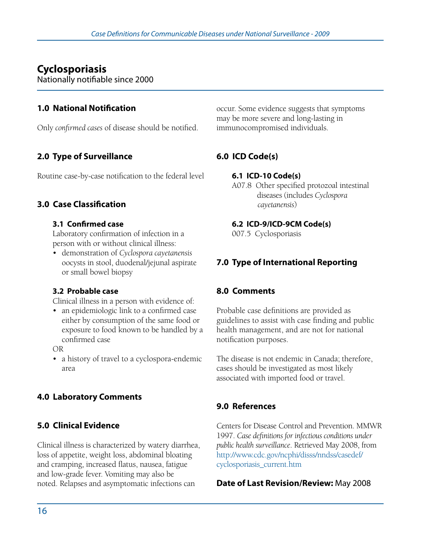## **Cyclosporiasis**

Nationally notifiable since 2000

### **1.0 National Notification**

Only *confirmed cases* of disease should be notified.

## **2.0 Type of Surveillance**

Routine case-by-case notification to the federal level

### **3.0 Case Classification**

### **3.1 Confirmed case**

Laboratory confirmation of infection in a person with or without clinical illness:

• demonstration of *Cyclospora cayetanensis* oocysts in stool, duodenal/jejunal aspirate or small bowel biopsy

### **3.2 Probable case**

Clinical illness in a person with evidence of:

• an epidemiologic link to a confirmed case either by consumption of the same food or exposure to food known to be handled by a confirmed case

OR

• a history of travel to a cyclospora-endemic area

## **4.0 Laboratory Comments**

### **5.0 Clinical Evidence**

Clinical illness is characterized by watery diarrhea, loss of appetite, weight loss, abdominal bloating and cramping, increased flatus, nausea, fatigue and low-grade fever. Vomiting may also be noted. Relapses and asymptomatic infections can

occur. Some evidence suggests that symptoms may be more severe and long-lasting in immunocompromised individuals.

## **6.0 ICD Code(s)**

### **6.1 ICD-10 Code(s)**

A07.8 Other specified protozoal intestinal diseases (includes *Cyclospora cayetanensis*)

### **6.2 ICD-9/ICD-9CM Code(s)**

007.5 Cyclosporiasis

## **7.0 Type of International Reporting**

### **8.0 Comments**

Probable case definitions are provided as guidelines to assist with case finding and public health management, and are not for national notification purposes.

The disease is not endemic in Canada; therefore, cases should be investigated as most likely associated with imported food or travel.

## **9.0 References**

Centers for Disease Control and Prevention. MMWR 1997. *Case definitions for infectious conditions under public health surveillance*. Retrieved May 2008, from http://www.cdc.gov/ncphi/disss/nndss/casedef/ cyclosporiasis\_current.htm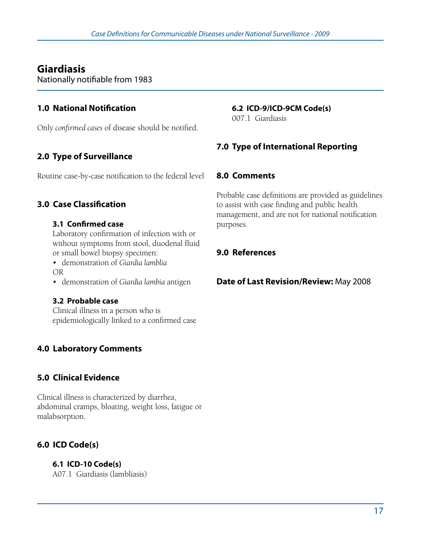## **Giardiasis**

Nationally notifiable from 1983

## **1.0 National Notification**

Only *confirmed cases* of disease should be notified.

## **2.0 Type of Surveillance**

Routine case-by-case notification to the federal level

### **3.0 Case Classification**

### **3.1 Confirmed case**

Laboratory confirmation of infection with or without symptoms from stool, duodenal fluid or small bowel biopsy specimen:

• demonstration of *Giardia lamblia* OR

• demonstration of *Giardia lambia* antigen

### **3.2 Probable case**

Clinical illness in a person who is epidemiologically linked to a confirmed case

## **4.0 Laboratory Comments**

## **5.0 Clinical Evidence**

Clinical illness is characterized by diarrhea, abdominal cramps, bloating, weight loss, fatigue or malabsorption.

## **6.0 ICD Code(s)**

**6.1 ICD-10 Code(s)**  A07.1 Giardiasis (lambliasis)

### **6.2 ICD-9/ICD-9CM Code(s)**

007.1 Giardiasis

### **7.0 Type of International Reporting**

### **8.0 Comments**

Probable case definitions are provided as guidelines to assist with case finding and public health management, and are not for national notification purposes.

## **9.0 References**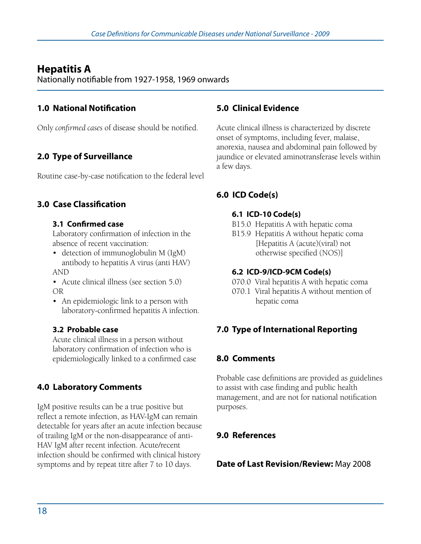## **Hepatitis A**

Nationally notifiable from 1927-1958, 1969 onwards

## **1.0 National Notification**

Only *confirmed cases* of disease should be notified.

## **2.0 Type of Surveillance**

Routine case-by-case notification to the federal level

### **3.0 Case Classification**

### **3.1 Confirmed case**

Laboratory confirmation of infection in the absence of recent vaccination:

- detection of immunoglobulin M (IgM) antibody to hepatitis A virus (anti HAV) AND
- Acute clinical illness (see section 5.0) OR
- An epidemiologic link to a person with laboratory-confirmed hepatitis A infection.

### **3.2 Probable case**

Acute clinical illness in a person without laboratory confirmation of infection who is epidemiologically linked to a confirmed case

## **4.0 Laboratory Comments**

IgM positive results can be a true positive but reflect a remote infection, as HAV-IgM can remain detectable for years after an acute infection because of trailing IgM or the non-disappearance of anti-HAV IgM after recent infection. Acute/recent infection should be confirmed with clinical history symptoms and by repeat titre after 7 to 10 days.

### **5.0 Clinical Evidence**

Acute clinical illness is characterized by discrete onset of symptoms, including fever, malaise, anorexia, nausea and abdominal pain followed by jaundice or elevated aminotransferase levels within a few days.

## **6.0 ICD Code(s)**

### **6.1 ICD-10 Code(s)**

- B15.0 Hepatitis A with hepatic coma
- B15.9 Hepatitis A without hepatic coma [Hepatitis A (acute)(viral) not otherwise specified (NOS)]

### **6.2 ICD-9/ICD-9CM Code(s)**

- 070.0 Viral hepatitis A with hepatic coma
- 070.1 Viral hepatitis A without mention of hepatic coma

## **7.0 Type of International Reporting**

## **8.0 Comments**

Probable case definitions are provided as guidelines to assist with case finding and public health management, and are not for national notification purposes.

## **9.0 References**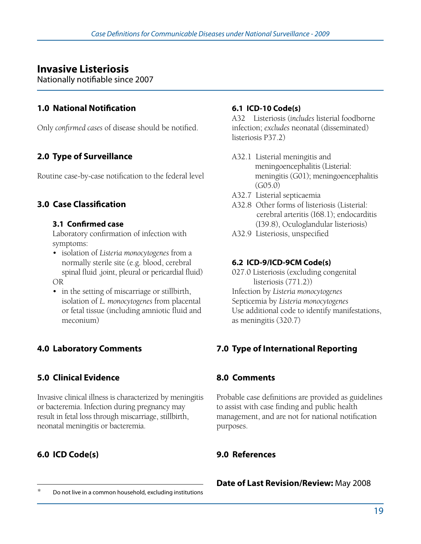## **Invasive Listeriosis**

Nationally notifiable since 2007

### **1.0 National Notification**

Only *confirmed cases* of disease should be notified.

## **2.0 Type of Surveillance**

Routine case-by-case notification to the federal level

### **3.0 Case Classification**

### **3.1 Confirmed case**

Laboratory confirmation of infection with symptoms:

- • isolation of *Listeria monocytogenes* from a normally sterile site (e.g. blood, cerebral spinal fluid ,joint, pleural or pericardial fluid) OR
- in the setting of miscarriage or stillbirth, isolation of *L. monocytogenes* from placental or fetal tissue (including amniotic fluid and meconium)

## **4.0 Laboratory Comments**

## **5.0 Clinical Evidence**

Invasive clinical illness is characterized by meningitis or bacteremia. Infection during pregnancy may result in fetal loss through miscarriage, stillbirth, neonatal meningitis or bacteremia.

## **6.0 ICD Code(s)**

### **6.1 ICD-10 Code(s)**

A32 Listeriosis (*includes* listerial foodborne infection; *excludes* neonatal (disseminated) listeriosis P37.2)

- A32.1 Listerial meningitis and meningoencephalitis (Listerial: meningitis (G01); meningoencephalitis (G05.0)
- A32.7 Listerial septicaemia
- A32.8 Other forms of listeriosis (Listerial: cerebral arteritis (I68.1); endocarditis (I39.8), Oculoglandular listeriosis)
- A32.9 Listeriosis, unspecified

### **6.2 ICD-9/ICD-9CM Code(s)**

027.0 Listeriosis (excluding congenital listeriosis (771.2)) Infection by *Listeria monocytogenes* Septicemia by *Listeria monocytogenes* Use additional code to identify manifestations, as meningitis (320.7)

## **7.0 Type of International Reporting**

### **8.0 Comments**

Probable case definitions are provided as guidelines to assist with case finding and public health management, and are not for national notification purposes.

### **9.0 References**

# **Date of Last Revision/Review:** May 2008 **Do not live in a common household, excluding institutions**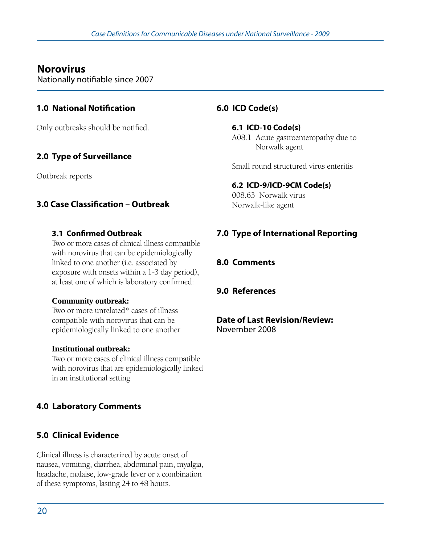## **Norovirus**

Nationally notifiable since 2007

### **1.0 National Notification**

Only outbreaks should be notified.

## **2.0 Type of Surveillance**

Outbreak reports

### **3.0 Case Classification – Outbreak**

### **3.1 Confirmed Outbreak**

Two or more cases of clinical illness compatible with norovirus that can be epidemiologically linked to one another (i.e. associated by exposure with onsets within a 1-3 day period), at least one of which is laboratory confirmed:

### **Community outbreak:**

Two or more unrelated\* cases of illness compatible with norovirus that can be epidemiologically linked to one another

### **Institutional outbreak:**

Two or more cases of clinical illness compatible with norovirus that are epidemiologically linked in an institutional setting

### **4.0 Laboratory Comments**

### **5.0 Clinical Evidence**

Clinical illness is characterized by acute onset of nausea, vomiting, diarrhea, abdominal pain, myalgia, headache, malaise, low-grade fever or a combination of these symptoms, lasting 24 to 48 hours.

### **6.0 ICD Code(s)**

**6.1 ICD-10 Code(s)**  A08.1 Acute gastroenteropathy due to Norwalk agent

Small round structured virus enteritis

### **6.2 ICD-9/ICD-9CM Code(s)**

008.63 Norwalk virus Norwalk-like agent

### **7.0 Type of International Reporting**

**8.0 Comments**

### **9.0 References**

# **Date of Last Revision/Review:**

November 2008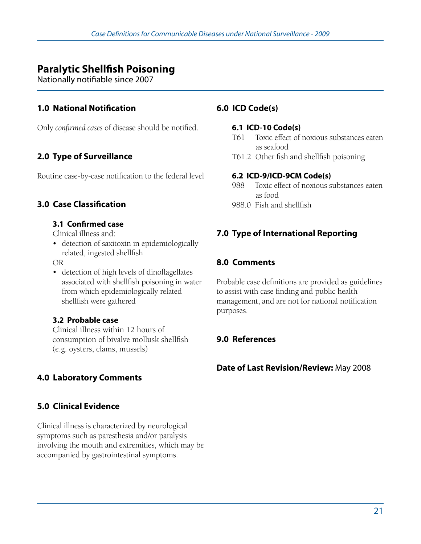## **Paralytic Shellfish Poisoning**

Nationally notifiable since 2007

### **1.0 National Notification**

Only *confirmed cases* of disease should be notified.

## **2.0 Type of Surveillance**

Routine case-by-case notification to the federal level

### **3.0 Case Classification**

### **3.1 Confirmed case**

Clinical illness and:

• detection of saxitoxin in epidemiologically related, ingested shellfish

OR

• detection of high levels of dinoflagellates associated with shellfish poisoning in water from which epidemiologically related shellfish were gathered

### **3.2 Probable case**

Clinical illness within 12 hours of consumption of bivalve mollusk shellfish (e.g. oysters, clams, mussels)

## **4.0 Laboratory Comments**

### **5.0 Clinical Evidence**

Clinical illness is characterized by neurological symptoms such as paresthesia and/or paralysis involving the mouth and extremities, which may be accompanied by gastrointestinal symptoms.

### **6.0 ICD Code(s)**

### **6.1 ICD-10 Code(s)**

- T61 Toxic effect of noxious substances eaten as seafood
- T61.2 Other fish and shellfish poisoning

### **6.2 ICD-9/ICD-9CM Code(s)**

- 988 Toxic effect of noxious substances eaten as food
- 988.0 Fish and shellfish

### **7.0 Type of International Reporting**

### **8.0 Comments**

Probable case definitions are provided as guidelines to assist with case finding and public health management, and are not for national notification purposes.

### **9.0 References**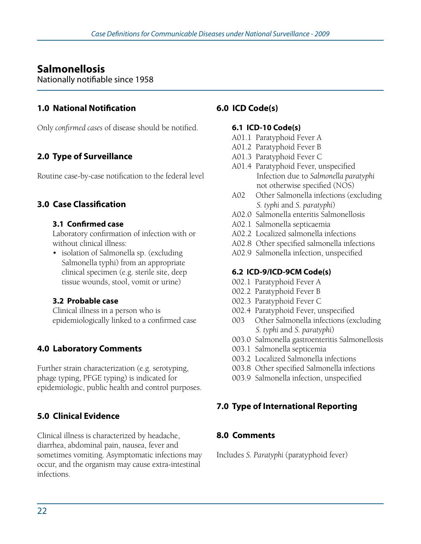## **Salmonellosis**

Nationally notifiable since 1958

### **1.0 National Notification**

Only *confirmed cases* of disease should be notified.

## **2.0 Type of Surveillance**

Routine case-by-case notification to the federal level

### **3.0 Case Classification**

### **3.1 Confirmed case**

Laboratory confirmation of infection with or without clinical illness:

• isolation of Salmonella sp. (excluding Salmonella typhi) from an appropriate clinical specimen (e.g. sterile site, deep tissue wounds, stool, vomit or urine)

### **3.2 Probable case**

Clinical illness in a person who is epidemiologically linked to a confirmed case

## **4.0 Laboratory Comments**

Further strain characterization (e.g. serotyping, phage typing, PFGE typing) is indicated for epidemiologic, public health and control purposes.

## **5.0 Clinical Evidence**

Clinical illness is characterized by headache, diarrhea, abdominal pain, nausea, fever and sometimes vomiting. Asymptomatic infections may occur, and the organism may cause extra-intestinal infections.

### **6.0 ICD Code(s)**

### **6.1 ICD-10 Code(s)**

- A01.1 Paratyphoid Fever A
- A01.2 Paratyphoid Fever B
- A01.3 Paratyphoid Fever C
- A01.4 Paratyphoid Fever, unspecified Infection due to *Salmonella paratyphi* not otherwise specified (NOS)
- A02 Other Salmonella infections (excluding *S. typhi* and *S. paratyphi*)
- A02.0 Salmonella enteritis Salmonellosis
- A02.1 Salmonella septicaemia
- A02.2 Localized salmonella infections
- A02.8 Other specified salmonella infections
- A02.9 Salmonella infection, unspecified

### **6.2 ICD-9/ICD-9CM Code(s)**

- 002.1 Paratyphoid Fever A
- 002.2 Paratyphoid Fever B
- 002.3 Paratyphoid Fever C
- 002.4 Paratyphoid Fever, unspecified
- 003 Other Salmonella infections (excluding *S. typhi* and *S. paratyphi*)
- 003.0 Salmonella gastroenteritis Salmonellosis
- 003.1 Salmonella septicemia
- 003.2 Localized Salmonella infections
- 003.8 Other specified Salmonella infections
- 003.9 Salmonella infection, unspecified

### **7.0 Type of International Reporting**

### **8.0 Comments**

Includes *S. Paratyphi* (paratyphoid fever)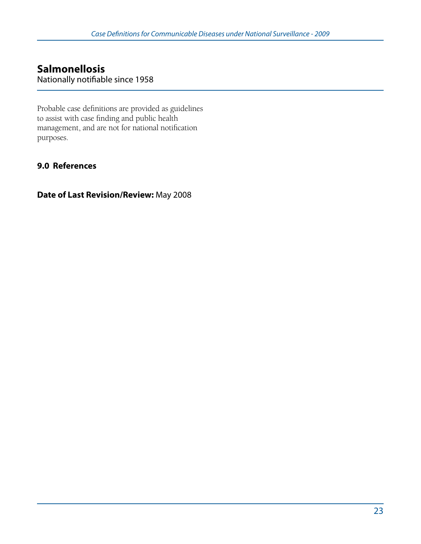### **Salmonellosis**  Nationally notifiable since 1958

Probable case definitions are provided as guidelines to assist with case finding and public health management, and are not for national notification purposes.

### **9.0 References**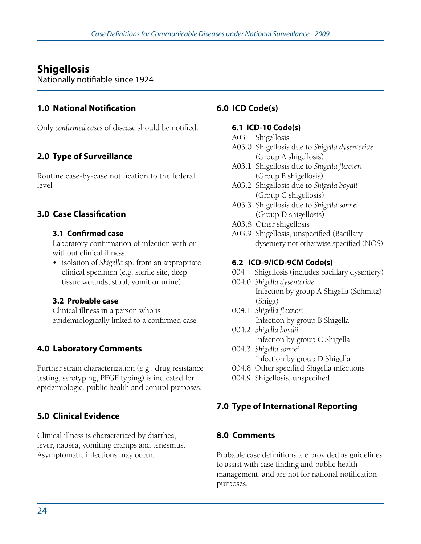## **Shigellosis**

Nationally notifiable since 1924

### **1.0 National Notification**

Only *confirmed cases* of disease should be notified.

## **2.0 Type of Surveillance**

Routine case-by-case notification to the federal level

## **3.0 Case Classification**

### **3.1 Confirmed case**

Laboratory confirmation of infection with or without clinical illness:

• isolation of *Shigella* sp. from an appropriate clinical specimen (e.g. sterile site, deep tissue wounds, stool, vomit or urine)

### **3.2 Probable case**

Clinical illness in a person who is epidemiologically linked to a confirmed case

## **4.0 Laboratory Comments**

Further strain characterization (e.g., drug resistance testing, serotyping, PFGE typing) is indicated for epidemiologic, public health and control purposes.

## **5.0 Clinical Evidence**

Clinical illness is characterized by diarrhea, fever, nausea, vomiting cramps and tenesmus. Asymptomatic infections may occur.

### **6.0 ICD Code(s)**

### **6.1 ICD-10 Code(s)**

- A03 Shigellosis
- A03.0 Shigellosis due to *Shigella dysenteriae* (Group A shigellosis)
- A03.1 Shigellosis due to *Shigella flexneri* (Group B shigellosis)
- A03.2 Shigellosis due to *Shigella boydii* (Group C shigellosis)
- A03.3 Shigellosis due to *Shigella sonnei* (Group D shigellosis)
- A03.8 Other shigellosis
- A03.9 Shigellosis, unspecified (Bacillary dysentery not otherwise specified (NOS)

### **6.2 ICD-9/ICD-9CM Code(s)**

- 004 Shigellosis (includes bacillary dysentery)
- 004.0 *Shigella dysenteriae* Infection by group A Shigella (Schmitz) (Shiga)
- 004.1 *Shigella flexneri* Infection by group B Shigella
- 004.2 *Shigella boydii*  Infection by group C Shigella
- 004.3 *Shigella sonnei* Infection by group D Shigella
- 004.8 Other specified Shigella infections
- 004.9 Shigellosis, unspecified

### **7.0 Type of International Reporting**

### **8.0 Comments**

Probable case definitions are provided as guidelines to assist with case finding and public health management, and are not for national notification purposes.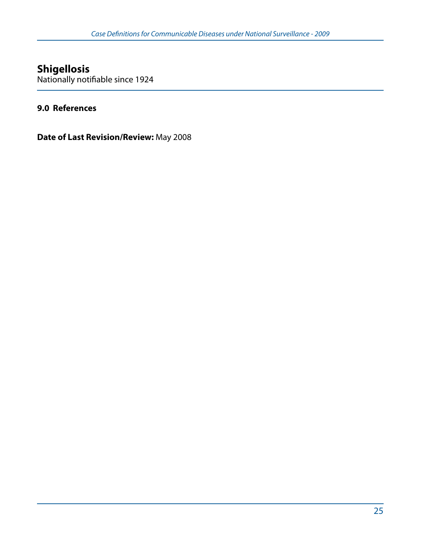# **Shigellosis**

Nationally notifiable since 1924

### **9.0 References**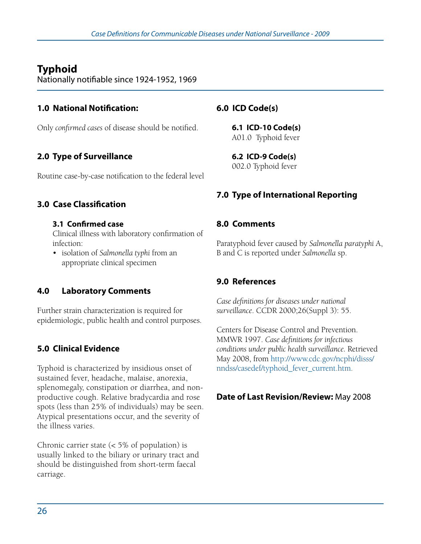# **Typhoid**

Nationally notifiable since 1924-1952, 1969

### **1.0 National Notification:**

Only *confirmed cases* of disease should be notified.

## **2.0 Type of Surveillance**

Routine case-by-case notification to the federal level

### **3.0 Case Classification**

### **3.1 Confirmed case**

Clinical illness with laboratory confirmation of infection:

• isolation of *Salmonella typhi* from an appropriate clinical specimen

### **4.0 Laboratory Comments**

Further strain characterization is required for epidemiologic, public health and control purposes.

## **5.0 Clinical Evidence**

Typhoid is characterized by insidious onset of sustained fever, headache, malaise, anorexia, splenomegaly, constipation or diarrhea, and nonproductive cough. Relative bradycardia and rose spots (less than 25% of individuals) may be seen. Atypical presentations occur, and the severity of the illness varies.

Chronic carrier state (< 5% of population) is usually linked to the biliary or urinary tract and should be distinguished from short-term faecal carriage.

## **6.0 ICD Code(s)**

**6.1 ICD-10 Code(s)**  A01.0 Typhoid fever

**6.2 ICD-9 Code(s)**  002.0 Typhoid fever

## **7.0 Type of International Reporting**

### **8.0 Comments**

Paratyphoid fever caused by *Salmonella paratyphi* A, B and C is reported under *Salmonella* sp.

### **9.0 References**

*Case definitions for diseases under national surveillance*. CCDR 2000;26(Suppl 3): 55.

Centers for Disease Control and Prevention. MMWR 1997. *Case definitions for infectious conditions under public health surveillance.* Retrieved May 2008, from http://www.cdc.gov/ncphi/disss/ nndss/casedef/typhoid\_fever\_current.htm.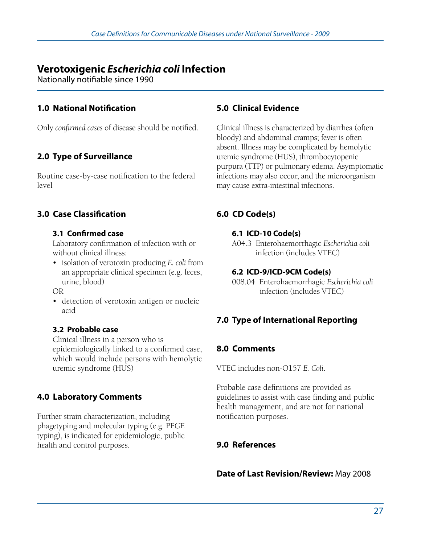## **Verotoxigenic** *Escherichia coli* **Infection**

Nationally notifiable since 1990

### **1.0 National Notification**

Only *confirmed cases* of disease should be notified.

## **2.0 Type of Surveillance**

Routine case-by-case notification to the federal level

### **3.0 Case Classification**

### **3.1 Confirmed case**

Laboratory confirmation of infection with or without clinical illness:

• isolation of verotoxin producing *E. coli* from an appropriate clinical specimen (e.g. feces, urine, blood)

OR

• detection of verotoxin antigen or nucleic acid

### **3.2 Probable case**

Clinical illness in a person who is epidemiologically linked to a confirmed case, which would include persons with hemolytic uremic syndrome (HUS)

## **4.0 Laboratory Comments**

Further strain characterization, including phagetyping and molecular typing (e.g. PFGE typing), is indicated for epidemiologic, public health and control purposes.

### **5.0 Clinical Evidence**

Clinical illness is characterized by diarrhea (often bloody) and abdominal cramps; fever is often absent. Illness may be complicated by hemolytic uremic syndrome (HUS), thrombocytopenic purpura (TTP) or pulmonary edema. Asymptomatic infections may also occur, and the microorganism may cause extra-intestinal infections.

## **6.0 CD Code(s)**

### **6.1 ICD-10 Code(s)**

A04.3 Enterohaemorrhagic *Escherichia coli* infection (includes VTEC)

### **6.2 ICD-9/ICD-9CM Code(s)**

008.04 Enterohaemorrhagic *Escherichia coli* infection (includes VTEC)

## **7.0 Type of International Reporting**

### **8.0 Comments**

VTEC includes non-O157 *E. Coli*.

Probable case definitions are provided as guidelines to assist with case finding and public health management, and are not for national notification purposes.

### **9.0 References**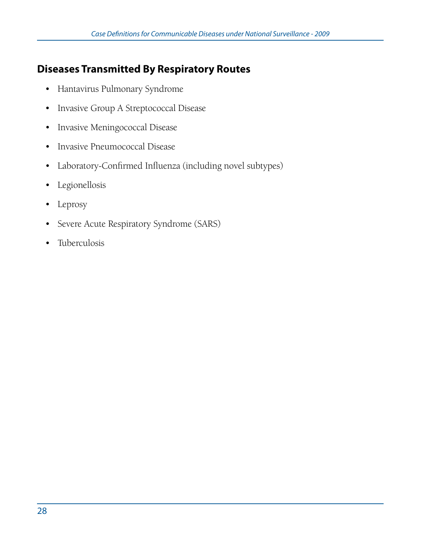# **Diseases Transmitted By Respiratory Routes**

- • Hantavirus Pulmonary Syndrome
- • Invasive Group A Streptococcal Disease
- Invasive Meningococcal Disease
- • Invasive Pneumococcal Disease
- • Laboratory-Confirmed Influenza (including novel subtypes)
- • Legionellosis
- Leprosy
- Severe Acute Respiratory Syndrome (SARS)
- Tuberculosis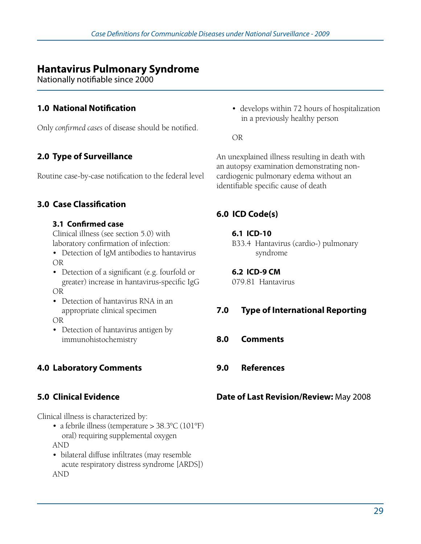## **Hantavirus Pulmonary Syndrome**

Nationally notifiable since 2000

### **1.0 National Notification**

Only *confirmed cases* of disease should be notified.

## **2.0 Type of Surveillance**

Routine case-by-case notification to the federal level

### **3.0 Case Classification**

### **3.1 Confirmed case**

Clinical illness (see section 5.0) with laboratory confirmation of infection:

- Detection of IgM antibodies to hantavirus OR
- Detection of a significant (e.g. fourfold or greater) increase in hantavirus-specific IgG OR
- Detection of hantavirus RNA in an appropriate clinical specimen

OR

• Detection of hantavirus antigen by immunohistochemistry

## **4.0 Laboratory Comments**

## **5.0 Clinical Evidence**

Clinical illness is characterized by:

- a febrile illness (temperature > 38.3°C (101°F) oral) requiring supplemental oxygen AND
- bilateral diffuse infiltrates (may resemble acute respiratory distress syndrome [ARDS]) AND

• develops within 72 hours of hospitalization in a previously healthy person

OR

An unexplained illness resulting in death with an autopsy examination demonstrating noncardiogenic pulmonary edema without an identifiable specific cause of death

## **6.0 ICD Code(s)**

### **6.1 ICD-10**

B33.4 Hantavirus (cardio-) pulmonary syndrome

**6.2 ICD-9 CM**  079.81 Hantavirus

## **7.0 Type of International Reporting**

- **8.0 Comments**
- **9.0 References**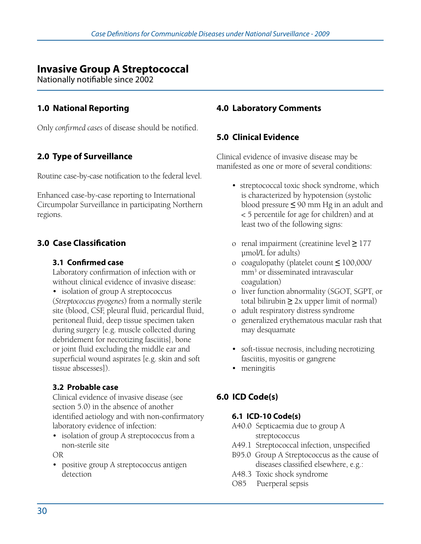## **Invasive Group A Streptococcal**

Nationally notifiable since 2002

### **1.0 National Reporting**

Only *confirmed cases* of disease should be notified.

## **2.0 Type of Surveillance**

Routine case-by-case notification to the federal level.

Enhanced case-by-case reporting to International Circumpolar Surveillance in participating Northern regions.

### **3.0 Case Classification**

### **3.1 Confirmed case**

Laboratory confirmation of infection with or without clinical evidence of invasive disease:

• isolation of group A streptococcus (*Streptococcus pyogenes*) from a normally sterile site (blood, CSF, pleural fluid, pericardial fluid, peritoneal fluid, deep tissue specimen taken during surgery [e.g. muscle collected during debridement for necrotizing fasciitis], bone or joint fluid excluding the middle ear and superficial wound aspirates [e.g. skin and soft tissue abscesses]).

### **3.2 Probable case**

Clinical evidence of invasive disease (see section 5.0) in the absence of another identified aetiology and with non-confirmatory laboratory evidence of infection:

• isolation of group A streptococcus from a non-sterile site

OR

• positive group A streptococcus antigen detection

### **4.0 Laboratory Comments**

### **5.0 Clinical Evidence**

Clinical evidence of invasive disease may be manifested as one or more of several conditions:

- streptococcal toxic shock syndrome, which is characterized by hypotension (systolic blood pressure **≤** 90 mm Hg in an adult and < 5 percentile for age for children) and at least two of the following signs:
- o renal impairment (creatinine level **≥** 177 μmol/L for adults)
- o coagulopathy (platelet count **≤** 100,000/ mm3 or disseminated intravascular coagulation)
- o liver function abnormality (SGOT, SGPT, or total bilirubin  $\geq 2x$  upper limit of normal)
- o adult respiratory distress syndrome
- o generalized erythematous macular rash that may desquamate
- soft-tissue necrosis, including necrotizing fasciitis, myositis or gangrene
- meningitis

## **6.0 ICD Code(s)**

### **6.1 ICD-10 Code(s)**

- A40.0 Septicaemia due to group A streptococcus
- A49.1 Streptococcal infection, unspecified
- B95.0 Group A Streptococcus as the cause of diseases classified elsewhere, e.g.:
- A48.3 Toxic shock syndrome
- O85 Puerperal sepsis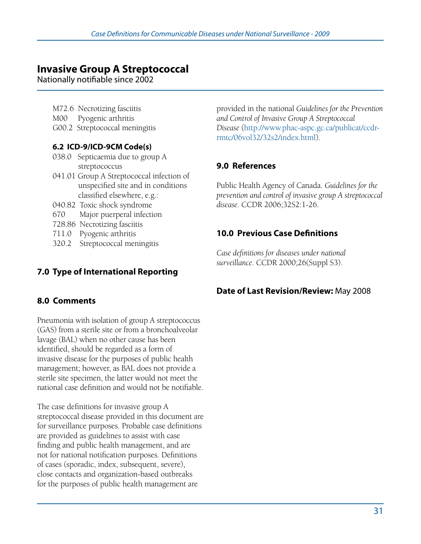## **Invasive Group A Streptococcal**

Nationally notifiable since 2002

- M72.6 Necrotizing fasciitis
- M00 Pyogenic arthritis
- G00.2 Streptococcal meningitis

### **6.2 ICD-9/ICD-9CM Code(s)**

- 038.0 Septicaemia due to group A streptococcus
- 041.01 Group A Streptococcal infection of unspecified site and in conditions classified elsewhere, e.g.:
- 040.82 Toxic shock syndrome
- 670 Major puerperal infection
- 728.86 Necrotizing fasciitis
- 711.0 Pyogenic arthritis
- 320.2 Streptococcal meningitis

provided in the national *Guidelines for the Prevention and Control of Invasive Group A Streptococcal Disease* (http://www.phac-aspc.gc.ca/publicat/ccdrrmtc/06vol32/32s2/index.html).

### **9.0 References**

Public Health Agency of Canada. *Guidelines for the prevention and control of invasive group A streptococcal disease.* CCDR 2006;32S2:1-26.

### **10.0 Previous Case Definitions**

*Case definitions for diseases under national surveillance*. CCDR 2000;26(Suppl S3).

## **7.0 Type of International Reporting**

### **8.0 Comments**

Pneumonia with isolation of group A streptococcus (GAS) from a sterile site or from a bronchoalveolar lavage (BAL) when no other cause has been identified, should be regarded as a form of invasive disease for the purposes of public health management; however, as BAL does not provide a sterile site specimen, the latter would not meet the national case definition and would not be notifiable.

The case definitions for invasive group A streptococcal disease provided in this document are for surveillance purposes. Probable case definitions are provided as guidelines to assist with case finding and public health management, and are not for national notification purposes. Definitions of cases (sporadic, index, subsequent, severe), close contacts and organization-based outbreaks for the purposes of public health management are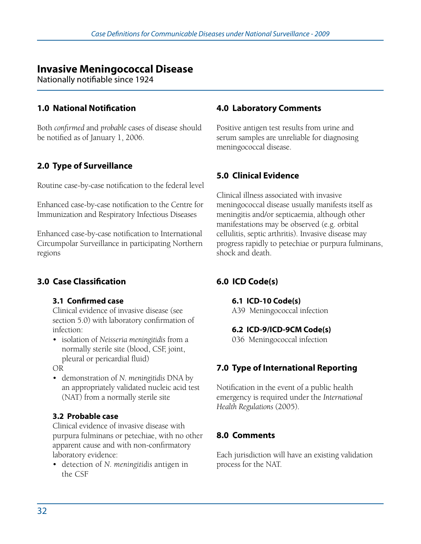# **Invasive Meningococcal Disease**

Nationally notifiable since 1924

#### **1.0 National Notification**

Both *confirmed* and *probable* cases of disease should be notified as of January 1, 2006.

### **2.0 Type of Surveillance**

Routine case-by-case notification to the federal level

Enhanced case-by-case notification to the Centre for Immunization and Respiratory Infectious Diseases

Enhanced case-by-case notification to International Circumpolar Surveillance in participating Northern regions

### **3.0 Case Classification**

#### **3.1 Confirmed case**

Clinical evidence of invasive disease (see section 5.0) with laboratory confirmation of infection:

• isolation of *Neisseria meningitidis* from a normally sterile site (blood, CSF, joint, pleural or pericardial fluid)

OR

• demonstration of *N. meningitidis* DNA by an appropriately validated nucleic acid test (NAT) from a normally sterile site

#### **3.2 Probable case**

Clinical evidence of invasive disease with purpura fulminans or petechiae, with no other apparent cause and with non-confirmatory laboratory evidence:

• detection of *N. meningitidis* antigen in the CSF

#### **4.0 Laboratory Comments**

Positive antigen test results from urine and serum samples are unreliable for diagnosing meningococcal disease.

#### **5.0 Clinical Evidence**

Clinical illness associated with invasive meningococcal disease usually manifests itself as meningitis and/or septicaemia, although other manifestations may be observed (e.g. orbital cellulitis, septic arthritis). Invasive disease may progress rapidly to petechiae or purpura fulminans, shock and death.

### **6.0 ICD Code(s)**

#### **6.1 ICD-10 Code(s)**

A39 Meningococcal infection

#### **6.2 ICD-9/ICD-9CM Code(s)**

036 Meningococcal infection

#### **7.0 Type of International Reporting**

Notification in the event of a public health emergency is required under the *International Health Regulations* (2005).

#### **8.0 Comments**

Each jurisdiction will have an existing validation process for the NAT.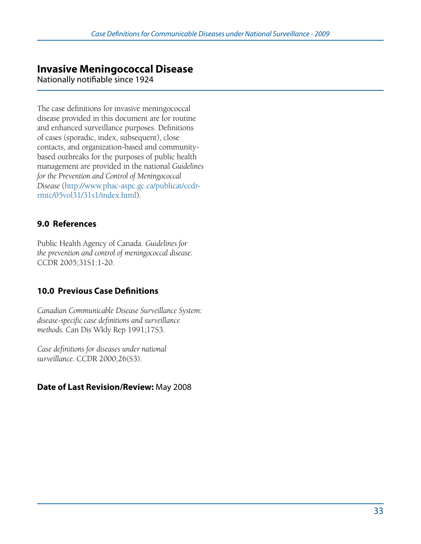# **Invasive Meningococcal Disease**

Nationally notifiable since 1924

The case definitions for invasive meningococcal disease provided in this document are for routine and enhanced surveillance purposes. Definitions of cases (sporadic, index, subsequent), close contacts, and organization-based and communitybased outbreaks for the purposes of public health management are provided in the national *Guidelines for the Prevention and Control of Meningococcal Disease* (http://www.phac-aspc.gc.ca/publicat/ccdrrmtc/05vol31/31s1/index.html).

### **9.0 References**

Public Health Agency of Canada. *Guidelines for the prevention and control of meningococcal disease.* CCDR 2005;31S1:1-20.

## **10.0 Previous Case Definitions**

*Canadian Communicable Disease Surveillance System: disease-specific case definitions and surveillance methods.* Can Dis Wkly Rep 1991;17S3.

*Case definitions for diseases under national surveillance.* CCDR 2000;26(S3).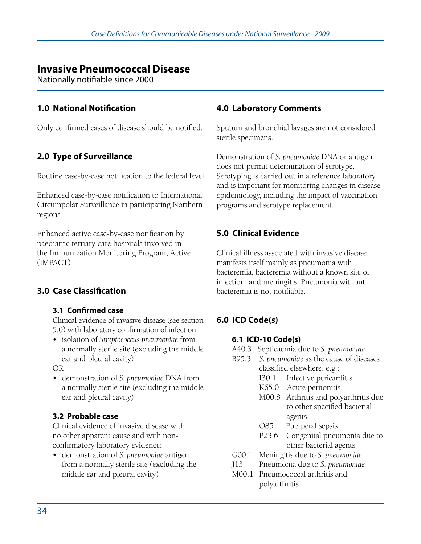# **Invasive Pneumococcal Disease**

Nationally notifiable since 2000

#### **1.0 National Notification**

Only confirmed cases of disease should be notified.

### **2.0 Type of Surveillance**

Routine case-by-case notification to the federal level

Enhanced case-by-case notification to International Circumpolar Surveillance in participating Northern regions

Enhanced active case-by-case notification by paediatric tertiary care hospitals involved in the Immunization Monitoring Program, Active (IMPACT)

### **3.0 Case Classification**

#### **3.1 Confirmed case**

Clinical evidence of invasive disease (see section 5.0) with laboratory confirmation of infection:

• isolation of *Streptococcus pneumoniae* from a normally sterile site (excluding the middle ear and pleural cavity)

OR

• demonstration of *S. pneumoniae* DNA from a normally sterile site (excluding the middle ear and pleural cavity)

#### **3.2 Probable case**

Clinical evidence of invasive disease with no other apparent cause and with nonconfirmatory laboratory evidence:

• demonstration of *S. pneumoniae* antigen from a normally sterile site (excluding the middle ear and pleural cavity)

#### **4.0 Laboratory Comments**

Sputum and bronchial lavages are not considered sterile specimens.

Demonstration of *S. pneumoniae* DNA or antigen does not permit determination of serotype. Serotyping is carried out in a reference laboratory and is important for monitoring changes in disease epidemiology, including the impact of vaccination programs and serotype replacement.

## **5.0 Clinical Evidence**

Clinical illness associated with invasive disease manifests itself mainly as pneumonia with bacteremia, bacteremia without a known site of infection, and meningitis. Pneumonia without bacteremia is not notifiable.

## **6.0 ICD Code(s)**

#### **6.1 ICD-10 Code(s)**

- A40.3 Septicaemia due to *S. pneumoniae*
- B95.3 *S. pneumoniae* as the cause of diseases classified elsewhere, e.g.:
	- I30.1 Infective pericarditis
	- K65.0 Acute peritonitis
	- M00.8 Arthritis and polyarthritis due to other specified bacterial agents
	- O85 Puerperal sepsis
	- P23.6 Congenital pneumonia due to other bacterial agents
- G00.1 Meningitis due to *S. pneumoniae*
- J13 Pneumonia due to *S. pneumoniae*
- M00.1 Pneumococcal arthritis and polyarthritis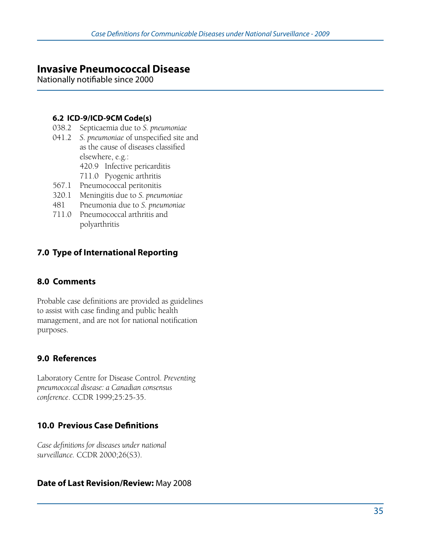# **Invasive Pneumococcal Disease**

Nationally notifiable since 2000

#### **6.2 ICD-9/ICD-9CM Code(s)**

- 038.2 Septicaemia due to *S. pneumoniae*
- 041.2 *S. pneumoniae* of unspecified site and as the cause of diseases classified elsewhere, e.g.:
	- 420.9 Infective pericarditis
	- 711.0 Pyogenic arthritis
- 567.1 Pneumococcal peritonitis
- 320.1 Meningitis due to *S. pneumoniae*
- 481 Pneumonia due to *S. pneumoniae*
- 711.0 Pneumococcal arthritis and polyarthritis

## **7.0 Type of International Reporting**

### **8.0 Comments**

Probable case definitions are provided as guidelines to assist with case finding and public health management, and are not for national notification purposes.

### **9.0 References**

Laboratory Centre for Disease Control. *Preventing pneumococcal disease: a Canadian consensus conference*. CCDR 1999;25:25-35.

### **10.0 Previous Case Definitions**

*Case definitions for diseases under national surveillance.* CCDR 2000;26(S3).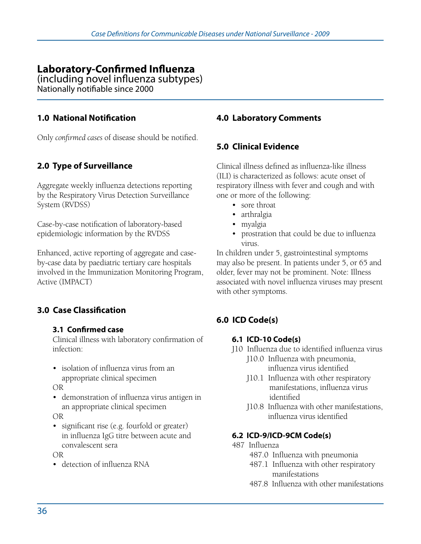# **Laboratory-Confirmed Influenza**

(including novel influenza subtypes) Nationally notifiable since 2000

#### **1.0 National Notification**

Only *confirmed cases* of disease should be notified.

## **2.0 Type of Surveillance**

Aggregate weekly influenza detections reporting by the Respiratory Virus Detection Surveillance System (RVDSS)

Case-by-case notification of laboratory-based epidemiologic information by the RVDSS

Enhanced, active reporting of aggregate and caseby-case data by paediatric tertiary care hospitals involved in the Immunization Monitoring Program, Active (IMPACT)

### **3.0 Case Classification**

#### **3.1 Confirmed case**

Clinical illness with laboratory confirmation of infection:

• isolation of influenza virus from an appropriate clinical specimen

OR

• demonstration of influenza virus antigen in an appropriate clinical specimen

OR

• significant rise (e.g. fourfold or greater) in influenza IgG titre between acute and convalescent sera

OR

• detection of influenza RNA

#### **4.0 Laboratory Comments**

#### **5.0 Clinical Evidence**

Clinical illness defined as influenza-like illness (ILI) is characterized as follows: acute onset of respiratory illness with fever and cough and with one or more of the following:

- sore throat
- arthralgia
- myalgia
- prostration that could be due to influenza virus.

In children under 5, gastrointestinal symptoms may also be present. In patients under 5, or 65 and older, fever may not be prominent. Note: Illness associated with novel influenza viruses may present with other symptoms.

# **6.0 ICD Code(s)**

#### **6.1 ICD-10 Code(s)**

- J10 Influenza due to identified influenza virus J10.0 Influenza with pneumonia, influenza virus identified
	- J10.1 Influenza with other respiratory manifestations, influenza virus identified
	- J10.8 Influenza with other manifestations, influenza virus identified

#### **6.2 ICD-9/ICD-9CM Code(s)**

- 487 Influenza
	- 487.0 Influenza with pneumonia
	- 487.1 Influenza with other respiratory manifestations
	- 487.8 Influenza with other manifestations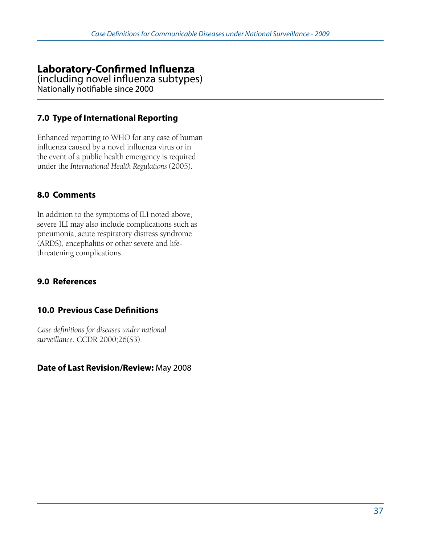# **Laboratory-Confirmed Influenza**

(including novel influenza subtypes) Nationally notifiable since 2000

## **7.0 Type of International Reporting**

Enhanced reporting to WHO for any case of human influenza caused by a novel influenza virus or in the event of a public health emergency is required under the *International Health Regulations* (2005).

## **8.0 Comments**

In addition to the symptoms of ILI noted above, severe ILI may also include complications such as pneumonia, acute respiratory distress syndrome (ARDS), encephalitis or other severe and lifethreatening complications.

## **9.0 References**

### **10.0 Previous Case Definitions**

*Case definitions for diseases under national surveillance.* CCDR 2000;26(S3).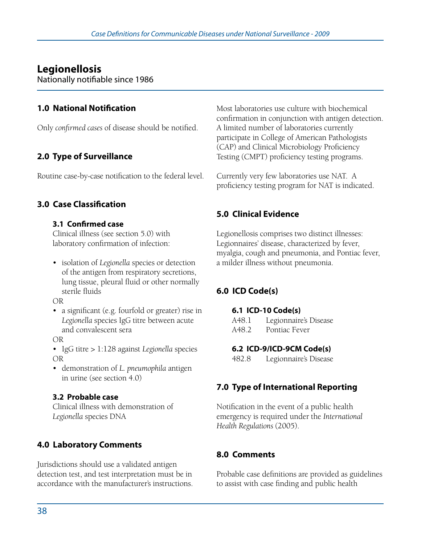# **Legionellosis**

Nationally notifiable since 1986

## **1.0 National Notification**

Only *confirmed cases* of disease should be notified.

# **2.0 Type of Surveillance**

Routine case-by-case notification to the federal level.

## **3.0 Case Classification**

#### **3.1 Confirmed case**

Clinical illness (see section 5.0) with laboratory confirmation of infection:

• isolation of *Legionella* species or detection of the antigen from respiratory secretions, lung tissue, pleural fluid or other normally sterile fluids

OR

• a significant (e.g. fourfold or greater) rise in *Legionella* species IgG titre between acute and convalescent sera

OR

• IgG titre > 1:128 against *Legionella* species OR

• demonstration of *L. pneumophila* antigen in urine (see section 4.0)

#### **3.2 Probable case**

Clinical illness with demonstration of *Legionella* species DNA

## **4.0 Laboratory Comments**

Jurisdictions should use a validated antigen detection test, and test interpretation must be in accordance with the manufacturer's instructions. Most laboratories use culture with biochemical confirmation in conjunction with antigen detection. A limited number of laboratories currently participate in College of American Pathologists (CAP) and Clinical Microbiology Proficiency Testing (CMPT) proficiency testing programs.

Currently very few laboratories use NAT. A proficiency testing program for NAT is indicated.

## **5.0 Clinical Evidence**

Legionellosis comprises two distinct illnesses: Legionnaires' disease, characterized by fever, myalgia, cough and pneumonia, and Pontiac fever, a milder illness without pneumonia.

## **6.0 ICD Code(s)**

#### **6.1 ICD-10 Code(s)**

A48.1 Legionnaire's Disease A48.2 Pontiac Fever

**6.2 ICD-9/ICD-9CM Code(s)** 

482.8 Legionnaire's Disease

## **7.0 Type of International Reporting**

Notification in the event of a public health emergency is required under the *International Health Regulations* (2005).

## **8.0 Comments**

Probable case definitions are provided as guidelines to assist with case finding and public health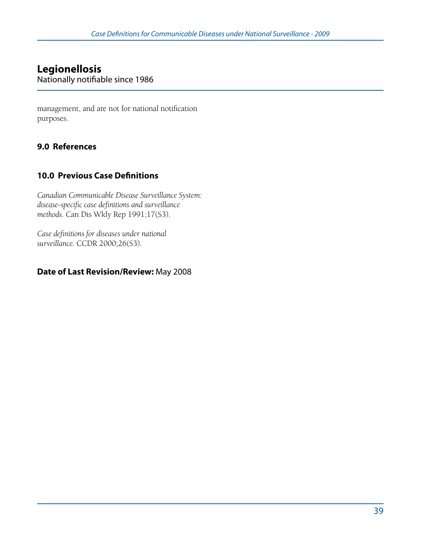# **Legionellosis**

Nationally notifiable since 1986

management, and are not for national notification purposes.

## **9.0 References**

### **10.0 Previous Case Definitions**

*Canadian Communicable Disease Surveillance System: disease-specific case definitions and surveillance methods.* Can Dis Wkly Rep 1991;17(S3).

*Case definitions for diseases under national surveillance.* CCDR 2000;26(S3).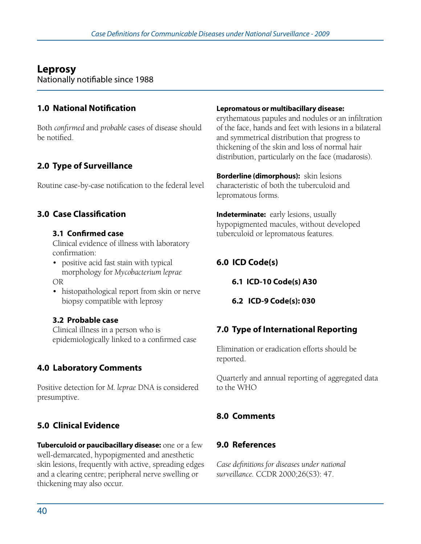# **Leprosy**

Nationally notifiable since 1988

## **1.0 National Notification**

Both *confirmed* and *probable* cases of disease should be notified.

# **2.0 Type of Surveillance**

Routine case-by-case notification to the federal level

## **3.0 Case Classification**

#### **3.1 Confirmed case**

Clinical evidence of illness with laboratory confirmation:

- positive acid fast stain with typical morphology for *Mycobacterium leprae* OR
- histopathological report from skin or nerve biopsy compatible with leprosy

#### **3.2 Probable case**

Clinical illness in a person who is epidemiologically linked to a confirmed case

# **4.0 Laboratory Comments**

Positive detection for *M. leprae* DNA is considered presumptive.

## **5.0 Clinical Evidence**

**Tuberculoid or paucibacillary disease:** one or a few well-demarcated, hypopigmented and anesthetic skin lesions, frequently with active, spreading edges and a clearing centre; peripheral nerve swelling or thickening may also occur.

#### **Lepromatous or multibacillary disease:**

erythematous papules and nodules or an infiltration of the face, hands and feet with lesions in a bilateral and symmetrical distribution that progress to thickening of the skin and loss of normal hair distribution, particularly on the face (madarosis).

**Borderline (dimorphous):** skin lesions characteristic of both the tuberculoid and lepromatous forms.

**Indeterminate:** early lesions, usually hypopigmented macules, without developed tuberculoid or lepromatous features.

### **6.0 ICD Code(s)**

**6.1 ICD-10 Code(s) A30**

**6.2 ICD-9 Code(s): 030**

### **7.0 Type of International Reporting**

Elimination or eradication efforts should be reported.

Quarterly and annual reporting of aggregated data to the WHO

## **8.0 Comments**

### **9.0 References**

*Case definitions for diseases under national surveillance.* CCDR 2000;26(S3): 47.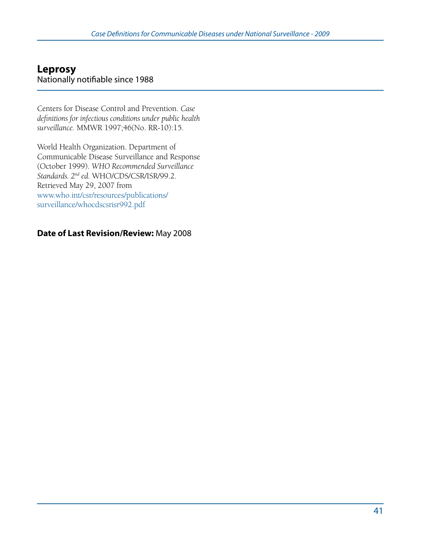## **Leprosy**  Nationally notifiable since 1988

Centers for Disease Control and Prevention. *Case definitions for infectious conditions under public health surveillance.* MMWR 1997;46(No. RR-10):15.

World Health Organization. Department of Communicable Disease Surveillance and Response (October 1999). *WHO Recommended Surveillance Standards. 2nd ed.* WHO/CDS/CSR/ISR/99.2. Retrieved May 29, 2007 from www.who.int/csr/resources/publications/ surveillance/whocdscsrisr992.pdf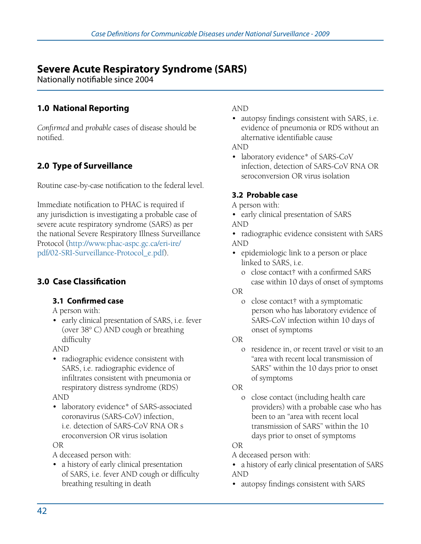# **Severe Acute Respiratory Syndrome (SARS)**

Nationally notifiable since 2004

## **1.0 National Reporting**

*Confirmed* and *probable* cases of disease should be notified.

# **2.0 Type of Surveillance**

Routine case-by-case notification to the federal level.

Immediate notification to PHAC is required if any jurisdiction is investigating a probable case of severe acute respiratory syndrome (SARS) as per the national Severe Respiratory Illness Surveillance Protocol (http://www.phac-aspc.gc.ca/eri-ire/ pdf/02-SRI-Surveillance-Protocol\_e.pdf).

# **3.0 Case Classification**

#### **3.1 Confirmed case**

#### A person with:

• early clinical presentation of SARS, i.e. fever (over 38° C) AND cough or breathing difficulty

AND

- • radiographic evidence consistent with SARS, i.e. radiographic evidence of infiltrates consistent with pneumonia or respiratory distress syndrome (RDS) AND
- laboratory evidence<sup>\*</sup> of SARS-associated coronavirus (SARS-CoV) infection, i.e. detection of SARS-CoV RNA OR s eroconversion OR virus isolation

OR

A deceased person with:

• a history of early clinical presentation of SARS, i.e. fever AND cough or difficulty breathing resulting in death

AND

• autopsy findings consistent with SARS, i.e. evidence of pneumonia or RDS without an alternative identifiable cause

AND

• laboratory evidence<sup>\*</sup> of SARS-CoV infection, detection of SARS-CoV RNA OR seroconversion OR virus isolation

#### **3.2 Probable case**

- A person with:
- early clinical presentation of SARS AND
- radiographic evidence consistent with SARS AND
- epidemiologic link to a person or place linked to SARS, i.e.
	- o close contact† with a confirmed SARS case within 10 days of onset of symptoms

- o close contact† with a symptomatic person who has laboratory evidence of SARS-CoV infection within 10 days of onset of symptoms
- OR
	- o residence in, or recent travel or visit to an "area with recent local transmission of SARS" within the 10 days prior to onset of symptoms

OR

 o close contact (including health care providers) with a probable case who has been to an "area with recent local transmission of SARS" within the 10 days prior to onset of symptoms

OR

- A deceased person with:
- a history of early clinical presentation of SARS AND
- autopsy findings consistent with SARS

OR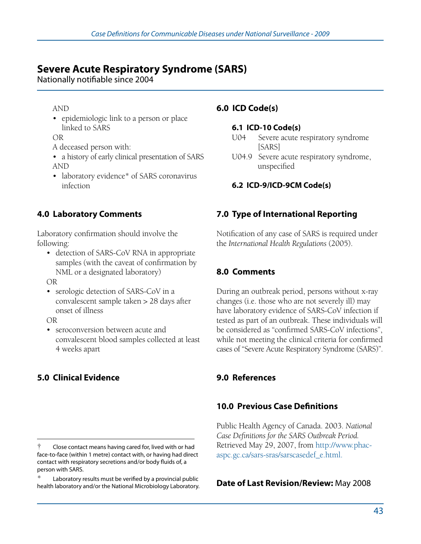# **Severe Acute Respiratory Syndrome (SARS)**

Nationally notifiable since 2004

#### AND

• epidemiologic link to a person or place linked to SARS

OR

- A deceased person with:
- a history of early clinical presentation of SARS AND
- laboratory evidence\* of SARS coronavirus infection

## **4.0 Laboratory Comments**

Laboratory confirmation should involve the following:

• detection of SARS-CoV RNA in appropriate samples (with the caveat of confirmation by NML or a designated laboratory)

OR

• serologic detection of SARS-CoV in a convalescent sample taken > 28 days after onset of illness

OR

• seroconversion between acute and convalescent blood samples collected at least 4 weeks apart

# **5.0 Clinical Evidence**

## **6.0 ICD Code(s)**

#### **6.1 ICD-10 Code(s)**

- U04 Severe acute respiratory syndrome [SARS]
- U04.9 Severe acute respiratory syndrome, unspecified

### **6.2 ICD-9/ICD-9CM Code(s)**

## **7.0 Type of International Reporting**

Notification of any case of SARS is required under the *International Health Regulations* (2005).

# **8.0 Comments**

During an outbreak period, persons without x-ray changes (i.e. those who are not severely ill) may have laboratory evidence of SARS-CoV infection if tested as part of an outbreak. These individuals will be considered as "confirmed SARS-CoV infections", while not meeting the clinical criteria for confirmed cases of "Severe Acute Respiratory Syndrome (SARS)".

## **9.0 References**

## **10.0 Previous Case Definitions**

Public Health Agency of Canada. 2003. *National Case Definitions for the SARS Outbreak Period.* Retrieved May 29, 2007, from http://www.phacaspc.gc.ca/sars-sras/sarscasedef\_e.html.

<sup>†</sup> Close contact means having cared for, lived with or had face-to-face (within 1 metre) contact with, or having had direct contact with respiratory secretions and/or body fluids of, a person with SARS.

Laboratory results must be verified by a provincial public health laboratory and/or the National Microbiology Laboratory.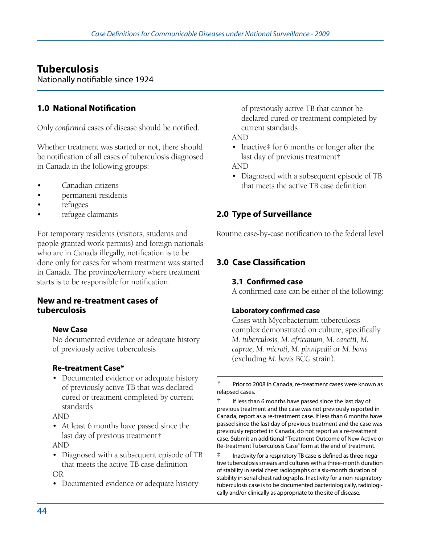# **Tuberculosis**

Nationally notifiable since 1924

## **1.0 National Notification**

Only *confirmed* cases of disease should be notified.

Whether treatment was started or not, there should be notification of all cases of tuberculosis diagnosed in Canada in the following groups:

- Canadian citizens
- permanent residents
- refugees
- refugee claimants

For temporary residents (visitors, students and people granted work permits) and foreign nationals who are in Canada illegally, notification is to be done only for cases for whom treatment was started in Canada. The province/territory where treatment starts is to be responsible for notification.

#### **New and re-treatment cases of tuberculosis**

#### **New Case**

No documented evidence or adequate history of previously active tuberculosis

#### **Re-treatment Case\***

• Documented evidence or adequate history of previously active TB that was declared cured or treatment completed by current standards

#### AND

• At least 6 months have passed since the last day of previous treatment†

AND

- Diagnosed with a subsequent episode of TB that meets the active TB case definition OR
- Documented evidence or adequate history

of previously active TB that cannot be declared cured or treatment completed by current standards

AND

• Inactive‡ for 6 months or longer after the last day of previous treatment†

AND

• Diagnosed with a subsequent episode of TB that meets the active TB case definition

### **2.0 Type of Surveillance**

Routine case-by-case notification to the federal level

## **3.0 Case Classification**

#### **3.1 Confirmed case**

A confirmed case can be either of the following:

#### **Laboratory confirmed case**

Cases with Mycobacterium tuberculosis complex demonstrated on culture, specifically *M. tuberculosis, M. africanum, M. canetti, M. caprae, M. microti, M. pinnipedii* or *M. bovis*  (excluding *M. bovis* BCG strain).

Prior to 2008 in Canada, re-treatment cases were known as relapsed cases.

If less than 6 months have passed since the last day of previous treatment and the case was not previously reported in Canada, report as a re-treatment case. If less than 6 months have passed since the last day of previous treatment and the case was previously reported in Canada, do not report as a re-treatment case. Submit an additional "Treatment Outcome of New Active or Re-treatment Tuberculosis Case" form at the end of treatment.

 $\ddot{\ddot{\phi}}$  Inactivity for a respiratory TB case is defined as three negative tuberculosis smears and cultures with a three-month duration of stability in serial chest radiographs or a six-month duration of stability in serial chest radiographs. Inactivity for a non-respiratory tuberculosis case is to be documented bacteriologically, radiologically and/or clinically as appropriate to the site of disease.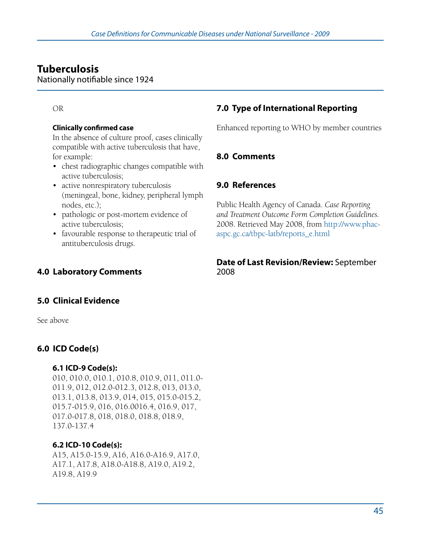# **Tuberculosis**

Nationally notifiable since 1924

#### OR

#### **Clinically confirmed case**

In the absence of culture proof, cases clinically compatible with active tuberculosis that have, for example:

- • chest radiographic changes compatible with active tuberculosis;
- active nonrespiratory tuberculosis (meningeal, bone, kidney, peripheral lymph nodes, etc.);
- pathologic or post-mortem evidence of active tuberculosis;
- favourable response to therapeutic trial of antituberculosis drugs.

## **4.0 Laboratory Comments**

# **7.0 Type of International Reporting**

Enhanced reporting to WHO by member countries

#### **8.0 Comments**

### **9.0 References**

Public Health Agency of Canada. *Case Reporting and Treatment Outcome Form Completion Guidelines.* 2008. Retrieved May 2008, from http://www.phacaspc.gc.ca/tbpc-latb/reports\_e.html

#### **Date of Last Revision/Review:** September 2008

#### **5.0 Clinical Evidence**

See above

### **6.0 ICD Code(s)**

#### **6.1 ICD-9 Code(s):**

010, 010.0, 010.1, 010.8, 010.9, 011, 011.0- 011.9, 012, 012.0-012.3, 012.8, 013, 013.0, 013.1, 013.8, 013.9, 014, 015, 015.0-015.2, 015.7-015.9, 016, 016.0016.4, 016.9, 017, 017.0-017.8, 018, 018.0, 018.8, 018.9, 137.0-137.4

#### **6.2 ICD-10 Code(s):**

A15, A15.0-15.9, A16, A16.0-A16.9, A17.0, A17.1, A17.8, A18.0-A18.8, A19.0, A19.2, A19.8, A19.9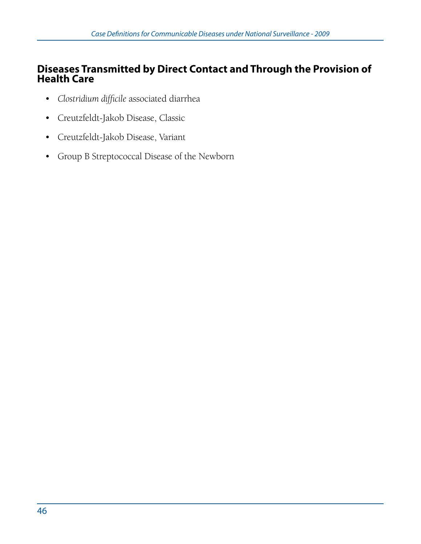# **Diseases Transmitted by Direct Contact and Through the Provision of Health Care**

- • *Clostridium difficile* associated diarrhea
- • Creutzfeldt-Jakob Disease, Classic
- • Creutzfeldt-Jakob Disease, Variant
- • Group B Streptococcal Disease of the Newborn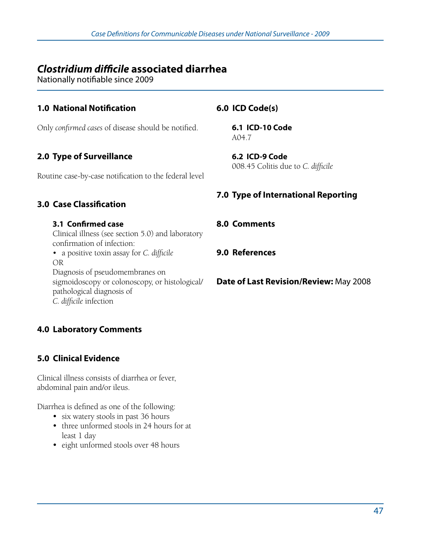# *Clostridium difficile* **associated diarrhea**

Nationally notifiable since 2009

## **1.0 National Notification**

Only *confirmed cases* of disease should be notified.

## **2.0 Type of Surveillance**

Routine case-by-case notification to the federal level

### **3.0 Case Classification**

#### **3.1 Confirmed case**

Clinical illness (see section 5.0) and laboratory confirmation of infection:

• a positive toxin assay for *C. difficile* OR Diagnosis of pseudomembranes on sigmoidoscopy or colonoscopy, or histological/ pathological diagnosis of

*C. difficile* infection

### **4.0 Laboratory Comments**

### **5.0 Clinical Evidence**

Clinical illness consists of diarrhea or fever, abdominal pain and/or ileus.

Diarrhea is defined as one of the following:

- six watery stools in past 36 hours
- three unformed stools in 24 hours for at least 1 day
- eight unformed stools over 48 hours

### **6.0 ICD Code(s)**

**6.1 ICD-10 Code**  A04.7

**6.2 ICD-9 Code**  008.45 Colitis due to *C. difficile*

### **7.0 Type of International Reporting**

### **8.0 Comments**

#### **9.0 References**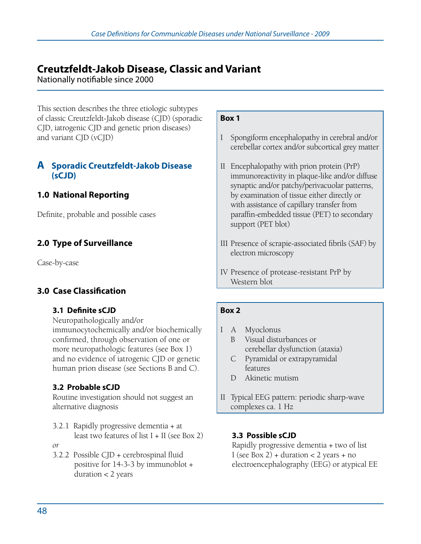Nationally notifiable since 2000

This section describes the three etiologic subtypes of classic Creutzfeldt-Jakob disease (CJD) (sporadic CJD, iatrogenic CJD and genetic prion diseases) and variant CJD (vCJD)

### **A Sporadic Creutzfeldt-Jakob Disease (sCJD)**

## **1.0 National Reporting**

Definite, probable and possible cases

## **2.0 Type of Surveillance**

Case-by-case

### **3.0 Case Classification**

#### **3.1 Definite sCJD**

Neuropathologically and/or immunocytochemically and/or biochemically confirmed, through observation of one or more neuropathologic features (see Box 1) and no evidence of iatrogenic CJD or genetic human prion disease (see Sections B and C).

### **3.2 Probable sCJD**

Routine investigation should not suggest an alternative diagnosis

- 3.2.1 Rapidly progressive dementia + at least two features of list  $I + II$  (see Box 2) *or*
- 3.2.2 Possible CJD + cerebrospinal fluid positive for 14-3-3 by immunoblot + duration < 2 years

#### **Box 1**

- I Spongiform encephalopathy in cerebral and/or cerebellar cortex and/or subcortical grey matter
- II Encephalopathy with prion protein (PrP) immunoreactivity in plaque-like and/or diffuse synaptic and/or patchy/perivacuolar patterns, by examination of tissue either directly or with assistance of capillary transfer from paraffin-embedded tissue (PET) to secondary support (PET blot)
- III Presence of scrapie-associated fibrils (SAF) by electron microscopy
- IV Presence of protease-resistant PrP by Western blot

#### **Box 2**

- I A Myoclonus B Visual disturbances or
	- cerebellar dysfunction (ataxia) C Pyramidal or extrapyramidal features
	- D Akinetic mutism
- II Typical EEG pattern: periodic sharp-wave complexes ca. 1 Hz

#### **3.3 Possible sCJD**

Rapidly progressive dementia + two of list I (see Box 2) + duration < 2 years + no electroencephalography (EEG) or atypical EE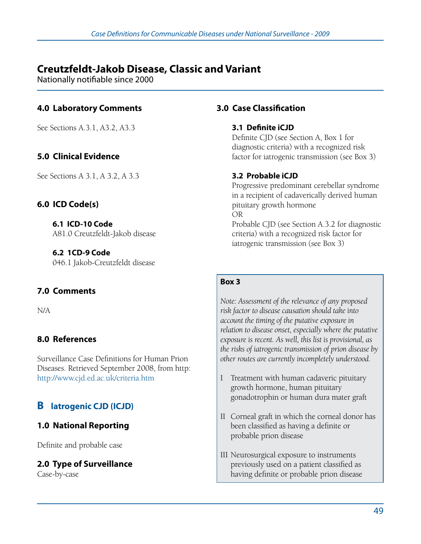Nationally notifiable since 2000

## **4.0 Laboratory Comments**

See Sections A.3.1, A3.2, A3.3

## **5.0 Clinical Evidence**

See Sections A 3.1, A 3.2, A 3.3

#### **6.0 ICD Code(s)**

**6.1 ICD-10 Code**  A81.0 Creutzfeldt-Jakob disease

**6.2 1CD-9 Code**  046.1 Jakob-Creutzfeldt disease

### **7.0 Comments**

N/A

### **8.0 References**

Surveillance Case Definitions for Human Prion Diseases. Retrieved September 2008, from http: http://www.cjd.ed.ac.uk/criteria.htm

# **B latrogenic CJD (ICJD)**

### **1.0 National Reporting**

Definite and probable case

#### **2.0 Type of Surveillance**

Case-by-case

#### **3.0 Case Classification**

#### **3.1 Definite iCJD**

Definite CJD (see Section A, Box 1 for diagnostic criteria) with a recognized risk factor for iatrogenic transmission (see Box 3)

#### **3.2 Probable iCJD**

Progressive predominant cerebellar syndrome in a recipient of cadaverically derived human pituitary growth hormone OR Probable CJD (see Section A.3.2 for diagnostic criteria) with a recognized risk factor for iatrogenic transmission (see Box 3)

#### **Box 3**

*Note: Assessment of the relevance of any proposed risk factor to disease causation should take into account the timing of the putative exposure in relation to disease onset, especially where the putative exposure is recent. As well, this list is provisional, as the risks of iatrogenic transmission of prion disease by other routes are currently incompletely understood.*

- I Treatment with human cadaveric pituitary growth hormone, human pituitary gonadotrophin or human dura mater graft
- II Corneal graft in which the corneal donor has been classified as having a definite or probable prion disease
- III Neurosurgical exposure to instruments previously used on a patient classified as having definite or probable prion disease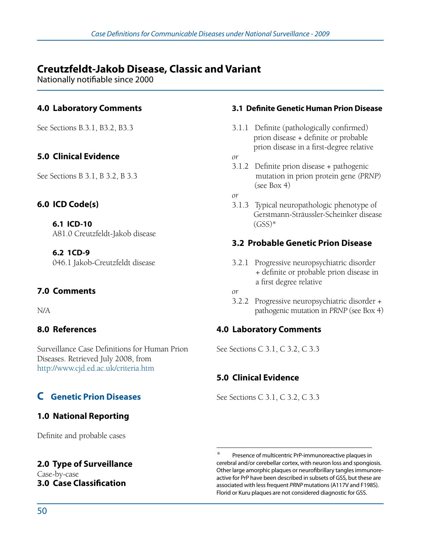Nationally notifiable since 2000

## **4.0 Laboratory Comments**

See Sections B.3.1, B3.2, B3.3

## **5.0 Clinical Evidence**

See Sections B 3.1, B 3.2, B 3.3

#### **6.0 ICD Code(s)**

**6.1 ICD-10**  A81.0 Creutzfeldt-Jakob disease

**6.2 1CD-9**  046.1 Jakob-Creutzfeldt disease

### **7.0 Comments**

N/A

#### **8.0 References**

Surveillance Case Definitions for Human Prion Diseases. Retrieved July 2008, from http://www.cjd.ed.ac.uk/criteria.htm

# **C Genetic Prion Diseases**

### **1.0 National Reporting**

Definite and probable cases

# **2.0 Type of Surveillance**

Case-by-case **3.0 Case Classification**

#### **3.1 Definite Genetic Human Prion Disease**

- 3.1.1 Definite (pathologically confirmed) prion disease + definite or probable prion disease in a first-degree relative
- *or*
- 3.1.2 Definite prion disease + pathogenic mutation in prion protein gene *(PRNP)* (see Box 4)
- *or*
- 3.1.3 Typical neuropathologic phenotype of Gerstmann-Sträussler-Scheinker disease  $(GSS)*$

## **3.2 Probable Genetic Prion Disease**

3.2.1 Progressive neuropsychiatric disorder + definite or probable prion disease in a first degree relative

3.2.2 Progressive neuropsychiatric disorder + pathogenic mutation in *PRNP* (see Box 4)

### **4.0 Laboratory Comments**

See Sections C 3.1, C 3.2, C 3.3

### **5.0 Clinical Evidence**

See Sections C 3.1, C 3.2, C 3.3

*or*

Presence of multicentric PrP-immunoreactive plaques in cerebral and/or cerebellar cortex, with neuron loss and spongiosis. Other large amorphic plaques or neurofibrillary tangles immunoreactive for PrP have been described in subsets of GSS, but these are associated with less frequent *PRNP* mutations (A117V and F198S). Florid or Kuru plaques are not considered diagnostic for GSS.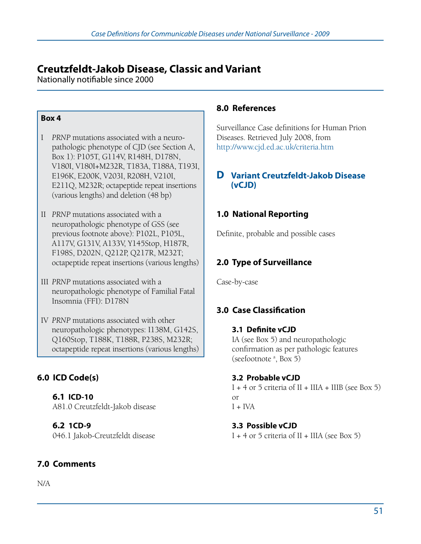Nationally notifiable since 2000

#### **Box 4**

- I *PRNP* mutations associated with a neuro- pathologic phenotype of CJD (see Section A, Box 1): P105T, G114V, R148H, D178N, V180I, V180I+M232R, T183A, T188A, T193I, E196K, E200K, V203I, R208H, V210I, E211Q, M232R; octapeptide repeat insertions (various lengths) and deletion (48 bp)
- II *PRNP* mutations associated with a neuropathologic phenotype of GSS (see previous footnote above): P102L, P105L, A117V, G131V, A133V, Y145Stop, H187R, F198S, D202N, Q212P, Q217R, M232T; octapeptide repeat insertions (various lengths)
- III *PRNP* mutations associated with a neuropathologic phenotype of Familial Fatal Insomnia (FFI): D178N
- IV *PRNP* mutations associated with other neuropathologic phenotypes: I138M, G142S, Q160Stop, T188K, T188R, P238S, M232R; octapeptide repeat insertions (various lengths)

# **6.0 ICD Code(s)**

**6.1 ICD-10**  A81.0 Creutzfeldt-Jakob disease

**6.2 1CD-9** 046.1 Jakob-Creutzfeldt disease

# **7.0 Comments**

N/A

### **8.0 References**

Surveillance Case definitions for Human Prion Diseases. Retrieved July 2008, from http://www.cjd.ed.ac.uk/criteria.htm

### **D Variant Creutzfeldt-Jakob Disease (vCJD)**

## **1.0 National Reporting**

Definite, probable and possible cases

# **2.0 Type of Surveillance**

Case-by-case

# **3.0 Case Classification**

# **3.1 Definite vCJD** IA (see Box 5) and neuropathologic

# confirmation as per pathologic features (seefootnote<sup>a</sup>, Box 5)

### **3.2 Probable vCJD**

I + 4 or 5 criteria of II + IIIA + IIIB (see Box 5) or  $I + IVA$ 

#### **3.3 Possible vCJD**  I + 4 or 5 criteria of II + IIIA (see Box 5)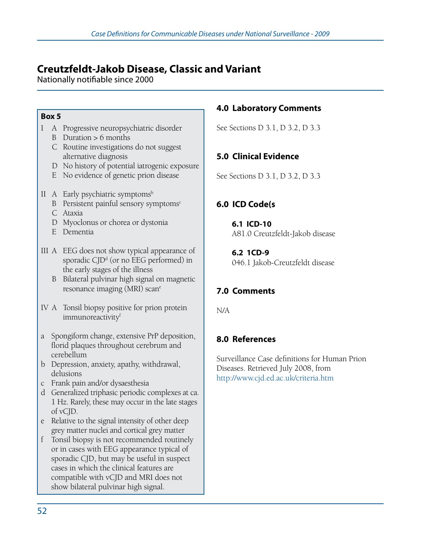Nationally notifiable since 2000

#### **Box 5**

- I A Progressive neuropsychiatric disorder
	- B Duration  $> 6$  months
	- C Routine investigations do not suggest alternative diagnosis
	- D No history of potential iatrogenic exposure
	- E No evidence of genetic prion disease
- II A Early psychiatric symptoms<sup>b</sup>
	- B Persistent painful sensory symptoms<sup>c</sup>
	- C Ataxia
	- D Myoclonus or chorea or dystonia
	- E Dementia
- III A EEG does not show typical appearance of sporadic  $C/D<sup>d</sup>$  (or no EEG performed) in the early stages of the illness
	- B Bilateral pulvinar high signal on magnetic resonance imaging (MRI) scan<sup>e</sup>
- IV A Tonsil biopsy positive for prion protein immunoreactivity<sup>f</sup>
- a Spongiform change, extensive PrP deposition, florid plaques throughout cerebrum and cerebellum
- b Depression, anxiety, apathy, withdrawal, delusions
- c Frank pain and/or dysaesthesia
- d Generalized triphasic periodic complexes at ca. 1 Hz. Rarely, these may occur in the late stages of vCJD.
- e Relative to the signal intensity of other deep grey matter nuclei and cortical grey matter
- f Tonsil biopsy is not recommended routinely or in cases with EEG appearance typical of sporadic CJD, but may be useful in suspect cases in which the clinical features are compatible with vCJD and MRI does not show bilateral pulvinar high signal.

## **4.0 Laboratory Comments**

See Sections D 3.1, D 3.2, D 3.3

# **5.0 Clinical Evidence**

See Sections D 3.1, D 3.2, D 3.3

# **6.0 ICD Code(s**

**6.1 ICD-10**  A81.0 Creutzfeldt-Jakob disease

**6.2 1CD-9**  046.1 Jakob-Creutzfeldt disease

# **7.0 Comments**

N/A

# **8.0 References**

Surveillance Case definitions for Human Prion Diseases. Retrieved July 2008, from http://www.cjd.ed.ac.uk/criteria.htm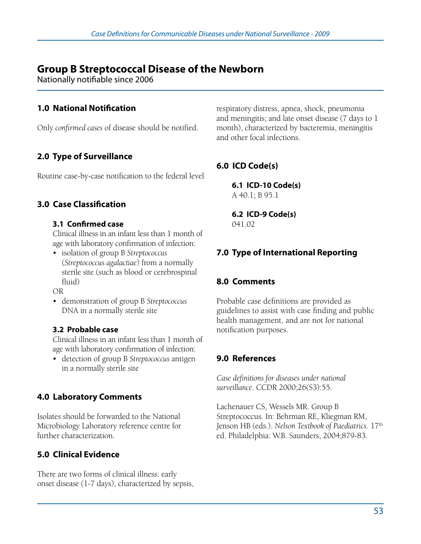# **Group B Streptococcal Disease of the Newborn**

Nationally notifiable since 2006

## **1.0 National Notification**

Only *confirmed cases* of disease should be notified.

# **2.0 Type of Surveillance**

Routine case-by-case notification to the federal level

## **3.0 Case Classification**

#### **3.1 Confirmed case**

Clinical illness in an infant less than 1 month of age with laboratory confirmation of infection:

• isolation of group B *Streptococcus* (*Streptococcus agalactiae*) from a normally sterile site (such as blood or cerebrospinal fluid)

OR

• demonstration of group B *Streptococcus* DNA in a normally sterile site

#### **3.2 Probable case**

Clinical illness in an infant less than 1 month of age with laboratory confirmation of infection:

• detection of group B *Streptococcus* antigen in a normally sterile site

## **4.0 Laboratory Comments**

Isolates should be forwarded to the National Microbiology Laboratory reference centre for further characterization.

# **5.0 Clinical Evidence**

There are two forms of clinical illness: early onset disease (1-7 days), characterized by sepsis, respiratory distress, apnea, shock, pneumonia and meningitis; and late onset disease (7 days to 1 month), characterized by bacteremia, meningitis and other focal infections.

# **6.0 ICD Code(s)**

**6.1 ICD-10 Code(s)**  A 40.1; B 95.1

**6.2 ICD-9 Code(s)**  041.02

# **7.0 Type of International Reporting**

### **8.0 Comments**

Probable case definitions are provided as guidelines to assist with case finding and public health management, and are not for national notification purposes.

## **9.0 References**

*Case definitions for diseases under national surveillance*. CCDR 2000;26(S3):55.

Lachenauer CS, Wessels MR. Group B Streptococcus. In: Behrman RE, Kliegman RM, Jenson HB (eds.). *Nelson Textbook of Paediatrics*. 17<sup>th</sup> ed. Philadelphia: W.B. Saunders, 2004;879-83.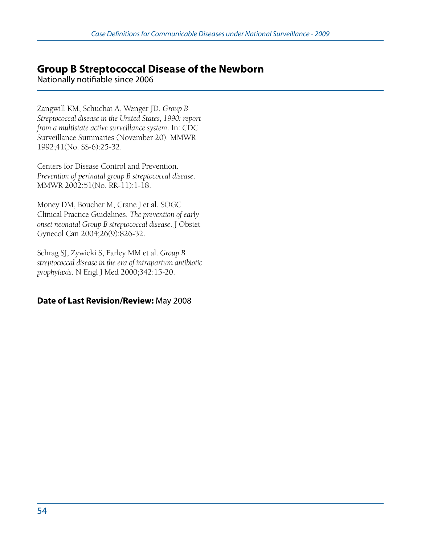# **Group B Streptococcal Disease of the Newborn**

Nationally notifiable since 2006

Zangwill KM, Schuchat A, Wenger JD. *Group B Streptococcal disease in the United States, 1990: report from a multistate active surveillance system*. In: CDC Surveillance Summaries (November 20). MMWR 1992;41(No. SS-6):25-32.

Centers for Disease Control and Prevention. *Prevention of perinatal group B streptococcal disease*. MMWR 2002;51(No. RR-11):1-18.

Money DM, Boucher M, Crane J et al. SOGC Clinical Practice Guidelines. *The prevention of early onset neonatal Group B streptococcal disease*. J Obstet Gynecol Can 2004;26(9):826-32.

Schrag SJ, Zywicki S, Farley MM et al. *Group B streptococcal disease in the era of intrapartum antibiotic prophylaxis*. N Engl J Med 2000;342:15-20.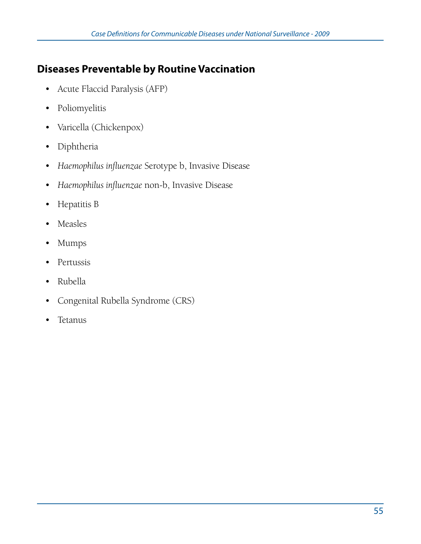# **Diseases Preventable by Routine Vaccination**

- • Acute Flaccid Paralysis (AFP)
- • Poliomyelitis
- • Varicella (Chickenpox)
- • Diphtheria
- • *Haemophilus influenzae* Serotype b, Invasive Disease
- • *Haemophilus influenzae* non-b, Invasive Disease
- • Hepatitis B
- Measles
- • Mumps
- • Pertussis
- • Rubella
- • Congenital Rubella Syndrome (CRS)
- • Tetanus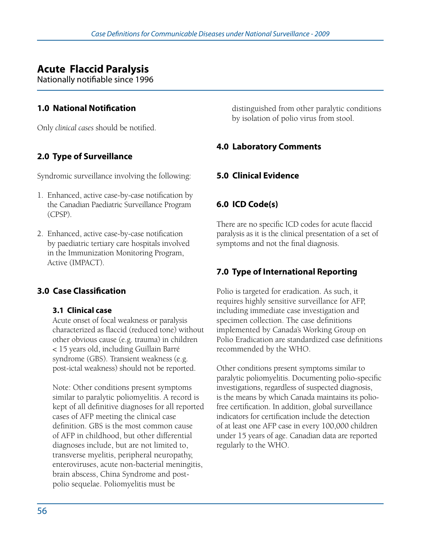# **Acute Flaccid Paralysis**

Nationally notifiable since 1996

## **1.0 National Notification**

Only *clinical cases* should be notified.

# **2.0 Type of Surveillance**

Syndromic surveillance involving the following:

- 1. Enhanced, active case-by-case notification by the Canadian Paediatric Surveillance Program (CPSP).
- 2. Enhanced, active case-by-case notification by paediatric tertiary care hospitals involved in the Immunization Monitoring Program, Active (IMPACT).

## **3.0 Case Classification**

#### **3.1 Clinical case**

Acute onset of focal weakness or paralysis characterized as flaccid (reduced tone) without other obvious cause (e.g. trauma) in children < 15 years old, including Guillain Barré syndrome (GBS). Transient weakness (e.g. post-ictal weakness) should not be reported.

Note: Other conditions present symptoms similar to paralytic poliomyelitis. A record is kept of all definitive diagnoses for all reported cases of AFP meeting the clinical case definition. GBS is the most common cause of AFP in childhood, but other differential diagnoses include, but are not limited to, transverse myelitis, peripheral neuropathy, enteroviruses, acute non-bacterial meningitis, brain abscess, China Syndrome and postpolio sequelae. Poliomyelitis must be

distinguished from other paralytic conditions by isolation of polio virus from stool.

### **4.0 Laboratory Comments**

## **5.0 Clinical Evidence**

### **6.0 ICD Code(s)**

There are no specific ICD codes for acute flaccid paralysis as it is the clinical presentation of a set of symptoms and not the final diagnosis.

## **7.0 Type of International Reporting**

Polio is targeted for eradication. As such, it requires highly sensitive surveillance for AFP, including immediate case investigation and specimen collection. The case definitions implemented by Canada's Working Group on Polio Eradication are standardized case definitions recommended by the WHO.

Other conditions present symptoms similar to paralytic poliomyelitis. Documenting polio-specific investigations, regardless of suspected diagnosis, is the means by which Canada maintains its poliofree certification. In addition, global surveillance indicators for certification include the detection of at least one AFP case in every 100,000 children under 15 years of age. Canadian data are reported regularly to the WHO.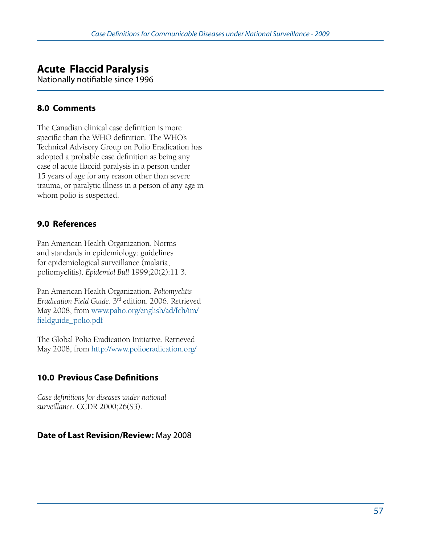# **Acute Flaccid Paralysis**

Nationally notifiable since 1996

## **8.0 Comments**

The Canadian clinical case definition is more specific than the WHO definition. The WHO's Technical Advisory Group on Polio Eradication has adopted a probable case definition as being any case of acute flaccid paralysis in a person under 15 years of age for any reason other than severe trauma, or paralytic illness in a person of any age in whom polio is suspected.

# **9.0 References**

Pan American Health Organization. Norms and standards in epidemiology: guidelines for epidemiological surveillance (malaria, poliomyelitis). *Epidemiol Bull* 1999;20(2):11 3.

Pan American Health Organization. *Poliomyelitis Eradication Field Guide*. 3rd edition. 2006. Retrieved May 2008, from www.paho.org/english/ad/fch/im/ fieldguide\_polio.pdf

The Global Polio Eradication Initiative. Retrieved May 2008, from http://www.polioeradication.org/

# **10.0 Previous Case Definitions**

*Case definitions for diseases under national surveillance*. CCDR 2000;26(S3).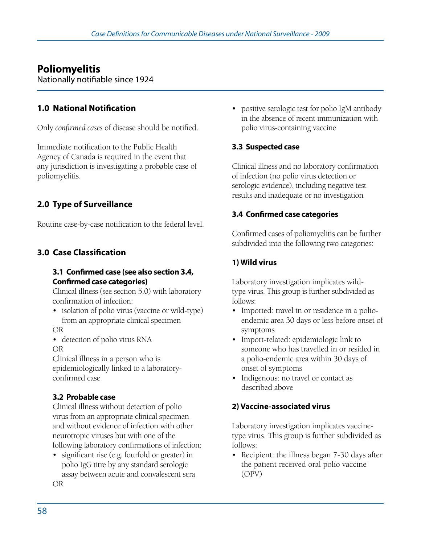# **Poliomyelitis**

Nationally notifiable since 1924

## **1.0 National Notification**

Only *confirmed cases* of disease should be notified.

Immediate notification to the Public Health Agency of Canada is required in the event that any jurisdiction is investigating a probable case of poliomyelitis.

## **2.0 Type of Surveillance**

Routine case-by-case notification to the federal level.

## **3.0 Case Classification**

#### **3.1 Confirmed case (see also section 3.4, Confirmed case categories)**

Clinical illness (see section 5.0) with laboratory confirmation of infection:

• isolation of polio virus (vaccine or wild-type) from an appropriate clinical specimen

OR

• detection of polio virus RNA

OR

Clinical illness in a person who is epidemiologically linked to a laboratoryconfirmed case

#### **3.2 Probable case**

Clinical illness without detection of polio virus from an appropriate clinical specimen and without evidence of infection with other neurotropic viruses but with one of the following laboratory confirmations of infection:

• significant rise (e.g. fourfold or greater) in polio IgG titre by any standard serologic assay between acute and convalescent sera OR

• positive serologic test for polio IgM antibody in the absence of recent immunization with polio virus-containing vaccine

## **3.3 Suspected case**

Clinical illness and no laboratory confirmation of infection (no polio virus detection or serologic evidence), including negative test results and inadequate or no investigation

#### **3.4 Confirmed case categories**

Confirmed cases of poliomyelitis can be further subdivided into the following two categories:

## **1) Wild virus**

Laboratory investigation implicates wildtype virus. This group is further subdivided as follows:

- Imported: travel in or residence in a polioendemic area 30 days or less before onset of symptoms
- • Import-related: epidemiologic link to someone who has travelled in or resided in a polio-endemic area within 30 days of onset of symptoms
- Indigenous: no travel or contact as described above

### **2) Vaccine-associated virus**

Laboratory investigation implicates vaccinetype virus. This group is further subdivided as follows:

• Recipient: the illness began 7-30 days after the patient received oral polio vaccine (OPV)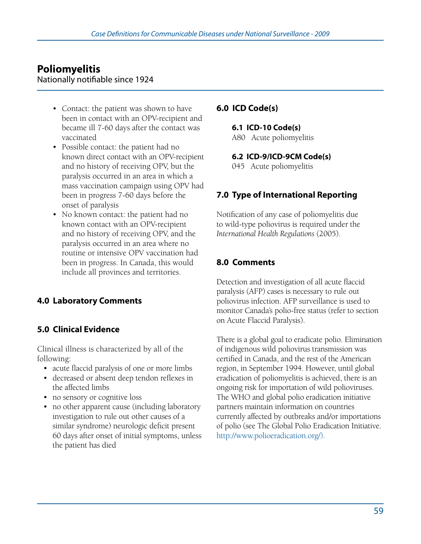# **Poliomyelitis**

Nationally notifiable since 1924

- Contact: the patient was shown to have been in contact with an OPV-recipient and became ill 7-60 days after the contact was vaccinated
- • Possible contact: the patient had no known direct contact with an OPV-recipient and no history of receiving OPV, but the paralysis occurred in an area in which a mass vaccination campaign using OPV had been in progress 7-60 days before the onset of paralysis
- No known contact: the patient had no known contact with an OPV-recipient and no history of receiving OPV, and the paralysis occurred in an area where no routine or intensive OPV vaccination had been in progress. In Canada, this would include all provinces and territories.

### **4.0 Laboratory Comments**

#### **5.0 Clinical Evidence**

Clinical illness is characterized by all of the following:

- acute flaccid paralysis of one or more limbs
- decreased or absent deep tendon reflexes in the affected limbs
- no sensory or cognitive loss
- no other apparent cause (including laboratory investigation to rule out other causes of a similar syndrome) neurologic deficit present 60 days after onset of initial symptoms, unless the patient has died

#### **6.0 ICD Code(s)**

**6.1 ICD-10 Code(s)**  A80 Acute poliomyelitis

**6.2 ICD-9/ICD-9CM Code(s)** 

045 Acute poliomyelitis

#### **7.0 Type of International Reporting**

Notification of any case of poliomyelitis due to wild-type poliovirus is required under the *International Health Regulations* (2005).

#### **8.0 Comments**

Detection and investigation of all acute flaccid paralysis (AFP) cases is necessary to rule out poliovirus infection. AFP surveillance is used to monitor Canada's polio-free status (refer to section on Acute Flaccid Paralysis).

There is a global goal to eradicate polio. Elimination of indigenous wild poliovirus transmission was certified in Canada, and the rest of the American region, in September 1994. However, until global eradication of poliomyelitis is achieved, there is an ongoing risk for importation of wild polioviruses. The WHO and global polio eradication initiative partners maintain information on countries currently affected by outbreaks and/or importations of polio (see The Global Polio Eradication Initiative. http://www.polioeradication.org/).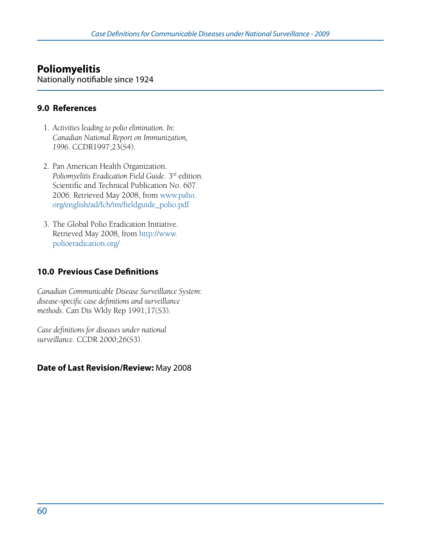# **Poliomyelitis**

Nationally notifiable since 1924

#### **9.0 References**

- 1. *Activities leading to polio elimination. In: Canadian National Report on Immunization, 1996*. CCDR1997;23(S4).
- 2. Pan American Health Organization. *Poliomyelitis Eradication Field Guide*. 3rd edition. Scientific and Technical Publication No. 607. 2006. Retrieved May 2008, from www.paho. org/english/ad/fch/im/fieldguide\_polio.pdf
- 3. The Global Polio Eradication Initiative. Retrieved May 2008, from http://www. polioeradication.org/

### **10.0 Previous Case Definitions**

*Canadian Communicable Disease Surveillance System: disease-specific case definitions and surveillance methods*. Can Dis Wkly Rep 1991;17(S3).

*Case definitions for diseases under national surveillance*. CCDR 2000;26(S3).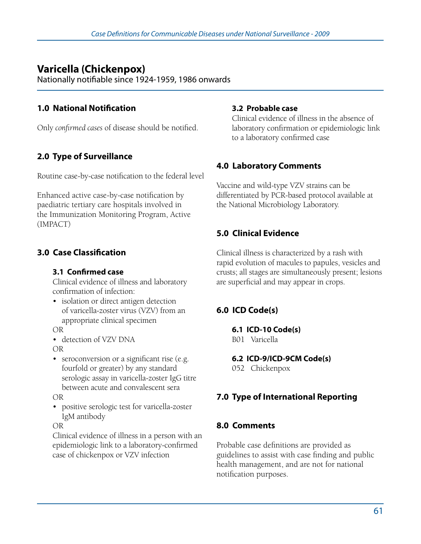# **Varicella (Chickenpox)**

Nationally notifiable since 1924-1959, 1986 onwards

## **1.0 National Notification**

Only *confirmed cases* of disease should be notified.

# **2.0 Type of Surveillance**

Routine case-by-case notification to the federal level

Enhanced active case-by-case notification by paediatric tertiary care hospitals involved in the Immunization Monitoring Program, Active (IMPACT)

## **3.0 Case Classification**

#### **3.1 Confirmed case**

Clinical evidence of illness and laboratory confirmation of infection:

- isolation or direct antigen detection of varicella-zoster virus (VZV) from an appropriate clinical specimen
- OR
- detection of VZV DNA
- OR
- seroconversion or a significant rise (e.g. fourfold or greater) by any standard serologic assay in varicella-zoster IgG titre between acute and convalescent sera

OR

• positive serologic test for varicella-zoster IgM antibody

OR

Clinical evidence of illness in a person with an epidemiologic link to a laboratory-confirmed case of chickenpox or VZV infection

#### **3.2 Probable case**

Clinical evidence of illness in the absence of laboratory confirmation or epidemiologic link to a laboratory confirmed case

## **4.0 Laboratory Comments**

Vaccine and wild-type VZV strains can be differentiated by PCR-based protocol available at the National Microbiology Laboratory.

# **5.0 Clinical Evidence**

Clinical illness is characterized by a rash with rapid evolution of macules to papules, vesicles and crusts; all stages are simultaneously present; lesions are superficial and may appear in crops.

# **6.0 ICD Code(s)**

**6.1 ICD-10 Code(s)**  B01 Varicella

**6.2 ICD-9/ICD-9CM Code(s)** 

052 Chickenpox

# **7.0 Type of International Reporting**

### **8.0 Comments**

Probable case definitions are provided as guidelines to assist with case finding and public health management, and are not for national notification purposes.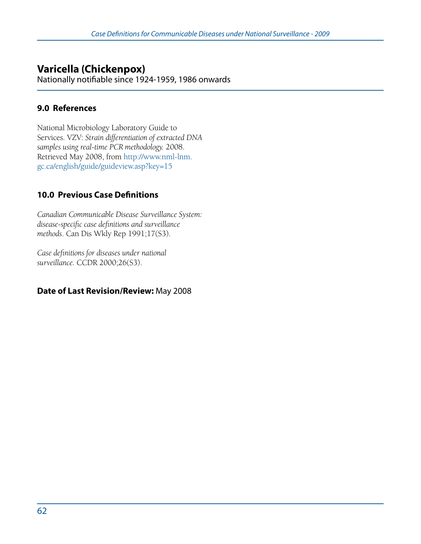# **Varicella (Chickenpox)**

Nationally notifiable since 1924-1959, 1986 onwards

#### **9.0 References**

National Microbiology Laboratory Guide to Services. VZV: *Strain differentiation of extracted DNA samples using real-time PCR methodology.* 2008. Retrieved May 2008, from http://www.nml-lnm. gc.ca/english/guide/guideview.asp?key=15

### **10.0 Previous Case Definitions**

*Canadian Communicable Disease Surveillance System: disease-specific case definitions and surveillance methods*. Can Dis Wkly Rep 1991;17(S3).

*Case definitions for diseases under national surveillance.* CCDR 2000;26(S3).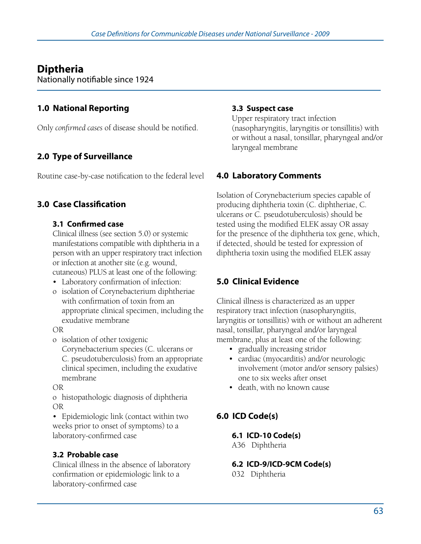# **Diptheria**

Nationally notifiable since 1924

## **1.0 National Reporting**

Only *confirmed cases* of disease should be notified.

# **2.0 Type of Surveillance**

Routine case-by-case notification to the federal level

## **3.0 Case Classification**

#### **3.1 Confirmed case**

Clinical illness (see section 5.0) or systemic manifestations compatible with diphtheria in a person with an upper respiratory tract infection or infection at another site (e.g. wound, cutaneous) PLUS at least one of the following:

- • Laboratory confirmation of infection:
- o isolation of Corynebacterium diphtheriae with confirmation of toxin from an appropriate clinical specimen, including the exudative membrane

#### OR

o isolation of other toxigenic

Corynebacterium species (C. ulcerans or C. pseudotuberculosis) from an appropriate clinical specimen, including the exudative membrane

OR

o histopathologic diagnosis of diphtheria OR

• Epidemiologic link (contact within two weeks prior to onset of symptoms) to a laboratory-confirmed case

### **3.2 Probable case**

Clinical illness in the absence of laboratory confirmation or epidemiologic link to a laboratory-confirmed case

#### **3.3 Suspect case**

Upper respiratory tract infection (nasopharyngitis, laryngitis or tonsillitis) with or without a nasal, tonsillar, pharyngeal and/or laryngeal membrane

## **4.0 Laboratory Comments**

Isolation of Corynebacterium species capable of producing diphtheria toxin (C. diphtheriae, C. ulcerans or C. pseudotuberculosis) should be tested using the modified ELEK assay OR assay for the presence of the diphtheria tox gene, which, if detected, should be tested for expression of diphtheria toxin using the modified ELEK assay

## **5.0 Clinical Evidence**

Clinical illness is characterized as an upper respiratory tract infection (nasopharyngitis, laryngitis or tonsillitis) with or without an adherent nasal, tonsillar, pharyngeal and/or laryngeal membrane, plus at least one of the following:

- gradually increasing stridor
- • cardiac (myocarditis) and/or neurologic involvement (motor and/or sensory palsies) one to six weeks after onset
- death, with no known cause

# **6.0 ICD Code(s)**

### **6.1 ICD-10 Code(s)**

A36 Diphtheria

#### **6.2 ICD-9/ICD-9CM Code(s)**

032 Diphtheria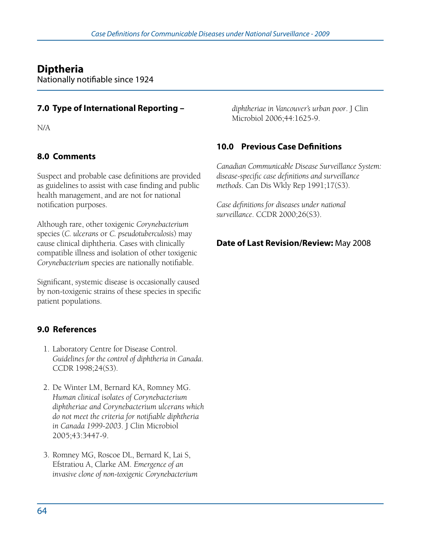# **Diptheria**

Nationally notifiable since 1924

### **7.0 Type of International Reporting –**

N/A

### **8.0 Comments**

Suspect and probable case definitions are provided as guidelines to assist with case finding and public health management, and are not for national notification purposes.

Although rare, other toxigenic *Corynebacterium* species (*C. ulcerans* or *C. pseudotuberculosis*) may cause clinical diphtheria. Cases with clinically compatible illness and isolation of other toxigenic *Corynebacterium* species are nationally notifiable.

Significant, systemic disease is occasionally caused by non-toxigenic strains of these species in specific patient populations.

### **9.0 References**

- 1. Laboratory Centre for Disease Control. *Guidelines for the control of diphtheria in Canada*. CCDR 1998;24(S3).
- 2. De Winter LM, Bernard KA, Romney MG. *Human clinical isolates of Corynebacterium diphtheriae and Corynebacterium ulcerans which do not meet the criteria for notifiable diphtheria in Canada 1999-2003*. J Clin Microbiol 2005;43:3447-9.
- 3. Romney MG, Roscoe DL, Bernard K, Lai S, Efstratiou A, Clarke AM. *Emergence of an invasive clone of non-toxigenic Corynebacterium*

*diphtheriae in Vancouver's urban poor*. J Clin Microbiol 2006;44:1625-9.

### **10.0 Previous Case Definitions**

*Canadian Communicable Disease Surveillance System: disease-specific case definitions and surveillance methods*. Can Dis Wkly Rep 1991;17(S3).

*Case definitions for diseases under national surveillance*. CCDR 2000;26(S3).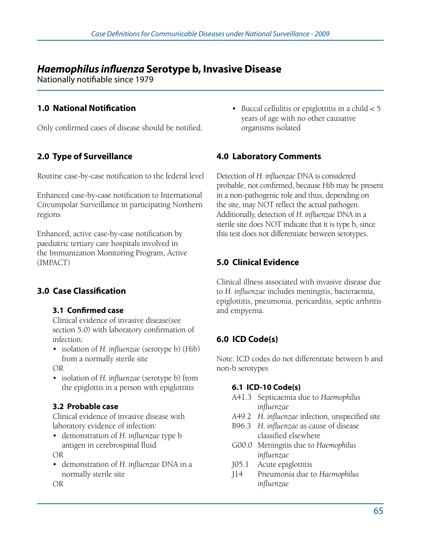# *Haemophilus influenza* **Serotype b, Invasive Disease**

Nationally notifiable since 1979

# **1.0 National Notification**

Only confirmed cases of disease should be notified.

# **2.0 Type of Surveillance**

Routine case-by-case notification to the federal level

Enhanced case-by-case notification to International Circumpolar Surveillance in participating Northern regions

Enhanced, active case-by-case notification by paediatric tertiary care hospitals involved in the Immunization Monitoring Program, Active (IMPACT)

# **3.0 Case Classification**

#### **3.1 Confirmed case**

Clinical evidence of invasive disease(see section 5.0) with laboratory confirmation of infection:

• isolation of *H. influenzae* (serotype b) (Hib) from a normally sterile site

OR

• isolation of *H. influenzae* (serotype b) from the epiglottis in a person with epiglottitis

### **3.2 Probable case**

Clinical evidence of invasive disease with laboratory evidence of infection:

• demonstration of *H. influenzae* type b antigen in cerebrospinal fluid

OR

• demonstration of *H. influenzae* DNA in a normally sterile site

OR

• Buccal cellulitis or epiglottitis in a child  $< 5$  years of age with no other causative organisms isolated

# **4.0 Laboratory Comments**

Detection of *H. influenzae* DNA is considered probable, not confirmed, because Hib may be present in a non-pathogenic role and thus, depending on the site, may NOT reflect the actual pathogen. Additionally, detection of *H. influenzae* DNA in a sterile site does NOT indicate that it is type b, since this test does not differentiate between serotypes.

# **5.0 Clinical Evidence**

Clinical illness associated with invasive disease due to *H. influenzae* includes meningitis, bacteraemia, epiglottitis, pneumonia, pericarditis, septic arthritis and empyema.

# **6.0 ICD Code(s)**

Note: ICD codes do not differentiate between b and non-b serotypes

### **6.1 ICD-10 Code(s)**

- A41.3 Septicaemia due to *Haemophilus influenzae*
- A49.2 *H. influenzae* infection, unspecified site
- B96.3 *H. influenzae* as cause of disease classified elsewhere
- G00.0 Meningitis due to *Haemophilus influenzae*
- J05.1 Acute epiglottitis
- J14 Pneumonia due to *Haemophilus influenzae*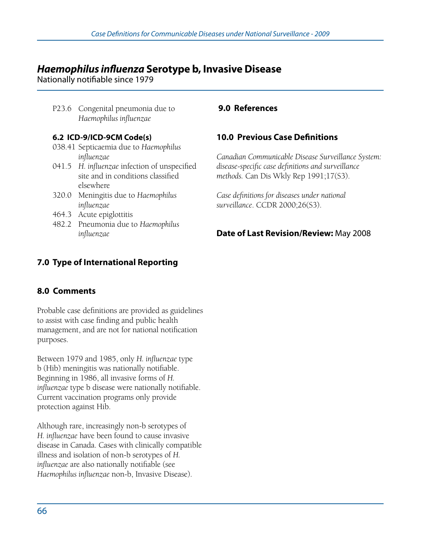# *Haemophilus influenza* **Serotype b, Invasive Disease**

Nationally notifiable since 1979

P23.6 Congenital pneumonia due to *Haemophilus influenzae*

#### **6.2 ICD-9/ICD-9CM Code(s)**

- 038.41 Septicaemia due to *Haemophilus influenzae*
- 041.5 *H. influenzae* infection of unspecified site and in conditions classified elsewhere
- 320.0 Meningitis due to *Haemophilus influenzae*
- 464.3 Acute epiglottitis
- 482.2 Pneumonia due to *Haemophilus influenzae*

# **7.0 Type of International Reporting**

## **8.0 Comments**

Probable case definitions are provided as guidelines to assist with case finding and public health management, and are not for national notification purposes.

Between 1979 and 1985, only *H. influenzae* type b (Hib) meningitis was nationally notifiable. Beginning in 1986, all invasive forms of *H. influenzae* type b disease were nationally notifiable. Current vaccination programs only provide protection against Hib.

Although rare, increasingly non-b serotypes of *H. influenzae* have been found to cause invasive disease in Canada. Cases with clinically compatible illness and isolation of non-b serotypes of *H. influenzae* are also nationally notifiable (see *Haemophilus influenzae* non-b, Invasive Disease).

## **9.0 References**

## **10.0 Previous Case Definitions**

*Canadian Communicable Disease Surveillance System: disease-specific case definitions and surveillance methods.* Can Dis Wkly Rep 1991;17(S3).

*Case definitions for diseases under national surveillance*. CCDR 2000;26(S3).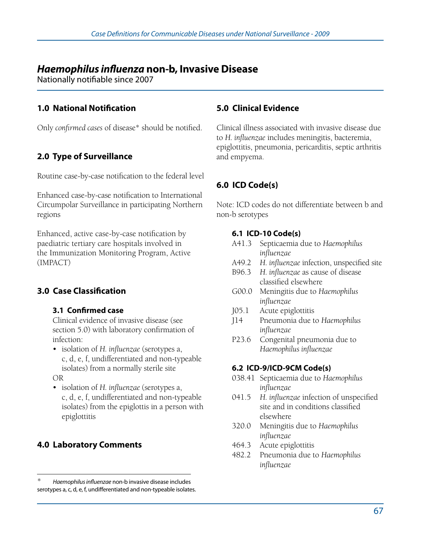# *Haemophilus influenza* **non-b, Invasive Disease**

Nationally notifiable since 2007

### **1.0 National Notification**

Only *confirmed cases* of disease\* should be notified.

## **2.0 Type of Surveillance**

Routine case-by-case notification to the federal level

Enhanced case-by-case notification to International Circumpolar Surveillance in participating Northern regions

Enhanced, active case-by-case notification by paediatric tertiary care hospitals involved in the Immunization Monitoring Program, Active (IMPACT)

### **3.0 Case Classification**

#### **3.1 Confirmed case**

Clinical evidence of invasive disease (see section 5.0) with laboratory confirmation of infection:

• isolation of *H. influenzae* (serotypes a, c, d, e, f, undifferentiated and non-typeable isolates) from a normally sterile site

OR

• isolation of *H. influenzae* (serotypes a, c, d, e, f, undifferentiated and non-typeable isolates) from the epiglottis in a person with epiglottitis

### **4.0 Laboratory Comments**

#### **5.0 Clinical Evidence**

Clinical illness associated with invasive disease due to *H. influenzae* includes meningitis, bacteremia, epiglottitis, pneumonia, pericarditis, septic arthritis and empyema.

# **6.0 ICD Code(s)**

Note: ICD codes do not differentiate between b and non-b serotypes

#### **6.1 ICD-10 Code(s)**

- A41.3 Septicaemia due to *Haemophilus influenzae*
- A49.2 *H. influenzae* infection, unspecified site
- B96.3 *H. influenzae* as cause of disease classified elsewhere
- G00.0 Meningitis due to *Haemophilus influenzae*
- J05.1 Acute epiglottitis
- J14 Pneumonia due to *Haemophilus influenzae*
- P23.6 Congenital pneumonia due to *Haemophilus influenzae*

#### **6.2 ICD-9/ICD-9CM Code(s)**

- 038.41 Septicaemia due to *Haemophilus influenzae*
- 041.5 *H. influenzae* infection of unspecified site and in conditions classified elsewhere
- 320.0 Meningitis due to *Haemophilus influenzae*
- 464.3 Acute epiglottitis
- 482.2 Pneumonia due to *Haemophilus influenzae*

<sup>\*</sup> *Haemophilus influenzae* non-b invasive disease includes serotypes a, c, d, e, f, undifferentiated and non-typeable isolates.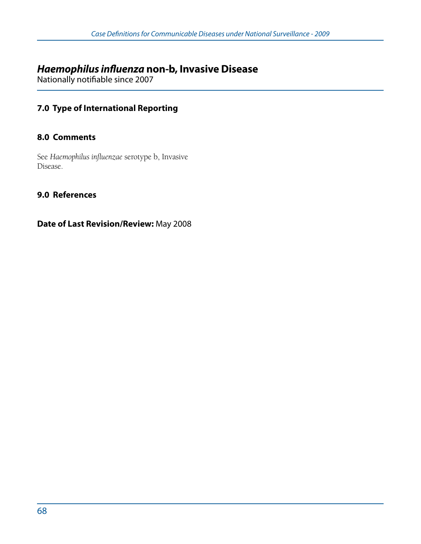# *Haemophilus influenza* **non-b, Invasive Disease**

Nationally notifiable since 2007

### **7.0 Type of International Reporting**

#### **8.0 Comments**

See *Haemophilus influenzae* serotype b, Invasive Disease.

#### **9.0 References**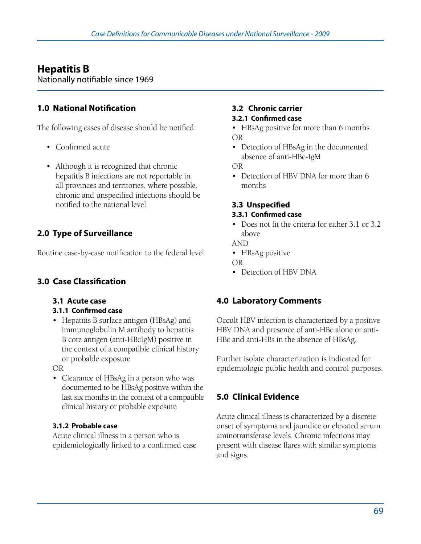# **Hepatitis B**

Nationally notifiable since 1969

# **1.0 National Notification**

The following cases of disease should be notified:

- • Confirmed acute
- Although it is recognized that chronic hepatitis B infections are not reportable in all provinces and territories, where possible, chronic and unspecified infections should be notified to the national level.

# **2.0 Type of Surveillance**

Routine case-by-case notification to the federal level

# **3.0 Case Classification**

#### **3.1 Acute case**

#### **3.1.1 Confirmed case**

• Hepatitis B surface antigen (HBsAg) and immunoglobulin M antibody to hepatitis B core antigen (anti-HBcIgM) positive in the context of a compatible clinical history or probable exposure

OR

• Clearance of HBsAg in a person who was documented to be HBsAg positive within the last six months in the context of a compatible clinical history or probable exposure

#### **3.1.2 Probable case**

Acute clinical illness in a person who is epidemiologically linked to a confirmed case

#### **3.2 Chronic carrier**

#### **3.2.1 Confirmed case**

- HBsAg positive for more than 6 months OR
- Detection of HBsAg in the documented absence of anti-HBc-IgM

OR

• Detection of HBV DNA for more than 6 months

# **3.3 Unspecified**

# **3.3.1 Confirmed case**

• Does not fit the criteria for either 3.1 or 3.2 above

AND

• HBsAg positive

OR

• Detection of HBV DNA

# **4.0 Laboratory Comments**

Occult HBV infection is characterized by a positive HBV DNA and presence of anti-HBc alone or anti-HBc and anti-HBs in the absence of HBsAg.

Further isolate characterization is indicated for epidemiologic public health and control purposes.

# **5.0 Clinical Evidence**

Acute clinical illness is characterized by a discrete onset of symptoms and jaundice or elevated serum aminotransferase levels. Chronic infections may present with disease flares with similar symptoms and signs.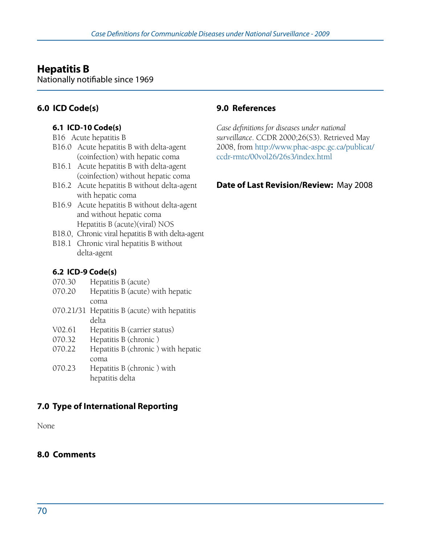# **Hepatitis B**

Nationally notifiable since 1969

# **6.0 ICD Code(s)**

#### **6.1 ICD-10 Code(s)**

- B16 Acute hepatitis B
- B16.0 Acute hepatitis B with delta-agent (coinfection) with hepatic coma
- B16.1 Acute hepatitis B with delta-agent (coinfection) without hepatic coma
- B16.2 Acute hepatitis B without delta-agent with hepatic coma
- B16.9 Acute hepatitis B without delta-agent and without hepatic coma Hepatitis B (acute)(viral) NOS
- B18.0, Chronic viral hepatitis B with delta-agent
- B18.1 Chronic viral hepatitis B without delta-agent

#### **6.2 ICD-9 Code(s)**

- 070.30 Hepatitis B (acute)
- 070.20 Hepatitis B (acute) with hepatic coma
- 070.21/31 Hepatitis B (acute) with hepatitis delta
- V02.61 Hepatitis B (carrier status)
- 070.32 Hepatitis B (chronic )
- 070.22 Hepatitis B (chronic ) with hepatic coma
- 070.23 Hepatitis B (chronic ) with hepatitis delta

# **7.0 Type of International Reporting**

None

### **8.0 Comments**

#### **9.0 References**

*Case definitions for diseases under national surveillance*. CCDR 2000;26(S3). Retrieved May 2008, from http://www.phac-aspc.gc.ca/publicat/ ccdr-rmtc/00vol26/26s3/index.html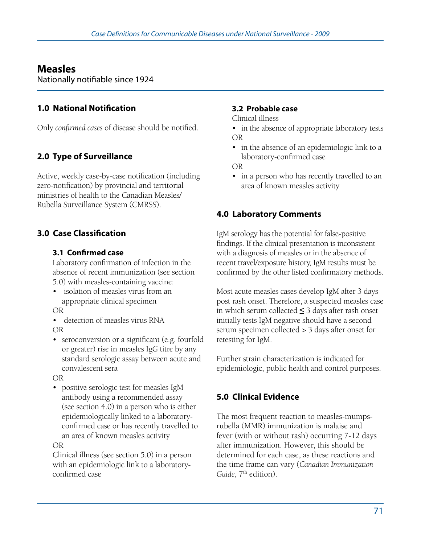# **Measles**

Nationally notifiable since 1924

# **1.0 National Notification**

Only *confirmed cases* of disease should be notified.

# **2.0 Type of Surveillance**

Active, weekly case-by-case notification (including zero-notification) by provincial and territorial ministries of health to the Canadian Measles/ Rubella Surveillance System (CMRSS).

# **3.0 Case Classification**

#### **3.1 Confirmed case**

Laboratory confirmation of infection in the absence of recent immunization (see section 5.0) with measles-containing vaccine:

• isolation of measles virus from an appropriate clinical specimen

OR

• detection of measles virus RNA OR

• seroconversion or a significant (e.g. fourfold or greater) rise in measles IgG titre by any standard serologic assay between acute and convalescent sera

OR

• positive serologic test for measles IgM antibody using a recommended assay (see section 4.0) in a person who is either epidemiologically linked to a laboratory- confirmed case or has recently travelled to an area of known measles activity

OR

Clinical illness (see section 5.0) in a person with an epidemiologic link to a laboratoryconfirmed case

#### **3.2 Probable case**

Clinical illness

- in the absence of appropriate laboratory tests OR
- in the absence of an epidemiologic link to a laboratory-confirmed case

OR

• in a person who has recently travelled to an area of known measles activity

### **4.0 Laboratory Comments**

IgM serology has the potential for false-positive findings. If the clinical presentation is inconsistent with a diagnosis of measles or in the absence of recent travel/exposure history, IgM results must be confirmed by the other listed confirmatory methods.

Most acute measles cases develop IgM after 3 days post rash onset. Therefore, a suspected measles case in which serum collected **≤** 3 days after rash onset initially tests IgM negative should have a second serum specimen collected > 3 days after onset for retesting for IgM.

Further strain characterization is indicated for epidemiologic, public health and control purposes.

# **5.0 Clinical Evidence**

The most frequent reaction to measles-mumpsrubella (MMR) immunization is malaise and fever (with or without rash) occurring 7-12 days after immunization. However, this should be determined for each case, as these reactions and the time frame can vary (*Canadian Immunization*  Guide, 7<sup>th</sup> edition).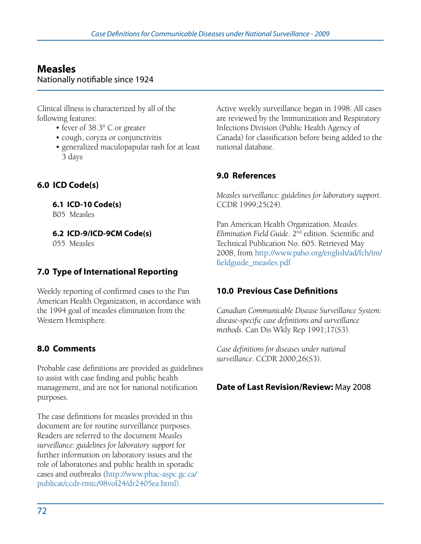# **Measles**

Nationally notifiable since 1924

Clinical illness is characterized by all of the following features:

- fever of 38.3° C or greater
- cough, coryza or conjunctivitis
- generalized maculopapular rash for at least 3 days

# **6.0 ICD Code(s)**

**6.1 ICD-10 Code(s)** 

B05 Measles

**6.2 ICD-9/ICD-9CM Code(s)** 

055 Measles

# **7.0 Type of International Reporting**

Weekly reporting of confirmed cases to the Pan American Health Organization, in accordance with the 1994 goal of measles elimination from the Western Hemisphere.

# **8.0 Comments**

Probable case definitions are provided as guidelines to assist with case finding and public health management, and are not for national notification purposes.

The case definitions for measles provided in this document are for routine surveillance purposes. Readers are referred to the document *Measles surveillance: guidelines for laboratory support* for further information on laboratory issues and the role of laboratories and public health in sporadic cases and outbreaks (http://www.phac-aspc.gc.ca/ publicat/ccdr-rmtc/98vol24/dr2405ea.html).

Active weekly surveillance began in 1998. All cases are reviewed by the Immunization and Respiratory Infections Division (Public Health Agency of Canada) for classification before being added to the national database.

### **9.0 References**

*Measles surveillance: guidelines for laboratory support*. CCDR 1999;25(24).

Pan American Health Organization. *Measles Elimination Field Guide*. 2nd edition. Scientific and Technical Publication No. 605. Retrieved May 2008, from http://www.paho.org/english/ad/fch/im/ fieldguide\_measles.pdf

# **10.0 Previous Case Definitions**

*Canadian Communicable Disease Surveillance System: disease-specific case definitions and surveillance methods*. Can Dis Wkly Rep 1991;17(S3).

*Case definitions for diseases under national surveillance*. CCDR 2000;26(S3).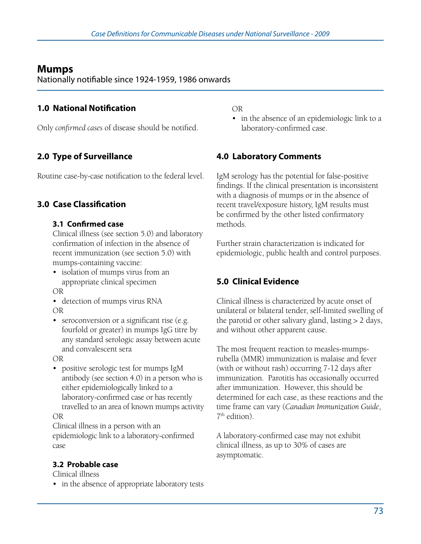# **Mumps**

Nationally notifiable since 1924-1959, 1986 onwards

### **1.0 National Notification**

Only *confirmed cases* of disease should be notified.

# **2.0 Type of Surveillance**

Routine case-by-case notification to the federal level.

### **3.0 Case Classification**

#### **3.1 Confirmed case**

Clinical illness (see section 5.0) and laboratory confirmation of infection in the absence of recent immunization (see section 5.0) with mumps-containing vaccine:

• isolation of mumps virus from an appropriate clinical specimen

OR

- detection of mumps virus RNA OR
- seroconversion or a significant rise (e.g. fourfold or greater) in mumps IgG titre by any standard serologic assay between acute and convalescent sera

OR

• positive serologic test for mumps IgM antibody (see section 4.0) in a person who is either epidemiologically linked to a laboratory-confirmed case or has recently travelled to an area of known mumps activity OR

Clinical illness in a person with an epidemiologic link to a laboratory-confirmed case

### **3.2 Probable case**

Clinical illness

• in the absence of appropriate laboratory tests

OR 

• in the absence of an epidemiologic link to a laboratory-confirmed case.

# **4.0 Laboratory Comments**

IgM serology has the potential for false-positive findings. If the clinical presentation is inconsistent with a diagnosis of mumps or in the absence of recent travel/exposure history, IgM results must be confirmed by the other listed confirmatory methods.

Further strain characterization is indicated for epidemiologic, public health and control purposes.

# **5.0 Clinical Evidence**

Clinical illness is characterized by acute onset of unilateral or bilateral tender, self-limited swelling of the parotid or other salivary gland, lasting > 2 days, and without other apparent cause.

The most frequent reaction to measles-mumpsrubella (MMR) immunization is malaise and fever (with or without rash) occurring 7-12 days after immunization. Parotitis has occasionally occurred after immunization. However, this should be determined for each case, as these reactions and the time frame can vary (*Canadian Immunization Guide*, 7th edition).

A laboratory-confirmed case may not exhibit clinical illness, as up to 30% of cases are asymptomatic.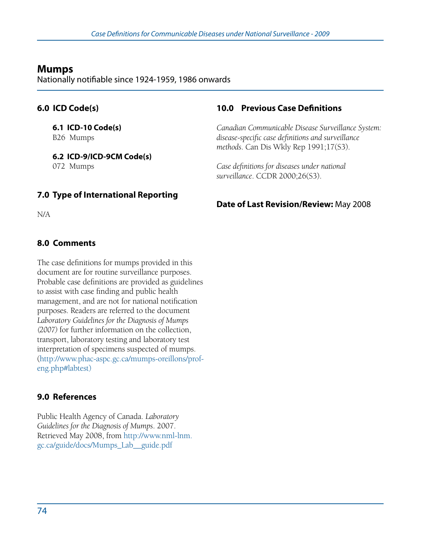# **Mumps**

Nationally notifiable since 1924-1959, 1986 onwards

#### **6.0 ICD Code(s)**

**6.1 ICD-10 Code(s)**  B26 Mumps

**6.2 ICD-9/ICD-9CM Code(s)**  072 Mumps

### **10.0 Previous Case Definitions**

*Canadian Communicable Disease Surveillance System: disease-specific case definitions and surveillance methods*. Can Dis Wkly Rep 1991;17(S3).

*Case definitions for diseases under national surveillance*. CCDR 2000;26(S3).

### **7.0 Type of International Reporting**

N/A

#### **8.0 Comments**

The case definitions for mumps provided in this document are for routine surveillance purposes. Probable case definitions are provided as guidelines to assist with case finding and public health management, and are not for national notification purposes. Readers are referred to the document *Laboratory Guidelines for the Diagnosis of Mumps (2007)* for further information on the collection, transport, laboratory testing and laboratory test interpretation of specimens suspected of mumps. (http://www.phac-aspc.gc.ca/mumps-oreillons/profeng.php#labtest)

### **9.0 References**

Public Health Agency of Canada. *Laboratory Guidelines for the Diagnosis of Mumps*. 2007. Retrieved May 2008, from http://www.nml-lnm. gc.ca/guide/docs/Mumps\_Lab\_\_guide.pdf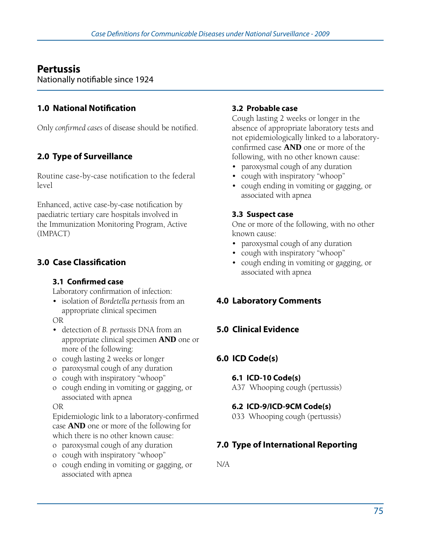# **Pertussis**

Nationally notifiable since 1924

### **1.0 National Notification**

Only *confirmed cases* of disease should be notified.

# **2.0 Type of Surveillance**

Routine case-by-case notification to the federal level

Enhanced, active case-by-case notification by paediatric tertiary care hospitals involved in the Immunization Monitoring Program, Active (IMPACT)

# **3.0 Case Classification**

#### **3.1 Confirmed case**

Laboratory confirmation of infection:

• isolation of *Bordetella pertussis* from an appropriate clinical specimen

OR

- • detection of *B. pertussis* DNA from an appropriate clinical specimen **AND** one or more of the following:
- o cough lasting 2 weeks or longer
- o paroxysmal cough of any duration
- o cough with inspiratory "whoop"
- o cough ending in vomiting or gagging, or associated with apnea

#### OR

Epidemiologic link to a laboratory-confirmed case **AND** one or more of the following for which there is no other known cause:

- o paroxysmal cough of any duration
- o cough with inspiratory "whoop"
- o cough ending in vomiting or gagging, or associated with apnea

#### **3.2 Probable case**

Cough lasting 2 weeks or longer in the absence of appropriate laboratory tests and not epidemiologically linked to a laboratoryconfirmed case **AND** one or more of the following, with no other known cause:

- paroxysmal cough of any duration
- cough with inspiratory "whoop"
- • cough ending in vomiting or gagging, or associated with apnea

#### **3.3 Suspect case**

One or more of the following, with no other known cause:

- paroxysmal cough of any duration
- cough with inspiratory "whoop"
- • cough ending in vomiting or gagging, or associated with apnea

# **4.0 Laboratory Comments**

### **5.0 Clinical Evidence**

### **6.0 ICD Code(s)**

#### **6.1 ICD-10 Code(s)**

A37 Whooping cough (pertussis)

### **6.2 ICD-9/ICD-9CM Code(s)**

033 Whooping cough (pertussis)

# **7.0 Type of International Reporting**

N/A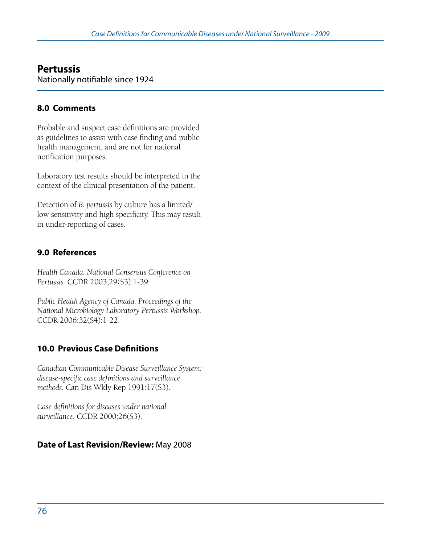# **Pertussis**

Nationally notifiable since 1924

### **8.0 Comments**

Probable and suspect case definitions are provided as guidelines to assist with case finding and public health management, and are not for national notification purposes.

Laboratory test results should be interpreted in the context of the clinical presentation of the patient.

Detection of *B. pertussis* by culture has a limited/ low sensitivity and high specificity. This may result in under-reporting of cases.

### **9.0 References**

*Health Canada. National Consensus Conference on Pertussis.* CCDR 2003;29(S3):1-39.

*Public Health Agency of Canada. Proceedings of the National Microbiology Laboratory Pertussis Workshop.* CCDR 2006;32(S4):1-22.

# **10.0 Previous Case Definitions**

*Canadian Communicable Disease Surveillance System: disease-specific case definitions and surveillance methods.* Can Dis Wkly Rep 1991;17(S3).

*Case definitions for diseases under national surveillance*. CCDR 2000;26(S3).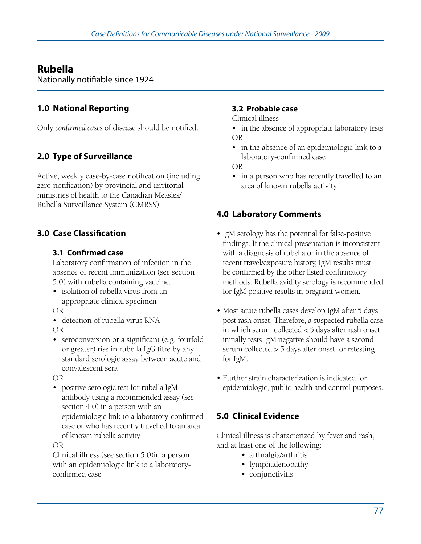# **Rubella**

Nationally notifiable since 1924

# **1.0 National Reporting**

Only *confirmed cases* of disease should be notified.

# **2.0 Type of Surveillance**

Active, weekly case-by-case notification (including zero-notification) by provincial and territorial ministries of health to the Canadian Measles/ Rubella Surveillance System (CMRSS)

# **3.0 Case Classification**

#### **3.1 Confirmed case**

Laboratory confirmation of infection in the absence of recent immunization (see section 5.0) with rubella containing vaccine:

• isolation of rubella virus from an appropriate clinical specimen

OR

• detection of rubella virus RNA OR

• seroconversion or a significant (e.g. fourfold or greater) rise in rubella IgG titre by any standard serologic assay between acute and convalescent sera

OR

• positive serologic test for rubella IgM antibody using a recommended assay (see section 4.0) in a person with an epidemiologic link to a laboratory-confirmed case or who has recently travelled to an area of known rubella activity

OR

Clinical illness (see section 5.0)in a person with an epidemiologic link to a laboratoryconfirmed case

#### **3.2 Probable case**

Clinical illness

- in the absence of appropriate laboratory tests OR
- in the absence of an epidemiologic link to a laboratory-confirmed case

OR

• in a person who has recently travelled to an area of known rubella activity

### **4.0 Laboratory Comments**

- IgM serology has the potential for false-positive findings. If the clinical presentation is inconsistent with a diagnosis of rubella or in the absence of recent travel/exposure history, IgM results must be confirmed by the other listed confirmatory methods. Rubella avidity serology is recommended for IgM positive results in pregnant women.
- Most acute rubella cases develop IgM after 5 days post rash onset. Therefore, a suspected rubella case in which serum collected < 5 days after rash onset initially tests IgM negative should have a second serum collected > 5 days after onset for retesting for IgM.
- Further strain characterization is indicated for epidemiologic, public health and control purposes.

# **5.0 Clinical Evidence**

Clinical illness is characterized by fever and rash, and at least one of the following:

- arthralgia/arthritis
- lymphadenopathy
- conjunctivitis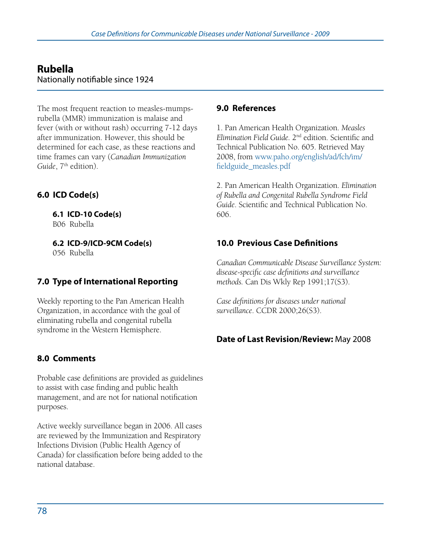# **Rubella**

Nationally notifiable since 1924

The most frequent reaction to measles-mumpsrubella (MMR) immunization is malaise and fever (with or without rash) occurring 7-12 days after immunization. However, this should be determined for each case, as these reactions and time frames can vary (*Canadian Immunization*  Guide, 7<sup>th</sup> edition).

# **6.0 ICD Code(s)**

**6.1 ICD-10 Code(s)**  B06 Rubella

**6.2 ICD-9/ICD-9CM Code(s)**  056 Rubella

# **7.0 Type of International Reporting**

Weekly reporting to the Pan American Health Organization, in accordance with the goal of eliminating rubella and congenital rubella syndrome in the Western Hemisphere.

# **8.0 Comments**

Probable case definitions are provided as guidelines to assist with case finding and public health management, and are not for national notification purposes.

Active weekly surveillance began in 2006. All cases are reviewed by the Immunization and Respiratory Infections Division (Public Health Agency of Canada) for classification before being added to the national database.

#### **9.0 References**

1. Pan American Health Organization. *Measles Elimination Field Guide.* 2nd edition. Scientific and Technical Publication No. 605. Retrieved May 2008, from www.paho.org/english/ad/fch/im/ fieldguide\_measles.pdf

2. Pan American Health Organization. *Elimination of Rubella and Congenital Rubella Syndrome Field Guide*. Scientific and Technical Publication No. 606.

# **10.0 Previous Case Definitions**

*Canadian Communicable Disease Surveillance System: disease-specific case definitions and surveillance methods.* Can Dis Wkly Rep 1991;17(S3).

*Case definitions for diseases under national surveillance*. CCDR 2000;26(S3).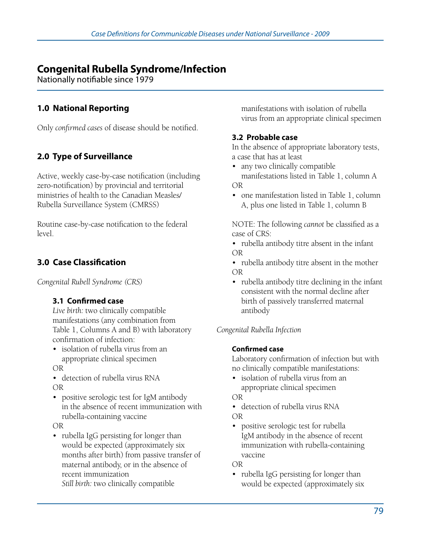# **Congenital Rubella Syndrome/Infection**

Nationally notifiable since 1979

### **1.0 National Reporting**

Only *confirmed cases* of disease should be notified.

# **2.0 Type of Surveillance**

Active, weekly case-by-case notification (including zero-notification) by provincial and territorial ministries of health to the Canadian Measles/ Rubella Surveillance System (CMRSS)

Routine case-by-case notification to the federal level.

# **3.0 Case Classification**

*Congenital Rubell Syndrome (CRS)*

#### **3.1 Confirmed case**

*Live birth:* two clinically compatible manifestations (any combination from Table 1, Columns A and B) with laboratory confirmation of infection:

• isolation of rubella virus from an appropriate clinical specimen OR

• detection of rubella virus RNA OR

• positive serologic test for IgM antibody in the absence of recent immunization with rubella-containing vaccine

OR

• rubella IgG persisting for longer than would be expected (approximately six months after birth) from passive transfer of maternal antibody, or in the absence of recent immunization *Still birth:* two clinically compatible

manifestations with isolation of rubella virus from an appropriate clinical specimen

#### **3.2 Probable case**

In the absence of appropriate laboratory tests, a case that has at least

- any two clinically compatible manifestations listed in Table 1, column A OR
- one manifestation listed in Table 1, column A, plus one listed in Table 1, column B

NOTE: The following *cannot* be classified as a case of CRS:

• rubella antibody titre absent in the infant OR

• rubella antibody titre absent in the mother OR

• rubella antibody titre declining in the infant consistent with the normal decline after birth of passively transferred maternal antibody

*Congenital Rubella Infection*

#### **Confirmed case**

Laboratory confirmation of infection but with no clinically compatible manifestations:

• isolation of rubella virus from an appropriate clinical specimen OR

• detection of rubella virus RNA

OR

• positive serologic test for rubella IgM antibody in the absence of recent immunization with rubella-containing vaccine

OR

• rubella IgG persisting for longer than would be expected (approximately six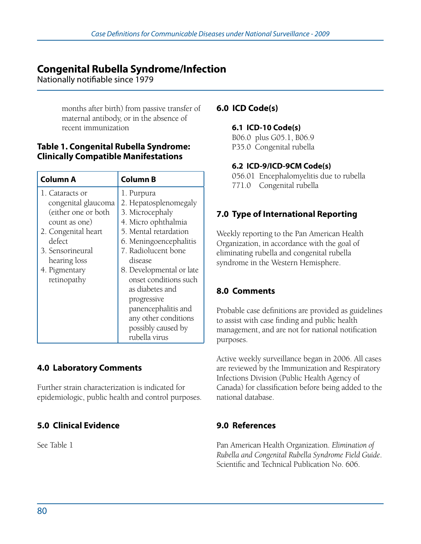# **Congenital Rubella Syndrome/Infection**

Nationally notifiable since 1979

months after birth) from passive transfer of maternal antibody, or in the absence of recent immunization

#### **Table 1. Congenital Rubella Syndrome: Clinically Compatible Manifestations**

| Column A                                                                                                                                                                            | <b>Column B</b>                                                                                                                                                                                                                                                                                                                                 |
|-------------------------------------------------------------------------------------------------------------------------------------------------------------------------------------|-------------------------------------------------------------------------------------------------------------------------------------------------------------------------------------------------------------------------------------------------------------------------------------------------------------------------------------------------|
| 1. Cataracts or<br>congenital glaucoma<br>(either one or both<br>count as one)<br>2. Congenital heart<br>defect<br>3. Sensorineural<br>hearing loss<br>4. Pigmentary<br>retinopathy | 1. Purpura<br>2. Hepatosplenomegaly<br>3. Microcephaly<br>4. Micro ophthalmia<br>5. Mental retardation<br>6. Meningoencephalitis<br>7. Radiolucent bone<br>disease<br>8. Developmental or late<br>onset conditions such<br>as diabetes and<br>progressive<br>panencephalitis and<br>any other conditions<br>possibly caused by<br>rubella virus |

# **4.0 Laboratory Comments**

Further strain characterization is indicated for epidemiologic, public health and control purposes.

# **5.0 Clinical Evidence**

See Table 1

### **6.0 ICD Code(s)**

#### **6.1 ICD-10 Code(s)**

B06.0 plus G05.1, B06.9 P35.0 Congenital rubella

#### **6.2 ICD-9/ICD-9CM Code(s)**

056.01 Encephalomyelitis due to rubella 771.0 Congenital rubella

### **7.0 Type of International Reporting**

Weekly reporting to the Pan American Health Organization, in accordance with the goal of eliminating rubella and congenital rubella syndrome in the Western Hemisphere.

# **8.0 Comments**

Probable case definitions are provided as guidelines to assist with case finding and public health management, and are not for national notification purposes.

Active weekly surveillance began in 2006. All cases are reviewed by the Immunization and Respiratory Infections Division (Public Health Agency of Canada) for classification before being added to the national database.

### **9.0 References**

Pan American Health Organization. *Elimination of Rubella and Congenital Rubella Syndrome Field Guide*. Scientific and Technical Publication No. 606.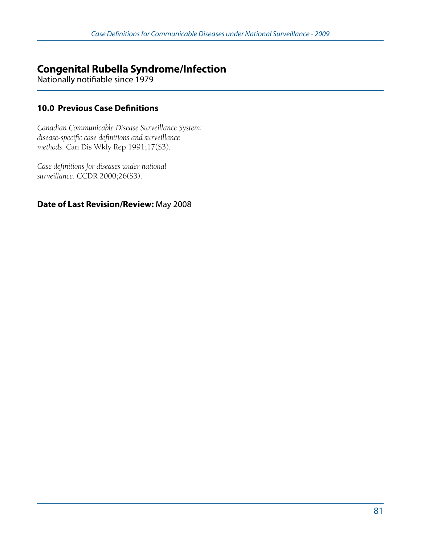# **Congenital Rubella Syndrome/Infection**

Nationally notifiable since 1979

### **10.0 Previous Case Definitions**

*Canadian Communicable Disease Surveillance System: disease-specific case definitions and surveillance methods*. Can Dis Wkly Rep 1991;17(S3).

*Case definitions for diseases under national surveillance*. CCDR 2000;26(S3).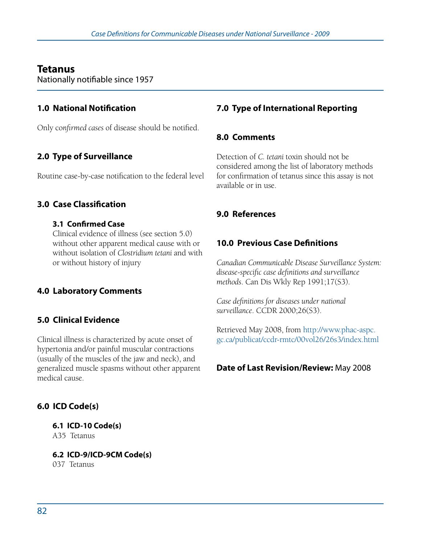# **Tetanus**

Nationally notifiable since 1957

### **1.0 National Notification**

Only co*nfirmed cases* of disease should be notified.

# **2.0 Type of Surveillance**

Routine case-by-case notification to the federal level

### **3.0 Case Classification**

#### **3.1 Confirmed Case**

Clinical evidence of illness (see section 5.0) without other apparent medical cause with or without isolation of *Clostridium tetani* and with or without history of injury

# **4.0 Laboratory Comments**

# **5.0 Clinical Evidence**

Clinical illness is characterized by acute onset of hypertonia and/or painful muscular contractions (usually of the muscles of the jaw and neck), and generalized muscle spasms without other apparent medical cause.

# **6.0 ICD Code(s)**

### **6.1 ICD-10 Code(s)**

A35 Tetanus

**6.2 ICD-9/ICD-9CM Code(s)** 

037 Tetanus

# **7.0 Type of International Reporting**

### **8.0 Comments**

Detection of *C. tetani* toxin should not be considered among the list of laboratory methods for confirmation of tetanus since this assay is not available or in use.

### **9.0 References**

# **10.0 Previous Case Definitions**

*Canadian Communicable Disease Surveillance System: disease-specific case definitions and surveillance methods*. Can Dis Wkly Rep 1991;17(S3).

*Case definitions for diseases under national surveillance*. CCDR 2000;26(S3).

Retrieved May 2008, from http://www.phac-aspc. gc.ca/publicat/ccdr-rmtc/00vol26/26s3/index.html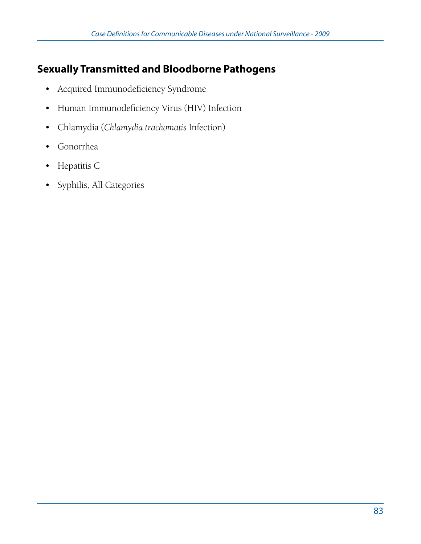# **Sexually Transmitted and Bloodborne Pathogens**

- • Acquired Immunodeficiency Syndrome
- • Human Immunodeficiency Virus (HIV) Infection
- • Chlamydia (*Chlamydia trachomatis* Infection)
- • Gonorrhea
- • Hepatitis C
- • Syphilis, All Categories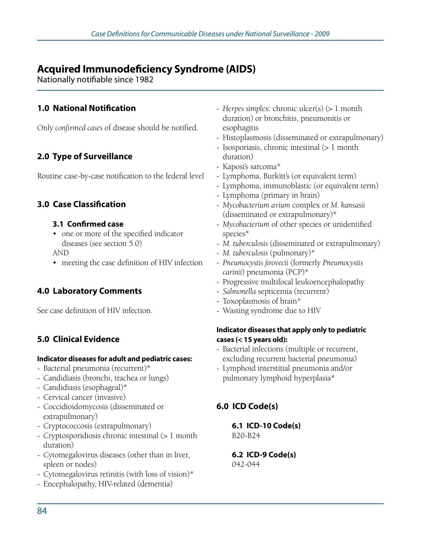# **Acquired Immunodeficiency Syndrome (AIDS)**

Nationally notifiable since 1982

### **1.0 National Notification**

Only *confirmed cases* of disease should be notified.

# **2.0 Type of Surveillance**

Routine case-by-case notification to the federal level

#### **3.0 Case Classification**

#### **3.1 Confirmed case**

• one or more of the specified indicator diseases (see section 5.0)

AND

• meeting the case definition of HIV infection

### **4.0 Laboratory Comments**

See case definition of HIV infection.

### **5.0 Clinical Evidence**

#### **Indicator diseases for adult and pediatric cases:**

- Bacterial pneumonia (recurrent)\*
- Candidiasis (bronchi, trachea or lungs)
- Candidiasis (esophageal)\*
- Cervical cancer (invasive)
- Coccidioidomycosis (disseminated or extrapulmonary)
- Cryptococcosis (extrapulmonary)
- Cryptosporidiosis chronic intestinal (> 1 month duration)
- Cytomegalovirus diseases (other than in liver, spleen or nodes)
- Cytomegalovirus retinitis (with loss of vision)\*
- Encephalopathy, HIV-related (dementia)
- *Herpes simplex:* chronic ulcer(s) (> 1 month duration) or bronchitis, pneumonitis or esophagitis
- Histoplasmosis (disseminated or extrapulmonary)
- Isosporiasis, chronic intestinal (> 1 month duration)
- Kaposi's sarcoma\*
- Lymphoma, Burkitt's (or equivalent term)
- Lymphoma, immunoblastic (or equivalent term)
- Lymphoma (primary in brain)
- *Mycobacterium avium* complex or *M. kansasii* (disseminated or extrapulmonary)\*
- *Mycobacterium* of other species or unidentified species\*
- *M. tuberculosis* (disseminated or extrapulmonary)
- *M. tuberculosis* (pulmonary)\*
- *Pneumocystis jirovecii* (formerly *Pneumocystis carinii*) pneumonia (PCP)\*
- Progressive multifocal leukoencephalopathy
- *Salmonella* septicemia (recurrent)
- Toxoplasmosis of brain\*
- Wasting syndrome due to HIV

#### **Indicator diseases that apply only to pediatric cases (< 15 years old):**

- Bacterial infections (multiple or recurrent, excluding recurrent bacterial pneumonia)
- Lymphoid interstitial pneumonia and/or pulmonary lymphoid hyperplasia\*

### **6.0 ICD Code(s)**

**6.1 ICD-10 Code(s)**  B20-B24

**6.2 ICD-9 Code(s)** 

042-044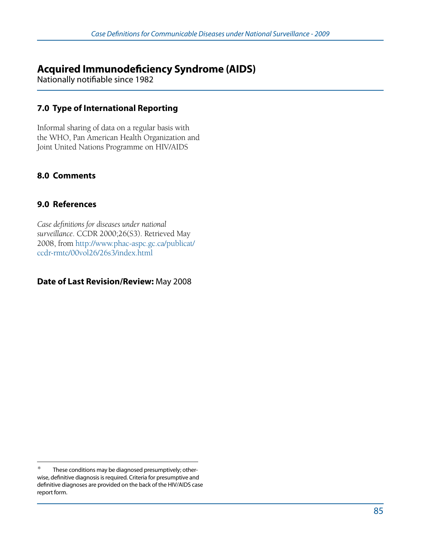# **Acquired Immunodeficiency Syndrome (AIDS)**

Nationally notifiable since 1982

### **7.0 Type of International Reporting**

Informal sharing of data on a regular basis with the WHO, Pan American Health Organization and Joint United Nations Programme on HIV/AIDS

### **8.0 Comments**

#### **9.0 References**

*Case definitions for diseases under national surveillance*. CCDR 2000;26(S3). Retrieved May 2008, from http://www.phac-aspc.gc.ca/publicat/ ccdr-rmtc/00vol26/26s3/index.html

These conditions may be diagnosed presumptively; otherwise, definitive diagnosis is required. Criteria for presumptive and definitive diagnoses are provided on the back of the HIV/AIDS case report form.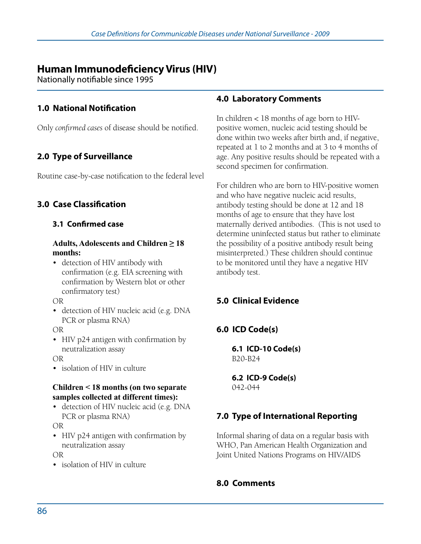# **Human Immunodeficiency Virus (HIV)**

Nationally notifiable since 1995

### **1.0 National Notification**

Only *confirmed cases* of disease should be notified.

# **2.0 Type of Surveillance**

Routine case-by-case notification to the federal level

### **3.0 Case Classification**

#### **3.1 Confirmed case**

#### **Adults, Adolescents and Children ≥ 18 months:**

• detection of HIV antibody with confirmation (e.g. EIA screening with confirmation by Western blot or other confirmatory test)

OR

• detection of HIV nucleic acid (e.g. DNA PCR or plasma RNA)

#### OR

• HIV p24 antigen with confirmation by neutralization assay

OR

• isolation of HIV in culture

#### **Children < 18 months (on two separate samples collected at different times):**

• detection of HIV nucleic acid (e.g. DNA PCR or plasma RNA)

OR

• HIV p24 antigen with confirmation by neutralization assay

OR

• isolation of HIV in culture

#### **4.0 Laboratory Comments**

In children < 18 months of age born to HIVpositive women, nucleic acid testing should be done within two weeks after birth and, if negative, repeated at 1 to 2 months and at 3 to 4 months of age. Any positive results should be repeated with a second specimen for confirmation.

For children who are born to HIV-positive women and who have negative nucleic acid results, antibody testing should be done at 12 and 18 months of age to ensure that they have lost maternally derived antibodies. (This is not used to determine uninfected status but rather to eliminate the possibility of a positive antibody result being misinterpreted.) These children should continue to be monitored until they have a negative HIV antibody test.

# **5.0 Clinical Evidence**

# **6.0 ICD Code(s)**

**6.1 ICD-10 Code(s)**  B20-B24

**6.2 ICD-9 Code(s)**  042-044

# **7.0 Type of International Reporting**

Informal sharing of data on a regular basis with WHO, Pan American Health Organization and Joint United Nations Programs on HIV/AIDS

### **8.0 Comments**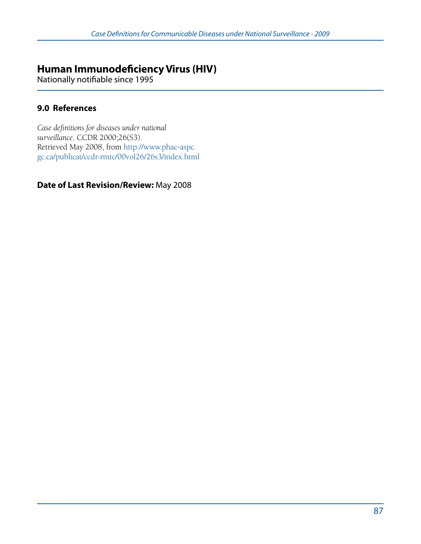# **Human Immunodeficiency Virus (HIV)**

Nationally notifiable since 1995

### **9.0 References**

*Case definitions for diseases under national surveillance*. CCDR 2000;26(S3). Retrieved May 2008, from http://www.phac-aspc. gc.ca/publicat/ccdr-rmtc/00vol26/26s3/index.html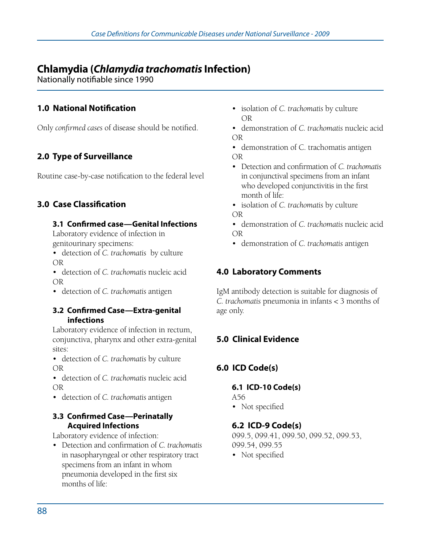# **Chlamydia (***Chlamydia trachomatis* **Infection)**

Nationally notifiable since 1990

### **1.0 National Notification**

Only *confirmed cases* of disease should be notified.

# **2.0 Type of Surveillance**

Routine case-by-case notification to the federal level

### **3.0 Case Classification**

#### **3.1 Confirmed case—Genital Infections**

Laboratory evidence of infection in genitourinary specimens:

• detection of *C. trachomatis* by culture OR

• detection of *C. trachomatis* nucleic acid OR

• detection of *C. trachomatis* antigen

#### **3.2 Confirmed Case—Extra-genital infections**

Laboratory evidence of infection in rectum, conjunctiva, pharynx and other extra-genital sites:

- • detection of *C. trachomatis* by culture OR
- • detection of *C. trachomatis* nucleic acid OR
- • detection of *C. trachomatis* antigen

#### **3.3 Confirmed Case—Perinatally Acquired Infections**

Laboratory evidence of infection:

• Detection and confirmation of *C. trachomatis* in nasopharyngeal or other respiratory tract specimens from an infant in whom pneumonia developed in the first six months of life:

- • isolation of *C. trachomatis* by culture OR
- • demonstration of *C. trachomatis* nucleic acid OR

• demonstration of C. trachomatis antigen OR

- • Detection and confirmation of *C. trachomatis* in conjunctival specimens from an infant who developed conjunctivitis in the first month of life:
- • isolation of *C. trachomatis* by culture OR
- • demonstration of *C. trachomatis* nucleic acid OR
- • demonstration of *C. trachomatis* antigen

### **4.0 Laboratory Comments**

IgM antibody detection is suitable for diagnosis of *C. trachomatis* pneumonia in infants < 3 months of age only.

# **5.0 Clinical Evidence**

# **6.0 ICD Code(s)**

# **6.1 ICD-10 Code(s)**

A56

• Not specified

#### **6.2 ICD-9 Code(s)**

099.5, 099.41, 099.50, 099.52, 099.53, 099.54, 099.55

• Not specified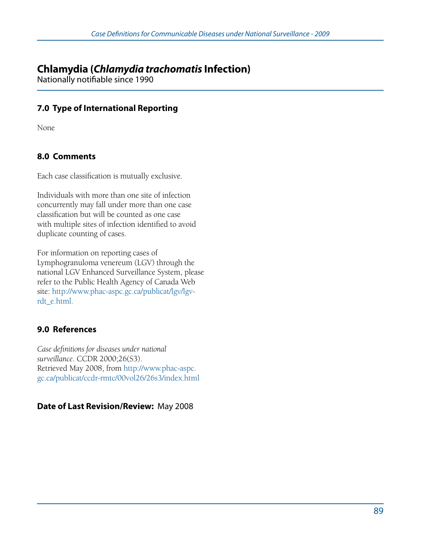# **Chlamydia (***Chlamydia trachomatis* **Infection)**

Nationally notifiable since 1990

### **7.0 Type of International Reporting**

None

### **8.0 Comments**

Each case classification is mutually exclusive.

Individuals with more than one site of infection concurrently may fall under more than one case classification but will be counted as one case with multiple sites of infection identified to avoid duplicate counting of cases.

For information on reporting cases of Lymphogranuloma venereum (LGV) through the national LGV Enhanced Surveillance System, please refer to the Public Health Agency of Canada Web site: http://www.phac-aspc.gc.ca/publicat/lgv/lgvrdt\_e.html.

### **9.0 References**

*Case definitions for diseases under national surveillance*. CCDR 2000;26(S3). Retrieved May 2008, from http://www.phac-aspc. gc.ca/publicat/ccdr-rmtc/00vol26/26s3/index.html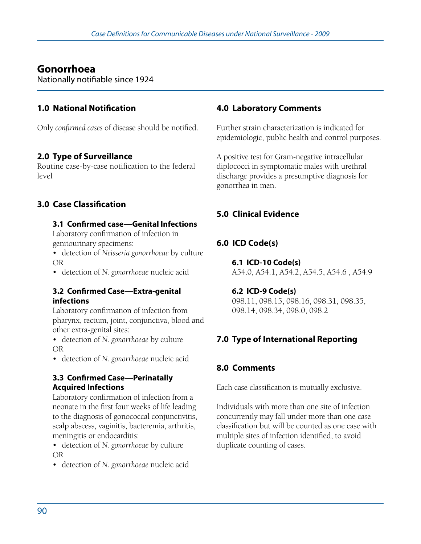# **Gonorrhoea**

Nationally notifiable since 1924

### **1.0 National Notification**

Only *confirmed cases* of disease should be notified.

### **2.0 Type of Surveillance**

Routine case-by-case notification to the federal level

# **3.0 Case Classification**

#### **3.1 Confirmed case—Genital Infections**

Laboratory confirmation of infection in genitourinary specimens:

• detection of *Neisseria gonorrhoeae* by culture OR

• detection of *N. gonorrhoeae* nucleic acid

#### **3.2 Confirmed Case—Extra-genital infections**

Laboratory confirmation of infection from pharynx, rectum, joint, conjunctiva, blood and other extra-genital sites:

• detection of *N. gonorrhoeae* by culture OR

• detection of *N. gonorrhoeae* nucleic acid

#### **3.3 Confirmed Case—Perinatally Acquired Infections**

Laboratory confirmation of infection from a neonate in the first four weeks of life leading to the diagnosis of gonococcal conjunctivitis, scalp abscess, vaginitis, bacteremia, arthritis, meningitis or endocarditis:

• detection of *N. gonorrhoeae* by culture OR

• detection of *N. gonorrhoeae* nucleic acid

### **4.0 Laboratory Comments**

Further strain characterization is indicated for epidemiologic, public health and control purposes.

A positive test for Gram-negative intracellular diplococci in symptomatic males with urethral discharge provides a presumptive diagnosis for gonorrhea in men.

# **5.0 Clinical Evidence**

# **6.0 ICD Code(s)**

**6.1 ICD-10 Code(s)**  A54.0, A54.1, A54.2, A54.5, A54.6 , A54.9

#### **6.2 ICD-9 Code(s)**  098.11, 098.15, 098.16, 098.31, 098.35,

098.14, 098.34, 098.0, 098.2

# **7.0 Type of International Reporting**

### **8.0 Comments**

Each case classification is mutually exclusive.

Individuals with more than one site of infection concurrently may fall under more than one case classification but will be counted as one case with multiple sites of infection identified, to avoid duplicate counting of cases.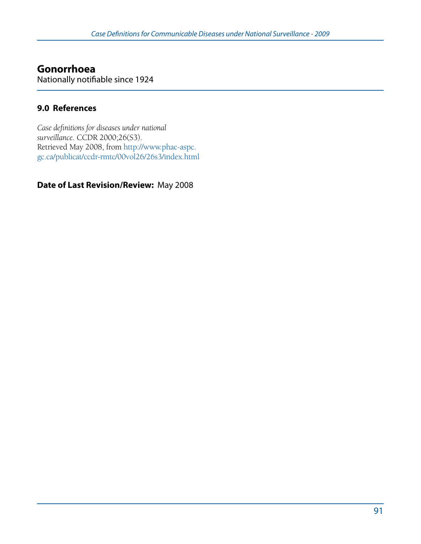#### **Gonorrhoea** Nationally notifiable since 1924

#### **9.0 References**

*Case definitions for diseases under national surveillance*. CCDR 2000;26(S3). Retrieved May 2008, from http://www.phac-aspc. gc.ca/publicat/ccdr-rmtc/00vol26/26s3/index.html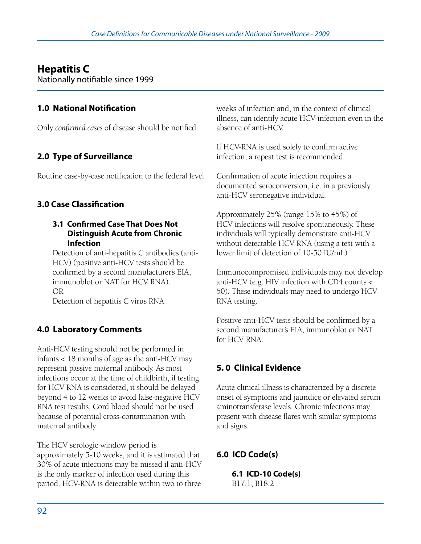# **Hepatitis C**

Nationally notifiable since 1999

# **1.0 National Notification**

Only *confirmed cases* of disease should be notified.

# **2.0 Type of Surveillance**

Routine case-by-case notification to the federal level

# **3.0 Case Classification**

#### **3.1 Confirmed Case That Does Not Distinguish Acute from Chronic Infection**

Detection of anti-hepatitis C antibodies (anti-HCV) (positive anti-HCV tests should be confirmed by a second manufacturer's EIA, immunoblot or NAT for HCV RNA). OR

Detection of hepatitis C virus RNA

# **4.0 Laboratory Comments**

Anti-HCV testing should not be performed in infants < 18 months of age as the anti-HCV may represent passive maternal antibody. As most infections occur at the time of childbirth, if testing for HCV RNA is considered, it should be delayed beyond 4 to 12 weeks to avoid false-negative HCV RNA test results. Cord blood should not be used because of potential cross-contamination with maternal antibody.

The HCV serologic window period is approximately 5-10 weeks, and it is estimated that 30% of acute infections may be missed if anti-HCV is the only marker of infection used during this period. HCV-RNA is detectable within two to three weeks of infection and, in the context of clinical illness, can identify acute HCV infection even in the absence of anti-HCV.

If HCV-RNA is used solely to confirm active infection, a repeat test is recommended.

Confirmation of acute infection requires a documented seroconversion, i.e. in a previously anti-HCV seronegative individual.

Approximately 25% (range 15% to 45%) of HCV infections will resolve spontaneously. These individuals will typically demonstrate anti-HCV without detectable HCV RNA (using a test with a lower limit of detection of 10-50 IU/mL)

Immunocompromised individuals may not develop anti-HCV (e.g. HIV infection with CD4 counts < 50). These individuals may need to undergo HCV RNA testing.

Positive anti-HCV tests should be confirmed by a second manufacturer's EIA, immunoblot or NAT for HCV RNA.

# **5. 0 Clinical Evidence**

Acute clinical illness is characterized by a discrete onset of symptoms and jaundice or elevated serum aminotransferase levels. Chronic infections may present with disease flares with similar symptoms and signs.

# **6.0 ICD Code(s)**

**6.1 ICD-10 Code(s)** B17.1, B18.2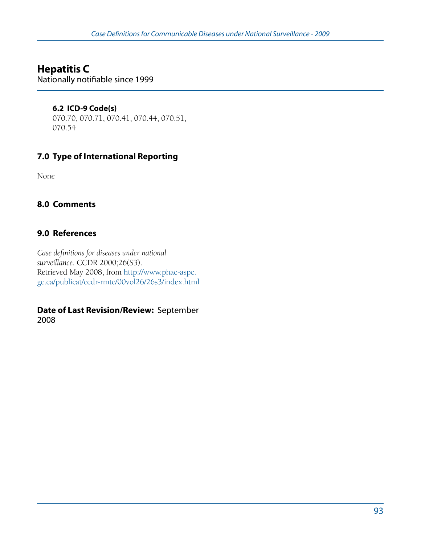# **Hepatitis C**

Nationally notifiable since 1999

#### **6.2 ICD-9 Code(s)**

070.70, 070.71, 070.41, 070.44, 070.51, 070.54

# **7.0 Type of International Reporting**

None

### **8.0 Comments**

### **9.0 References**

*Case definitions for diseases under national surveillance*. CCDR 2000;26(S3). Retrieved May 2008, from http://www.phac-aspc. gc.ca/publicat/ccdr-rmtc/00vol26/26s3/index.html

#### **Date of Last Revision/Review:** September 2008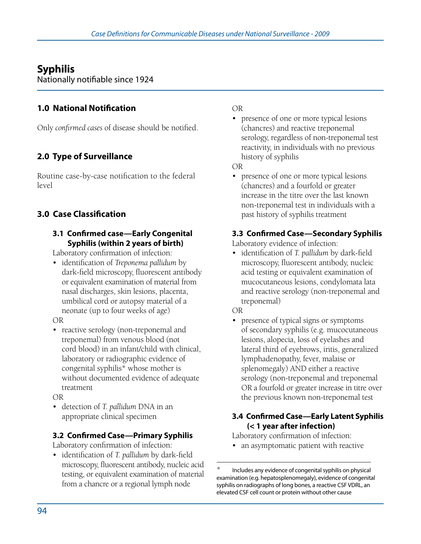# **Syphilis**

Nationally notifiable since 1924

### **1.0 National Notification**

Only *confirmed cases* of disease should be notified.

# **2.0 Type of Surveillance**

Routine case-by-case notification to the federal level

# **3.0 Case Classification**

#### **3.1 Confirmed case—Early Congenital Syphilis (within 2 years of birth)**

Laboratory confirmation of infection:

- • identification of *Treponema pallidum* by dark-field microscopy, fluorescent antibody or equivalent examination of material from nasal discharges, skin lesions, placenta, umbilical cord or autopsy material of a neonate (up to four weeks of age)
- OR
- reactive serology (non-treponemal and treponemal) from venous blood (not cord blood) in an infant/child with clinical, laboratory or radiographic evidence of congenital syphilis\* whose mother is without documented evidence of adequate treatment
- OR
- • detection of *T. pallidum* DNA in an appropriate clinical specimen

### **3.2 Confirmed Case—Primary Syphilis**

Laboratory confirmation of infection:

• identification of *T. pallidum* by dark-field microscopy, fluorescent antibody, nucleic acid testing, or equivalent examination of material from a chancre or a regional lymph node

#### OR

• presence of one or more typical lesions (chancres) and reactive treponemal serology, regardless of non-treponemal test reactivity, in individuals with no previous history of syphilis

OR

• presence of one or more typical lesions (chancres) and a fourfold or greater increase in the titre over the last known non-treponemal test in individuals with a past history of syphilis treatment

### **3.3 Confirmed Case—Secondary Syphilis**

Laboratory evidence of infection:

• identification of *T. pallidum* by dark-field microscopy, fluorescent antibody, nucleic acid testing or equivalent examination of mucocutaneous lesions, condylomata lata and reactive serology (non-treponemal and treponemal)

OR

• presence of typical signs or symptoms of secondary syphilis (e.g. mucocutaneous lesions, alopecia, loss of eyelashes and lateral third of eyebrows, iritis, generalized lymphadenopathy, fever, malaise or splenomegaly) AND either a reactive serology (non-treponemal and treponemal OR a fourfold or greater increase in titre over the previous known non-treponemal test

#### **3.4 Confirmed Case—Early Latent Syphilis (< 1 year after infection)**

Laboratory confirmation of infection:

• an asymptomatic patient with reactive

Includes any evidence of congenital syphilis on physical examination (e.g. hepatosplenomegaly), evidence of congenital syphilis on radiographs of long bones, a reactive CSF VDRL, an elevated CSF cell count or protein without other cause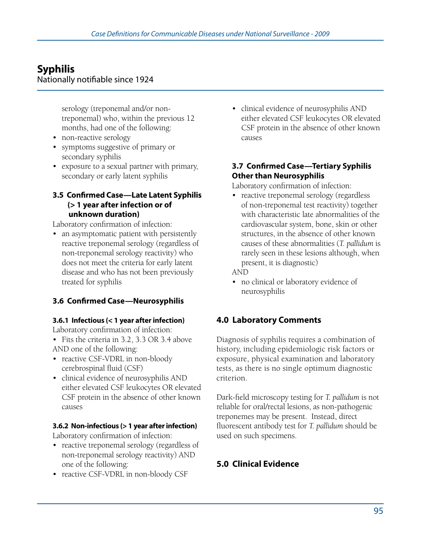# **Syphilis**

#### Nationally notifiable since 1924

 serology (treponemal and/or non- treponemal) who, within the previous 12 months, had one of the following:

- non-reactive serology
- • symptoms suggestive of primary or secondary syphilis
- exposure to a sexual partner with primary, secondary or early latent syphilis

#### **3.5 Confirmed Case—Late Latent Syphilis (> 1 year after infection or of unknown duration)**

Laboratory confirmation of infection:

• an asymptomatic patient with persistently reactive treponemal serology (regardless of non-treponemal serology reactivity) who does not meet the criteria for early latent disease and who has not been previously treated for syphilis

# **3.6 Confirmed Case—Neurosyphilis**

#### **3.6.1 Infectious (< 1 year after infection)**

Laboratory confirmation of infection:

• Fits the criteria in 3.2, 3.3 OR 3.4 above AND one of the following:

- reactive CSF-VDRL in non-bloody cerebrospinal fluid (CSF)
- • clinical evidence of neurosyphilis AND either elevated CSF leukocytes OR elevated CSF protein in the absence of other known causes

#### **3.6.2 Non-infectious (> 1 year after infection)**

Laboratory confirmation of infection:

- reactive treponemal serology (regardless of non-treponemal serology reactivity) AND one of the following:
- reactive CSF-VDRL in non-bloody CSF

• clinical evidence of neurosyphilis AND either elevated CSF leukocytes OR elevated CSF protein in the absence of other known causes

#### **3.7 Confirmed Case—Tertiary Syphilis Other than Neurosyphilis**

Laboratory confirmation of infection:

• reactive treponemal serology (regardless of non-treponemal test reactivity) together with characteristic late abnormalities of the cardiovascular system, bone, skin or other structures, in the absence of other known causes of these abnormalities (*T. pallidum* is rarely seen in these lesions although, when present, it is diagnostic)

AND

• no clinical or laboratory evidence of neurosyphilis

# **4.0 Laboratory Comments**

Diagnosis of syphilis requires a combination of history, including epidemiologic risk factors or exposure, physical examination and laboratory tests, as there is no single optimum diagnostic criterion.

Dark-field microscopy testing for *T. pallidum* is not reliable for oral/rectal lesions, as non-pathogenic treponemes may be present. Instead, direct fluorescent antibody test for *T. pallidum* should be used on such specimens.

# **5.0 Clinical Evidence**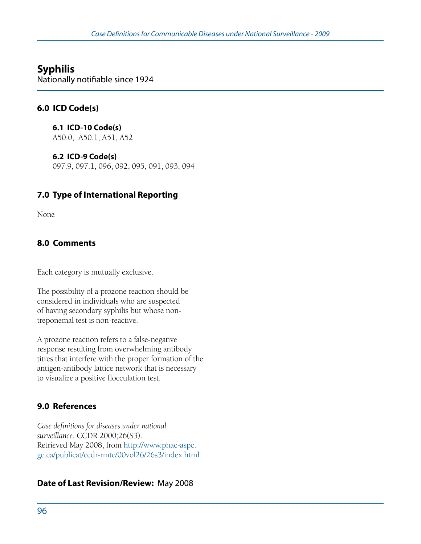# **Syphilis**

Nationally notifiable since 1924

### **6.0 ICD Code(s)**

**6.1 ICD-10 Code(s)**  A50.0, A50.1, A51, A52

**6.2 ICD-9 Code(s)**  097.9, 097.1, 096, 092, 095, 091, 093, 094

### **7.0 Type of International Reporting**

None

### **8.0 Comments**

Each category is mutually exclusive.

The possibility of a prozone reaction should be considered in individuals who are suspected of having secondary syphilis but whose nontreponemal test is non-reactive.

A prozone reaction refers to a false-negative response resulting from overwhelming antibody titres that interfere with the proper formation of the antigen-antibody lattice network that is necessary to visualize a positive flocculation test.

### **9.0 References**

*Case definitions for diseases under national surveillance*. CCDR 2000;26(S3). Retrieved May 2008, from http://www.phac-aspc. gc.ca/publicat/ccdr-rmtc/00vol26/26s3/index.html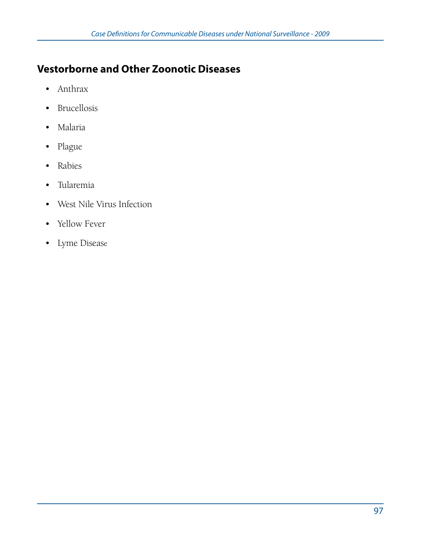# **Vestorborne and Other Zoonotic Diseases**

- • Anthrax
- • Brucellosis
- • Malaria
- • Plague
- • Rabies
- • Tularemia
- • West Nile Virus Infection
- Yellow Fever
- • Lyme Disease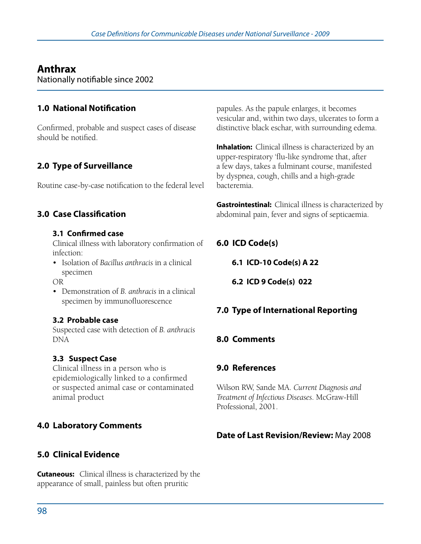# **Anthrax**

Nationally notifiable since 2002

### **1.0 National Notification**

Confirmed, probable and suspect cases of disease should be notified.

# **2.0 Type of Surveillance**

Routine case-by-case notification to the federal level

### **3.0 Case Classification**

#### **3.1 Confirmed case**

Clinical illness with laboratory confirmation of infection:

- • Isolation of *Bacillus anthracis* in a clinical specimen
- OR
- • Demonstration of *B. anthracis* in a clinical specimen by immunofluorescence

#### **3.2 Probable case**

Suspected case with detection of *B. anthracis* DNA

#### **3.3 Suspect Case**

Clinical illness in a person who is epidemiologically linked to a confirmed or suspected animal case or contaminated animal product

### **4.0 Laboratory Comments**

### **5.0 Clinical Evidence**

**Cutaneous:** Clinical illness is characterized by the appearance of small, painless but often pruritic

papules. As the papule enlarges, it becomes vesicular and, within two days, ulcerates to form a distinctive black eschar, with surrounding edema.

**Inhalation:** Clinical illness is characterized by an upper-respiratory 'flu-like syndrome that, after a few days, takes a fulminant course, manifested by dyspnea, cough, chills and a high-grade bacteremia.

**Gastrointestinal:** Clinical illness is characterized by abdominal pain, fever and signs of septicaemia.

### **6.0 ICD Code(s)**

**6.1 ICD-10 Code(s) A 22**

**6.2 ICD 9 Code(s) 022**

# **7.0 Type of International Reporting**

#### **8.0 Comments**

#### **9.0 References**

Wilson RW, Sande MA. *Current Diagnosis and Treatment of Infectious Diseases*. McGraw-Hill Professional, 2001.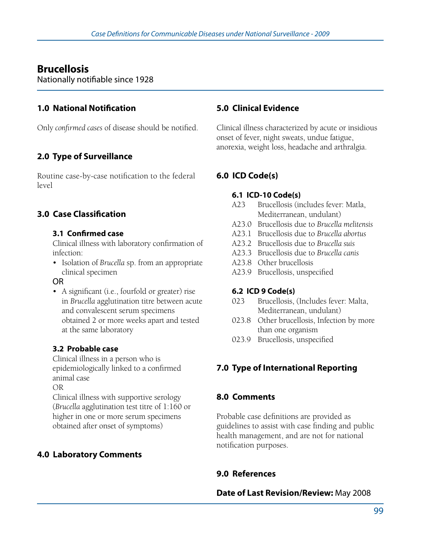# **Brucellosis**

Nationally notifiable since 1928

### **1.0 National Notification**

Only *confirmed cases* of disease should be notified.

# **2.0 Type of Surveillance**

Routine case-by-case notification to the federal level

# **3.0 Case Classification**

#### **3.1 Confirmed case**

Clinical illness with laboratory confirmation of infection:

• Isolation of *Brucella* sp. from an appropriate clinical specimen

#### OR

• A significant (i.e., fourfold or greater) rise in *Brucella* agglutination titre between acute and convalescent serum specimens obtained 2 or more weeks apart and tested at the same laboratory

#### **3.2 Probable case**

Clinical illness in a person who is epidemiologically linked to a confirmed animal case

OR

Clinical illness with supportive serology (*Brucella* agglutination test titre of 1:160 or higher in one or more serum specimens obtained after onset of symptoms)

# **4.0 Laboratory Comments**

#### **5.0 Clinical Evidence**

Clinical illness characterized by acute or insidious onset of fever, night sweats, undue fatigue, anorexia, weight loss, headache and arthralgia.

### **6.0 ICD Code(s)**

#### **6.1 ICD-10 Code(s)**

- A23 Brucellosis (includes fever: Matla, Mediterranean, undulant)
- A23.0 Brucellosis due to *Brucella melitensis*
- A23.1 Brucellosis due to *Brucella abortus*
- A23.2 Brucellosis due to *Brucella suis*
- A23.3 Brucellosis due to *Brucella canis*
- A23.8 Other brucellosis
- A23.9 Brucellosis, unspecified

#### **6.2 ICD 9 Code(s)**

- 023 Brucellosis, (Includes fever: Malta, Mediterranean, undulant)
- 023.8 Other brucellosis, Infection by more than one organism
- 023.9 Brucellosis, unspecified

# **7.0 Type of International Reporting**

### **8.0 Comments**

Probable case definitions are provided as guidelines to assist with case finding and public health management, and are not for national notification purposes.

# **9.0 References**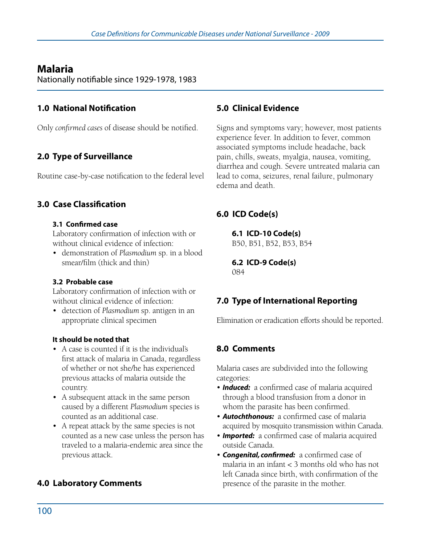# **Malaria**

Nationally notifiable since 1929-1978, 1983

### **1.0 National Notification**

Only *confirmed cases* of disease should be notified.

# **2.0 Type of Surveillance**

Routine case-by-case notification to the federal level

### **3.0 Case Classification**

#### **3.1 Confirmed case**

Laboratory confirmation of infection with or without clinical evidence of infection:

• demonstration of *Plasmodium* sp. in a blood smear/film (thick and thin)

#### **3.2 Probable case**

Laboratory confirmation of infection with or without clinical evidence of infection:

• detection of *Plasmodium* sp. antigen in an appropriate clinical specimen

#### **It should be noted that**

- • A case is counted if it is the individual's first attack of malaria in Canada, regardless of whether or not she/he has experienced previous attacks of malaria outside the country.
- • A subsequent attack in the same person caused by a different *Plasmodium* species is counted as an additional case.
- A repeat attack by the same species is not counted as a new case unless the person has traveled to a malaria-endemic area since the previous attack.

# **4.0 Laboratory Comments**

#### **5.0 Clinical Evidence**

Signs and symptoms vary; however, most patients experience fever. In addition to fever, common associated symptoms include headache, back pain, chills, sweats, myalgia, nausea, vomiting, diarrhea and cough. Severe untreated malaria can lead to coma, seizures, renal failure, pulmonary edema and death.

# **6.0 ICD Code(s)**

**6.1 ICD-10 Code(s)** 

B50, B51, B52, B53, B54

**6.2 ICD-9 Code(s)**  084

# **7.0 Type of International Reporting**

Elimination or eradication efforts should be reported.

# **8.0 Comments**

Malaria cases are subdivided into the following categories:

- **Induced:** a confirmed case of malaria acquired through a blood transfusion from a donor in whom the parasite has been confirmed.
- • *Autochthonous:* a confirmed case of malaria acquired by mosquito transmission within Canada.
- **Imported:** a confirmed case of malaria acquired outside Canada.
- **Congenital, confirmed:** a confirmed case of malaria in an infant < 3 months old who has not left Canada since birth, with confirmation of the presence of the parasite in the mother.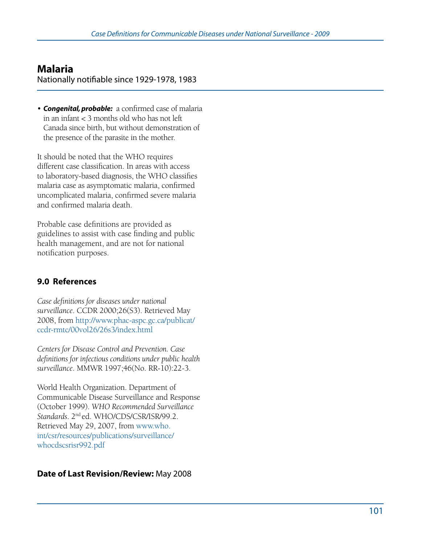# **Malaria**

Nationally notifiable since 1929-1978, 1983

• *Congenital, probable:* a confirmed case of malaria in an infant < 3 months old who has not left Canada since birth, but without demonstration of the presence of the parasite in the mother.

It should be noted that the WHO requires different case classification. In areas with access to laboratory-based diagnosis, the WHO classifies malaria case as asymptomatic malaria, confirmed uncomplicated malaria, confirmed severe malaria and confirmed malaria death.

Probable case definitions are provided as guidelines to assist with case finding and public health management, and are not for national notification purposes.

### **9.0 References**

*Case definitions for diseases under national surveillance*. CCDR 2000;26(S3). Retrieved May 2008, from http://www.phac-aspc.gc.ca/publicat/ ccdr-rmtc/00vol26/26s3/index.html

*Centers for Disease Control and Prevention. Case definitions for infectious conditions under public health surveillance*. MMWR 1997;46(No. RR-10):22-3.

World Health Organization. Department of Communicable Disease Surveillance and Response (October 1999). *WHO Recommended Surveillance Standards*. 2nd ed. WHO/CDS/CSR/ISR/99.2. Retrieved May 29, 2007, from www.who. int/csr/resources/publications/surveillance/ whocdscsrisr992.pdf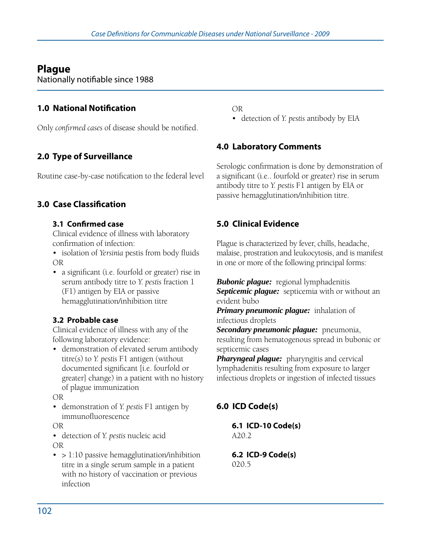# **Plague**

Nationally notifiable since 1988

# **1.0 National Notification**

Only *confirmed cases* of disease should be notified.

# **2.0 Type of Surveillance**

Routine case-by-case notification to the federal level

### **3.0 Case Classification**

#### **3.1 Confirmed case**

Clinical evidence of illness with laboratory confirmation of infection:

- • isolation of *Yersinia* pestis from body fluids OR
- a significant (i.e. fourfold or greater) rise in serum antibody titre to *Y. pestis* fraction 1 (F1) antigen by EIA or passive hemagglutination/inhibition titre

### **3.2 Probable case**

Clinical evidence of illness with any of the following laboratory evidence:

• demonstration of elevated serum antibody titre(s) to *Y. pestis* F1 antigen (without documented significant [i.e. fourfold or greater] change) in a patient with no history of plague immunization

OR

• demonstration of *Y. pestis* F1 antigen by immunofluorescence

OR

• detection of *Y. pestis* nucleic acid OR

 $\bullet$  > 1:10 passive hemagglutination/inhibition titre in a single serum sample in a patient with no history of vaccination or previous infection

OR

• detection of *Y. pestis* antibody by EIA

### **4.0 Laboratory Comments**

Serologic confirmation is done by demonstration of a significant (i.e.. fourfold or greater) rise in serum antibody titre to *Y. pestis* F1 antigen by EIA or passive hemagglutination/inhibition titre.

# **5.0 Clinical Evidence**

Plague is characterized by fever, chills, headache, malaise, prostration and leukocytosis, and is manifest in one or more of the following principal forms:

*Bubonic plague:* regional lymphadenitis **Septicemic plague:** septicemia with or without an evident bubo

#### *Primary pneumonic plague:* inhalation of infectious droplets

*Secondary pneumonic plague:* pneumonia, resulting from hematogenous spread in bubonic or septicemic cases

*Pharyngeal plague:* pharyngitis and cervical lymphadenitis resulting from exposure to larger infectious droplets or ingestion of infected tissues

# **6.0 ICD Code(s)**

**6.1 ICD-10 Code(s)**  A20.2

**6.2 ICD-9 Code(s)**  020.5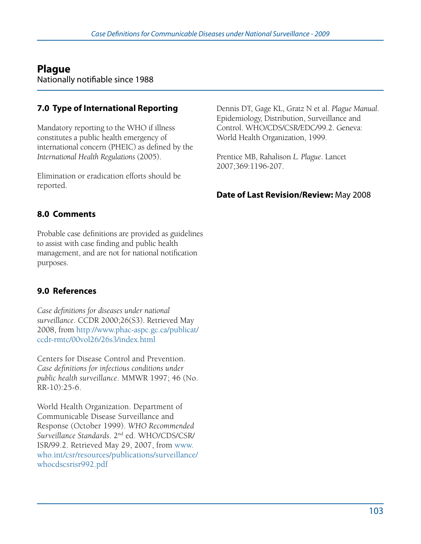# **Plague**

Nationally notifiable since 1988

# **7.0 Type of International Reporting**

Mandatory reporting to the WHO if illness constitutes a public health emergency of international concern (PHEIC) as defined by the *International Health Regulations* (2005).

Elimination or eradication efforts should be reported.

### **8.0 Comments**

Probable case definitions are provided as guidelines to assist with case finding and public health management, and are not for national notification purposes.

### **9.0 References**

*Case definitions for diseases under national surveillance*. CCDR 2000;26(S3). Retrieved May 2008, from http://www.phac-aspc.gc.ca/publicat/ ccdr-rmtc/00vol26/26s3/index.html

Centers for Disease Control and Prevention. *Case definitions for infectious conditions under public health surveillance*. MMWR 1997; 46 (No. RR-10):25-6.

World Health Organization. Department of Communicable Disease Surveillance and Response (October 1999). *WHO Recommended Surveillance Standards*. 2nd ed. WHO/CDS/CSR/ ISR/99.2. Retrieved May 29, 2007, from www. who.int/csr/resources/publications/surveillance/ whocdscsrisr992.pdf

Dennis DT, Gage KL, Gratz N et al. *Plague Manual*. Epidemiology, Distribution, Surveillance and Control. WHO/CDS/CSR/EDC/99.2. Geneva: World Health Organization, 1999.

Prentice MB, Rahalison *L. Plague*. Lancet 2007;369:1196-207.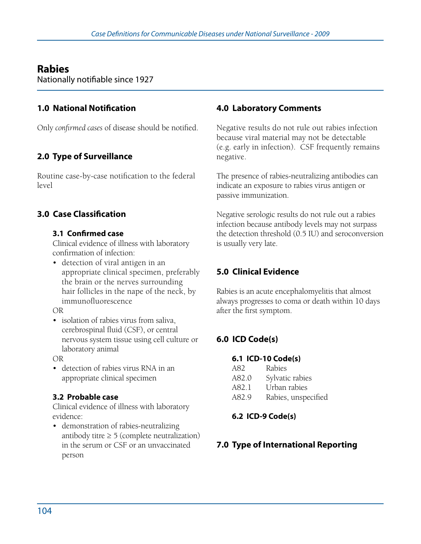# **Rabies**

Nationally notifiable since 1927

### **1.0 National Notification**

Only *confirmed cases* of disease should be notified.

# **2.0 Type of Surveillance**

Routine case-by-case notification to the federal level

## **3.0 Case Classification**

#### **3.1 Confirmed case**

Clinical evidence of illness with laboratory confirmation of infection:

• detection of viral antigen in an appropriate clinical specimen, preferably the brain or the nerves surrounding hair follicles in the nape of the neck, by immunofluorescence

OR

• isolation of rabies virus from saliva, cerebrospinal fluid (CSF), or central nervous system tissue using cell culture or laboratory animal

OR

• detection of rabies virus RNA in an appropriate clinical specimen

#### **3.2 Probable case**

Clinical evidence of illness with laboratory evidence:

• demonstration of rabies-neutralizing antibody titre  $\geq 5$  (complete neutralization) in the serum or CSF or an unvaccinated person

### **4.0 Laboratory Comments**

Negative results do not rule out rabies infection because viral material may not be detectable (e.g. early in infection). CSF frequently remains negative.

The presence of rabies-neutralizing antibodies can indicate an exposure to rabies virus antigen or passive immunization.

Negative serologic results do not rule out a rabies infection because antibody levels may not surpass the detection threshold (0.5 IU) and seroconversion is usually very late.

## **5.0 Clinical Evidence**

Rabies is an acute encephalomyelitis that almost always progresses to coma or death within 10 days after the first symptom.

## **6.0 ICD Code(s)**

#### **6.1 ICD-10 Code(s)**

- A82 Rabies
- A82.0 Sylvatic rabies
- A82.1 Urban rabies
- A82.9 Rabies, unspecified

### **6.2 ICD-9 Code(s)**

### **7.0 Type of International Reporting**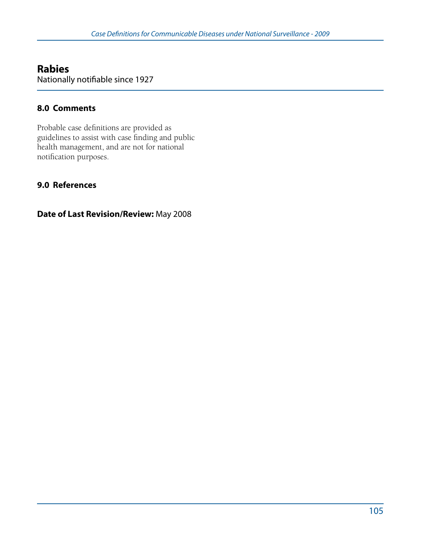# **Rabies**

Nationally notifiable since 1927

### **8.0 Comments**

Probable case definitions are provided as guidelines to assist with case finding and public health management, and are not for national notification purposes.

### **9.0 References**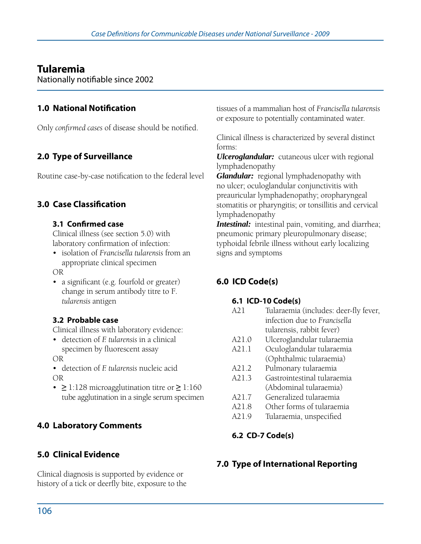# **Tularemia**

Nationally notifiable since 2002

### **1.0 National Notification**

Only *confirmed cases* of disease should be notified.

# **2.0 Type of Surveillance**

Routine case-by-case notification to the federal level

### **3.0 Case Classification**

#### **3.1 Confirmed case**

Clinical illness (see section 5.0) with laboratory confirmation of infection:

• isolation of *Francisella tularensis* from an appropriate clinical specimen

OR

• a significant (e.g. fourfold or greater) change in serum antibody titre to F*. tularensis* antigen

#### **3.2 Probable case**

Clinical illness with laboratory evidence:

• detection of *F. tularensis* in a clinical specimen by fluorescent assay

OR

- • detection of *F. tularensis* nucleic acid OR
- • **≥** 1:128 microagglutination titre or **≥** 1:160 tube agglutination in a single serum specimen

### **4.0 Laboratory Comments**

## **5.0 Clinical Evidence**

Clinical diagnosis is supported by evidence or history of a tick or deerfly bite, exposure to the tissues of a mammalian host of *Francisella tularensis* or exposure to potentially contaminated water.

Clinical illness is characterized by several distinct forms:

*Ulceroglandular:* cutaneous ulcer with regional lymphadenopathy

*Glandular:* regional lymphadenopathy with no ulcer; oculoglandular conjunctivitis with preauricular lymphadenopathy; oropharyngeal stomatitis or pharyngitis; or tonsillitis and cervical lymphadenopathy

**Intestinal:** intestinal pain, vomiting, and diarrhea; pneumonic primary pleuropulmonary disease; typhoidal febrile illness without early localizing signs and symptoms

## **6.0 ICD Code(s)**

#### **6.1 ICD-10 Code(s)**

- A21 Tularaemia (includes: deer-fly fever, infection due to *Francisella* tularensis, rabbit fever)
- A21.0 Ulceroglandular tularaemia
- A21.1 Oculoglandular tularaemia (Ophthalmic tularaemia)
- A21.2 Pulmonary tularaemia
- A21.3 Gastrointestinal tularaemia (Abdominal tularaemia)
- A21.7 Generalized tularaemia
- A21.8 Other forms of tularaemia
- A21.9 Tularaemia, unspecified

### **6.2 CD-7 Code(s)**

### **7.0 Type of International Reporting**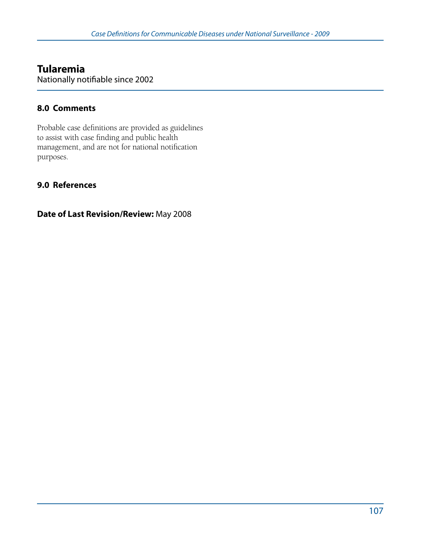# **Tularemia**

Nationally notifiable since 2002

### **8.0 Comments**

Probable case definitions are provided as guidelines to assist with case finding and public health management, and are not for national notification purposes.

### **9.0 References**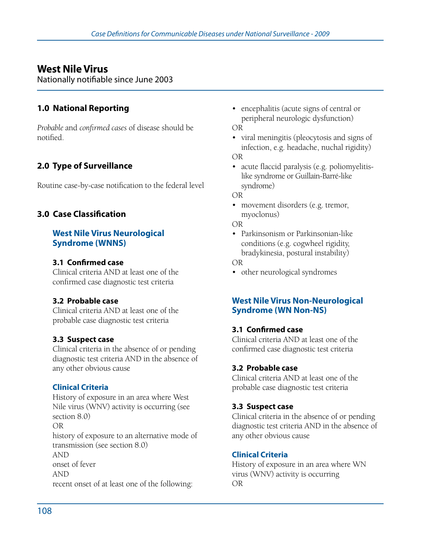Nationally notifiable since June 2003

### **1.0 National Reporting**

*Probable* and *confirmed cases* of disease should be notified.

## **2.0 Type of Surveillance**

Routine case-by-case notification to the federal level

### **3.0 Case Classification**

#### **West Nile Virus Neurological Syndrome (WNNS)**

#### **3.1 Confirmed case**

Clinical criteria AND at least one of the confirmed case diagnostic test criteria

#### **3.2 Probable case**

Clinical criteria AND at least one of the probable case diagnostic test criteria

#### **3.3 Suspect case**

Clinical criteria in the absence of or pending diagnostic test criteria AND in the absence of any other obvious cause

#### **Clinical Criteria**

History of exposure in an area where West Nile virus (WNV) activity is occurring (see section 8.0) OR history of exposure to an alternative mode of transmission (see section 8.0) AND onset of fever AND recent onset of at least one of the following:

• encephalitis (acute signs of central or peripheral neurologic dysfunction) OR

• viral meningitis (pleocytosis and signs of infection, e.g. headache, nuchal rigidity) OR

• acute flaccid paralysis (e.g. poliomyelitis- like syndrome or Guillain-Barré-like syndrome)

OR

• movement disorders (e.g. tremor, myoclonus)

OR

• Parkinsonism or Parkinsonian-like conditions (e.g. cogwheel rigidity, bradykinesia, postural instability)

OR

• other neurological syndromes

#### **West Nile Virus Non-Neurological Syndrome (WN Non-NS)**

#### **3.1 Confirmed case**

Clinical criteria AND at least one of the confirmed case diagnostic test criteria

#### **3.2 Probable case**

Clinical criteria AND at least one of the probable case diagnostic test criteria

#### **3.3 Suspect case**

Clinical criteria in the absence of or pending diagnostic test criteria AND in the absence of any other obvious cause

#### **Clinical Criteria**

History of exposure in an area where WN virus (WNV) activity is occurring OR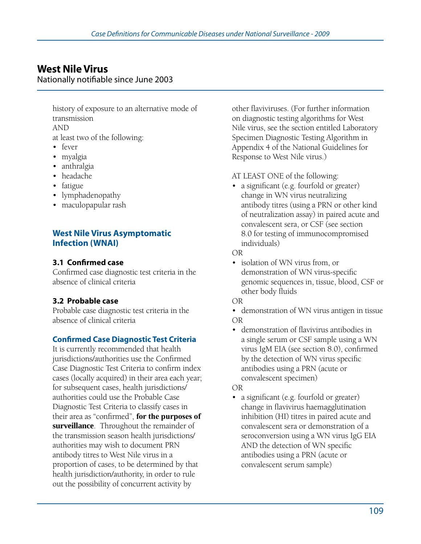Nationally notifiable since June 2003

history of exposure to an alternative mode of transmission AND

at least two of the following:

- fever
- myalgia
- anthralgia
- headache
- fatigue
- lymphadenopathy
- • maculopapular rash

#### **West Nile Virus Asymptomatic Infection (WNAI)**

#### **3.1 Confirmed case**

Confirmed case diagnostic test criteria in the absence of clinical criteria

#### **3.2 Probable case**

Probable case diagnostic test criteria in the absence of clinical criteria

#### **Confirmed Case Diagnostic Test Criteria**

It is currently recommended that health jurisdictions/authorities use the Confirmed Case Diagnostic Test Criteria to confirm index cases (locally acquired) in their area each year; for subsequent cases, health jurisdictions/ authorities could use the Probable Case Diagnostic Test Criteria to classify cases in their area as "confirmed", **for the purposes of surveillance**. Throughout the remainder of the transmission season health jurisdictions/ authorities may wish to document PRN antibody titres to West Nile virus in a proportion of cases, to be determined by that health jurisdiction/authority, in order to rule out the possibility of concurrent activity by

other flaviviruses. (For further information on diagnostic testing algorithms for West Nile virus, see the section entitled Laboratory Specimen Diagnostic Testing Algorithm in Appendix 4 of the National Guidelines for Response to West Nile virus.)

AT LEAST ONE of the following:

• a significant (e.g. fourfold or greater) change in WN virus neutralizing antibody titres (using a PRN or other kind of neutralization assay) in paired acute and convalescent sera, or CSF (see section 8.0 for testing of immunocompromised individuals)

#### OR

- isolation of WN virus from, or demonstration of WN virus-specific genomic sequences in, tissue, blood, CSF or other body fluids
- OR
- demonstration of WN virus antigen in tissue OR
- demonstration of flavivirus antibodies in a single serum or CSF sample using a WN virus IgM EIA (see section 8.0), confirmed by the detection of WN virus specific antibodies using a PRN (acute or convalescent specimen)

#### OR

• a significant (e.g. fourfold or greater) change in flavivirus haemagglutination inhibition (HI) titres in paired acute and convalescent sera or demonstration of a seroconversion using a WN virus IgG EIA AND the detection of WN specific antibodies using a PRN (acute or convalescent serum sample)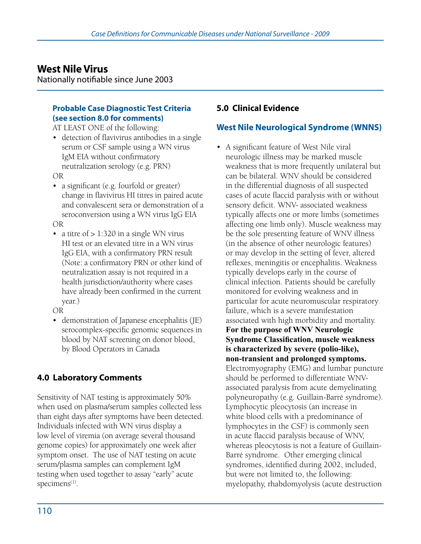Nationally notifiable since June 2003

#### **Probable Case Diagnostic Test Criteria (see section 8.0 for comments)**

AT LEAST ONE of the following:

- detection of flavivirus antibodies in a single serum or CSF sample using a WN virus IgM EIA without confirmatory neutralization serology (e.g. PRN) OR
- a significant (e.g. fourfold or greater) change in flavivirus HI titres in paired acute and convalescent sera or demonstration of a seroconversion using a WN virus IgG EIA

OR

• a titre of  $> 1:320$  in a single WN virus HI test or an elevated titre in a WN virus IgG EIA, with a confirmatory PRN result (Note: a confirmatory PRN or other kind of neutralization assay is not required in a health jurisdiction/authority where cases have already been confirmed in the current year.)

OR

• demonstration of Japanese encephalitis (JE) serocomplex-specific genomic sequences in blood by NAT screening on donor blood, by Blood Operators in Canada

## **4.0 Laboratory Comments**

Sensitivity of NAT testing is approximately 50% when used on plasma/serum samples collected less than eight days after symptoms have been detected. Individuals infected with WN virus display a low level of viremia (on average several thousand genome copies) for approximately one week after symptom onset. The use of NAT testing on acute serum/plasma samples can complement IgM testing when used together to assay "early" acute specimens<sup>(1)</sup>.

#### **5.0 Clinical Evidence**

### **West Nile Neurological Syndrome (WNNS)**

• A significant feature of West Nile viral neurologic illness may be marked muscle weakness that is more frequently unilateral but can be bilateral. WNV should be considered in the differential diagnosis of all suspected cases of acute flaccid paralysis with or without sensory deficit. WNV- associated weakness typically affects one or more limbs (sometimes affecting one limb only). Muscle weakness may be the sole presenting feature of WNV illness (in the absence of other neurologic features) or may develop in the setting of fever, altered reflexes, meningitis or encephalitis. Weakness typically develops early in the course of clinical infection. Patients should be carefully monitored for evolving weakness and in particular for acute neuromuscular respiratory failure, which is a severe manifestation associated with high morbidity and mortality. **For the purpose of WNV Neurologic Syndrome Classification, muscle weakness is characterized by severe (polio-like), non-transient and prolonged symptoms.**  Electromyography (EMG) and lumbar puncture should be performed to differentiate WNVassociated paralysis from acute demyelinating polyneuropathy (e.g. Guillain-Barré syndrome). Lymphocytic pleocytosis (an increase in white blood cells with a predominance of lymphocytes in the CSF) is commonly seen in acute flaccid paralysis because of WNV, whereas pleocytosis is not a feature of Guillain-Barré syndrome. Other emerging clinical syndromes, identified during 2002, included, but were not limited to, the following: myelopathy, rhabdomyolysis (acute destruction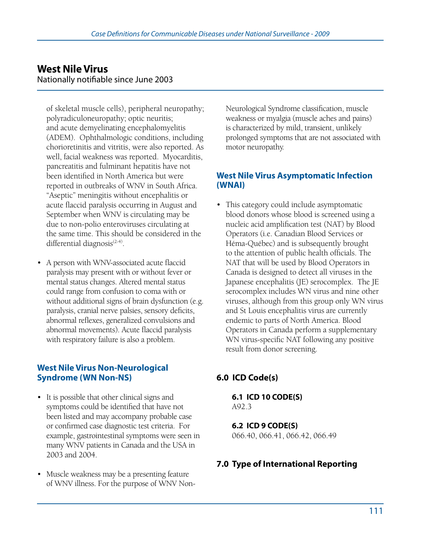### **West Nile Virus** Nationally notifiable since June 2003

of skeletal muscle cells), peripheral neuropathy; polyradiculoneuropathy; optic neuritis; and acute demyelinating encephalomyelitis (ADEM). Ophthalmologic conditions, including chorioretinitis and vitritis, were also reported. As well, facial weakness was reported. Myocarditis, pancreatitis and fulminant hepatitis have not been identified in North America but were reported in outbreaks of WNV in South Africa. "Aseptic" meningitis without encephalitis or acute flaccid paralysis occurring in August and September when WNV is circulating may be due to non-polio enteroviruses circulating at the same time. This should be considered in the differential diagnosis $(2-4)$ .

• A person with WNV-associated acute flaccid paralysis may present with or without fever or mental status changes. Altered mental status could range from confusion to coma with or without additional signs of brain dysfunction (e.g. paralysis, cranial nerve palsies, sensory deficits, abnormal reflexes, generalized convulsions and abnormal movements). Acute flaccid paralysis with respiratory failure is also a problem.

#### **West Nile Virus Non-Neurological Syndrome (WN Non-NS)**

- It is possible that other clinical signs and symptoms could be identified that have not been listed and may accompany probable case or confirmed case diagnostic test criteria. For example, gastrointestinal symptoms were seen in many WNV patients in Canada and the USA in 2003 and 2004.
- Muscle weakness may be a presenting feature of WNV illness. For the purpose of WNV Non-

Neurological Syndrome classification, muscle weakness or myalgia (muscle aches and pains) is characterized by mild, transient, unlikely prolonged symptoms that are not associated with motor neuropathy.

#### **West Nile Virus Asymptomatic Infection (WNAI)**

• This category could include asymptomatic blood donors whose blood is screened using a nucleic acid amplification test (NAT) by Blood Operators (i.e. Canadian Blood Services or Héma-Québec) and is subsequently brought to the attention of public health officials. The NAT that will be used by Blood Operators in Canada is designed to detect all viruses in the Japanese encephalitis (JE) serocomplex. The JE serocomplex includes WN virus and nine other viruses, although from this group only WN virus and St Louis encephalitis virus are currently endemic to parts of North America. Blood Operators in Canada perform a supplementary WN virus-specific NAT following any positive result from donor screening.

## **6.0 ICD Code(s)**

**6.1 ICD 10 CODE(S)**  A92.3

#### **6.2 ICD 9 CODE(S)**  066.40, 066.41, 066.42, 066.49

#### **7.0 Type of International Reporting**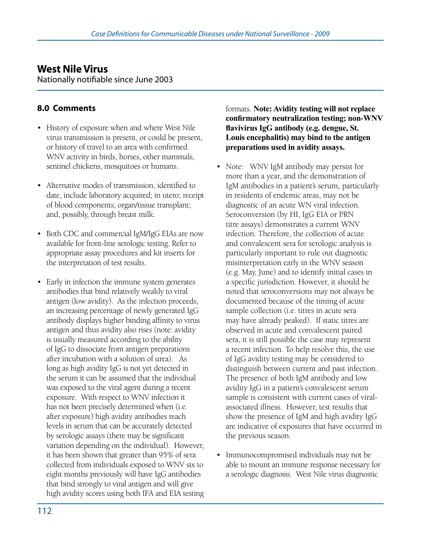Nationally notifiable since June 2003

### **8.0 Comments**

- History of exposure when and where West Nile virus transmission is present, or could be present, or history of travel to an area with confirmed WNV activity in birds, horses, other mammals, sentinel chickens, mosquitoes or humans.
- Alternative modes of transmission, identified to date, include laboratory acquired; in utero; receipt of blood components; organ/tissue transplant; and, possibly, through breast milk.
- Both CDC and commercial IgM/IgG EIAs are now available for front-line serologic testing. Refer to appropriate assay procedures and kit inserts for the interpretation of test results.
- Early in infection the immune system generates antibodies that bind relatively weakly to viral antigen (low avidity). As the infection proceeds, an increasing percentage of newly generated IgG antibody displays higher binding affinity to virus antigen and thus avidity also rises (note: avidity is usually measured according to the ability of IgG to dissociate from antigen preparations after incubation with a solution of urea). As long as high avidity IgG is not yet detected in the serum it can be assumed that the individual was exposed to the viral agent during a recent exposure. With respect to WNV infection it has not been precisely determined when (i.e. after exposure) high avidity antibodies reach levels in serum that can be accurately detected by serologic assays (there may be significant variation depending on the individual). However, it has been shown that greater than 95% of sera collected from individuals exposed to WNV six to eight months previously will have IgG antibodies that bind strongly to viral antigen and will give high avidity scores using both IFA and EIA testing

#### formats. **Note: Avidity testing will not replace confirmatory neutralization testing; non-WNV flavivirus IgG antibody (e.g. dengue, St. Louis encephalitis) may bind to the antigen preparations used in avidity assays.**

- Note: WNV IgM antibody may persist for more than a year, and the demonstration of IgM antibodies in a patient's serum, particularly in residents of endemic areas, may not be diagnostic of an acute WN viral infection. Seroconversion (by HI, IgG EIA or PRN titre assays) demonstrates a current WNV infection. Therefore, the collection of acute and convalescent sera for serologic analysis is particularly important to rule out diagnostic misinterpretation early in the WNV season (e.g. May, June) and to identify initial cases in a specific jurisdiction. However, it should be noted that seroconversions may not always be documented because of the timing of acute sample collection (i.e. titres in acute sera may have already peaked). If static titres are observed in acute and convalescent paired sera, it is still possible the case may represent a recent infection. To help resolve this, the use of IgG avidity testing may be considered to distinguish between current and past infection. The presence of both IgM antibody and low avidity IgG in a patient's convalescent serum sample is consistent with current cases of viralassociated illness. However, test results that show the presence of IgM and high avidity IgG are indicative of exposures that have occurred in the previous season.
- Immunocompromised individuals may not be able to mount an immune response necessary for a serologic diagnosis. West Nile virus diagnostic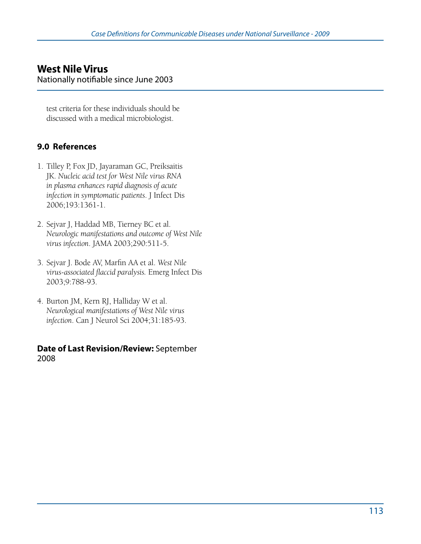#### **West Nile Virus** Nationally notifiable since June 2003

test criteria for these individuals should be discussed with a medical microbiologist.

### **9.0 References**

- 1. Tilley P, Fox JD, Jayaraman GC, Preiksaitis JK. *Nucleic acid test for West Nile virus RNA in plasma enhances rapid diagnosis of acute infection in symptomatic patients*. J Infect Dis 2006;193:1361-1.
- 2. Sejvar J, Haddad MB, Tierney BC et al. *Neurologic manifestations and outcome of West Nile virus infection*. JAMA 2003;290:511-5.
- 3. Sejvar J. Bode AV, Marfin AA et al. *West Nile virus-associated flaccid paralysis.* Emerg Infect Dis 2003;9:788-93.
- 4. Burton JM, Kern RJ, Halliday W et al. *Neurological manifestations of West Nile virus infection*. Can J Neurol Sci 2004;31:185-93.

#### **Date of Last Revision/Review:** September 2008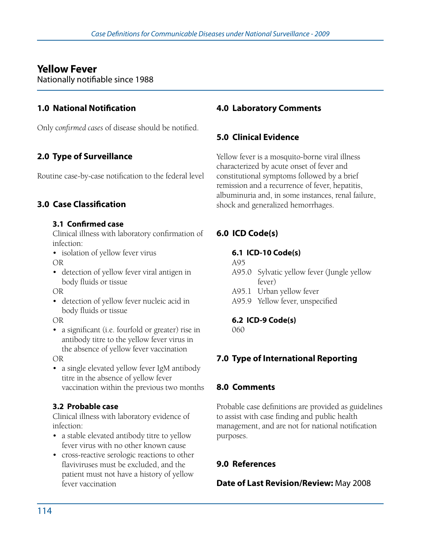# **Yellow Fever**

Nationally notifiable since 1988

### **1.0 National Notification**

Only c*onfirmed cases* of disease should be notified.

## **2.0 Type of Surveillance**

Routine case-by-case notification to the federal level

### **3.0 Case Classification**

#### **3.1 Confirmed case**

Clinical illness with laboratory confirmation of infection:

• isolation of yellow fever virus OR

• detection of yellow fever viral antigen in body fluids or tissue

OR

• detection of yellow fever nucleic acid in body fluids or tissue

OR

• a significant (i.e. fourfold or greater) rise in antibody titre to the yellow fever virus in the absence of yellow fever vaccination

OR

• a single elevated yellow fever IgM antibody titre in the absence of yellow fever vaccination within the previous two months

#### **3.2 Probable case**

Clinical illness with laboratory evidence of infection:

- a stable elevated antibody titre to yellow fever virus with no other known cause
- cross-reactive serologic reactions to other flaviviruses must be excluded, and the patient must not have a history of yellow fever vaccination

### **4.0 Laboratory Comments**

### **5.0 Clinical Evidence**

Yellow fever is a mosquito-borne viral illness characterized by acute onset of fever and constitutional symptoms followed by a brief remission and a recurrence of fever, hepatitis, albuminuria and, in some instances, renal failure, shock and generalized hemorrhages.

## **6.0 ICD Code(s)**

#### **6.1 ICD-10 Code(s)**

A95

- A95.0 Sylvatic yellow fever (Jungle yellow fever)
- A95.1 Urban yellow fever
- A95.9 Yellow fever, unspecified

#### **6.2 ICD-9 Code(s)**

060

## **7.0 Type of International Reporting**

### **8.0 Comments**

Probable case definitions are provided as guidelines to assist with case finding and public health management, and are not for national notification purposes.

### **9.0 References**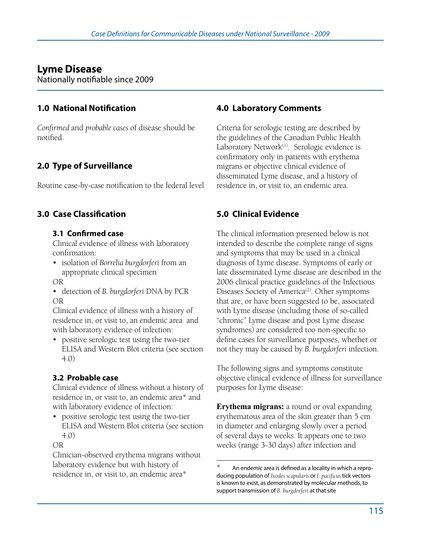# **Lyme Disease**

Nationally notifiable since 2009

### **1.0 National Notification**

*Confirmed* and *probable cases* of disease should be notified.

# **2.0 Type of Surveillance**

Routine case-by-case notification to the federal level

## **3.0 Case Classification**

#### **3.1 Confirmed case**

Clinical evidence of illness with laboratory confirmation:

- • isolation of *Borrelia burgdorferi* from an appropriate clinical specimen
- OR
- • detection of *B. burgdorferi* DNA by PCR OR

Clinical evidence of illness with a history of residence in, or visit to, an endemic area and with laboratory evidence of infection:

• positive serologic test using the two-tier ELISA and Western Blot criteria (see section 4.0)

### **3.2 Probable case**

Clinical evidence of illness without a history of residence in, or visit to, an endemic area\* and with laboratory evidence of infection:

• positive serologic test using the two-tier ELISA and Western Blot criteria (see section 4.0)

#### OR

Clinician-observed erythema migrans without laboratory evidence but with history of residence in, or visit to, an endemic area\*

## **4.0 Laboratory Comments**

Criteria for serologic testing are described by the guidelines of the Canadian Public Health Laboratory Network<sup>(1)</sup>. Serologic evidence is confirmatory only in patients with erythema migrans or objective clinical evidence of disseminated Lyme disease, and a history of residence in, or visit to, an endemic area.

# **5.0 Clinical Evidence**

The clinical information presented below is not intended to describe the complete range of signs and symptoms that may be used in a clinical diagnosis of Lyme disease. Symptoms of early or late disseminated Lyme disease are described in the 2006 clinical practice guidelines of the Infectious Diseases Society of America<sup>(2)</sup>. Other symptoms that are, or have been suggested to be, associated with Lyme disease (including those of so-called "chronic" Lyme disease and post Lyme disease syndromes) are considered too non-specific to define cases for surveillance purposes, whether or not they may be caused by *B. burgdorferi* infection.

The following signs and symptoms constitute objective clinical evidence of illness for surveillance purposes for Lyme disease:

**Erythema migrans:** a round or oval expanding erythematous area of the skin greater than 5 cm in diameter and enlarging slowly over a period of several days to weeks. It appears one to two weeks (range 3-30 days) after infection and

An endemic area is defined as a locality in which a reproducing population of *Ixodes scapularis* or *I. pacificus* tick vectors is known to exist, as demonstrated by molecular methods, to support transmission of *B. burgdorferi* at that site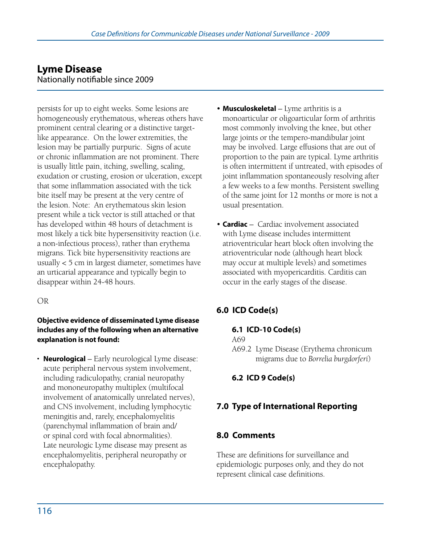### **Lyme Disease** Nationally notifiable since 2009

persists for up to eight weeks. Some lesions are homogeneously erythematous, whereas others have prominent central clearing or a distinctive targetlike appearance. On the lower extremities, the lesion may be partially purpuric. Signs of acute or chronic inflammation are not prominent. There is usually little pain, itching, swelling, scaling, exudation or crusting, erosion or ulceration, except that some inflammation associated with the tick bite itself may be present at the very centre of the lesion. Note: An erythematous skin lesion present while a tick vector is still attached or that has developed within 48 hours of detachment is most likely a tick bite hypersensitivity reaction (i.e. a non-infectious process), rather than erythema migrans. Tick bite hypersensitivity reactions are usually < 5 cm in largest diameter, sometimes have an urticarial appearance and typically begin to disappear within 24-48 hours.

#### OR

#### **Objective evidence of disseminated Lyme disease includes any of the following when an alternative explanation is not found:**

• **Neurological** – Early neurological Lyme disease: acute peripheral nervous system involvement, including radiculopathy, cranial neuropathy and mononeuropathy multiplex (multifocal involvement of anatomically unrelated nerves), and CNS involvement, including lymphocytic meningitis and, rarely, encephalomyelitis (parenchymal inflammation of brain and/ or spinal cord with focal abnormalities). Late neurologic Lyme disease may present as encephalomyelitis, peripheral neuropathy or encephalopathy.

- • **Musculoskeletal** Lyme arthritis is a monoarticular or oligoarticular form of arthritis most commonly involving the knee, but other large joints or the tempero-mandibular joint may be involved. Large effusions that are out of proportion to the pain are typical. Lyme arthritis is often intermittent if untreated, with episodes of joint inflammation spontaneously resolving after a few weeks to a few months. Persistent swelling of the same joint for 12 months or more is not a usual presentation.
- • **Cardiac** Cardiac involvement associated with Lyme disease includes intermittent atrioventricular heart block often involving the atrioventricular node (although heart block may occur at multiple levels) and sometimes associated with myopericarditis. Carditis can occur in the early stages of the disease.

## **6.0 ICD Code(s)**

#### **6.1 ICD-10 Code(s)**

A69

A69.2 Lyme Disease (Erythema chronicum migrams due to *Borrelia burgdorferi*)

#### **6.2 ICD 9 Code(s)**

### **7.0 Type of International Reporting**

#### **8.0 Comments**

These are definitions for surveillance and epidemiologic purposes only, and they do not represent clinical case definitions.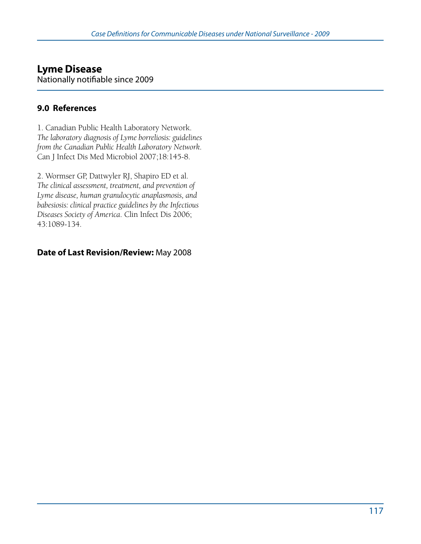#### **Lyme Disease** Nationally notifiable since 2009

### **9.0 References**

1. Canadian Public Health Laboratory Network. *The laboratory diagnosis of Lyme borreliosis: guidelines from the Canadian Public Health Laboratory Network*. Can J Infect Dis Med Microbiol 2007;18:145-8.

2. Wormser GP, Dattwyler RJ, Shapiro ED et al. *The clinical assessment, treatment, and prevention of Lyme disease, human granulocytic anaplasmosis, and babesiosis: clinical practice guidelines by the Infectious Diseases Society of America*. Clin Infect Dis 2006; 43:1089-134.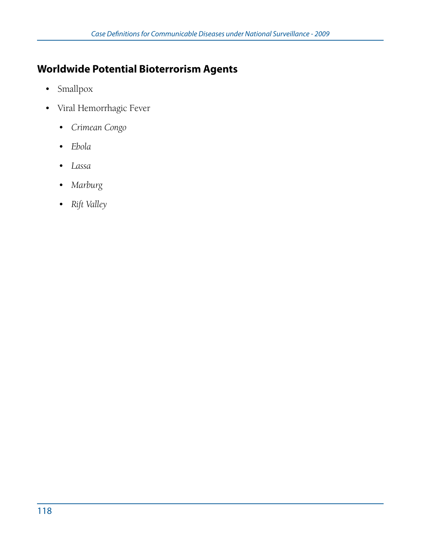# **Worldwide Potential Bioterrorism Agents**

- Smallpox
- • Viral Hemorrhagic Fever
	- • *Crimean Congo*
	- • *Ebola*
	- • *Lassa*
	- • *Marburg*
	- • *Rift Valley*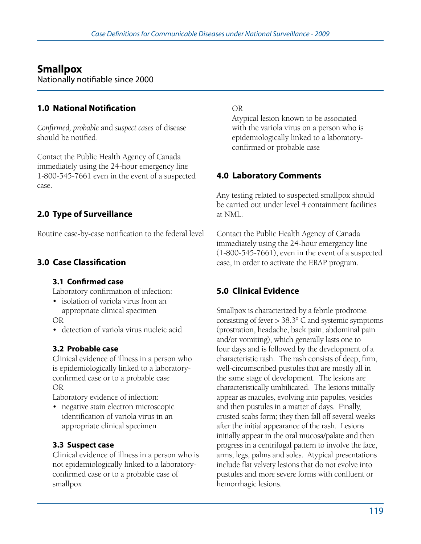# **Smallpox**

Nationally notifiable since 2000

## **1.0 National Notification**

*Confirmed, probable* and *suspect cases* of disease should be notified.

Contact the Public Health Agency of Canada immediately using the 24-hour emergency line 1-800-545-7661 even in the event of a suspected case.

## **2.0 Type of Surveillance**

Routine case-by-case notification to the federal level

## **3.0 Case Classification**

#### **3.1 Confirmed case**

Laboratory confirmation of infection:

• isolation of variola virus from an appropriate clinical specimen

OR

• detection of variola virus nucleic acid

#### **3.2 Probable case**

Clinical evidence of illness in a person who is epidemiologically linked to a laboratoryconfirmed case or to a probable case OR

Laboratory evidence of infection:

• negative stain electron microscopic identification of variola virus in an appropriate clinical specimen

#### **3.3 Suspect case**

Clinical evidence of illness in a person who is not epidemiologically linked to a laboratoryconfirmed case or to a probable case of smallpox

#### OR

Atypical lesion known to be associated with the variola virus on a person who is epidemiologically linked to a laboratoryconfirmed or probable case

### **4.0 Laboratory Comments**

Any testing related to suspected smallpox should be carried out under level 4 containment facilities at NML.

Contact the Public Health Agency of Canada immediately using the 24-hour emergency line (1-800-545-7661), even in the event of a suspected case, in order to activate the ERAP program.

## **5.0 Clinical Evidence**

Smallpox is characterized by a febrile prodrome consisting of fever > 38.3° C and systemic symptoms (prostration, headache, back pain, abdominal pain and/or vomiting), which generally lasts one to four days and is followed by the development of a characteristic rash. The rash consists of deep, firm, well-circumscribed pustules that are mostly all in the same stage of development. The lesions are characteristically umbilicated. The lesions initially appear as macules, evolving into papules, vesicles and then pustules in a matter of days. Finally, crusted scabs form; they then fall off several weeks after the initial appearance of the rash. Lesions initially appear in the oral mucosa/palate and then progress in a centrifugal pattern to involve the face, arms, legs, palms and soles. Atypical presentations include flat velvety lesions that do not evolve into pustules and more severe forms with confluent or hemorrhagic lesions.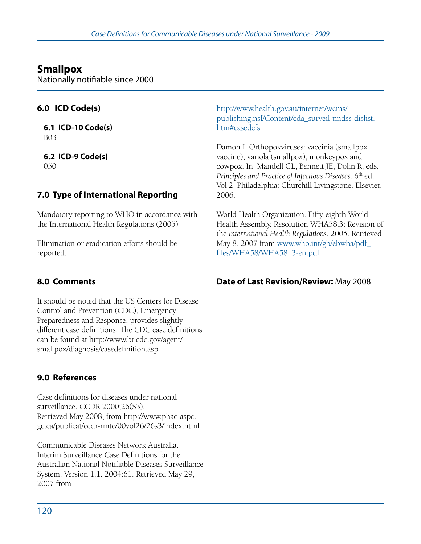# **Smallpox**

Nationally notifiable since 2000

## **6.0 ICD Code(s)**

**6.1 ICD-10 Code(s)**  B03

**6.2 ICD-9 Code(s)**  050

## **7.0 Type of International Reporting**

Mandatory reporting to WHO in accordance with the International Health Regulations (2005)

Elimination or eradication efforts should be reported.

## **8.0 Comments**

It should be noted that the US Centers for Disease Control and Prevention (CDC), Emergency Preparedness and Response, provides slightly different case definitions. The CDC case definitions can be found at http://www.bt.cdc.gov/agent/ smallpox/diagnosis/casedefinition.asp

## **9.0 References**

Case definitions for diseases under national surveillance. CCDR 2000;26(S3). Retrieved May 2008, from http://www.phac-aspc. gc.ca/publicat/ccdr-rmtc/00vol26/26s3/index.html

Communicable Diseases Network Australia. Interim Surveillance Case Definitions for the Australian National Notifiable Diseases Surveillance System. Version 1.1. 2004:61. Retrieved May 29, 2007 from

http://www.health.gov.au/internet/wcms/ publishing.nsf/Content/cda\_surveil-nndss-dislist. htm#casedefs

Damon I. Orthopoxviruses: vaccinia (smallpox vaccine), variola (smallpox), monkeypox and cowpox. In: Mandell GL, Bennett JE, Dolin R, eds. *Principles and Practice of Infectious Diseases.* 6<sup>th</sup> ed. Vol 2. Philadelphia: Churchill Livingstone. Elsevier, 2006.

World Health Organization. Fifty-eighth World Health Assembly. Resolution WHA58.3: Revision of the *International Health Regulations*. 2005. Retrieved May 8, 2007 from www.who.int/gb/ebwha/pdf\_ files/WHA58/WHA58\_3-en.pdf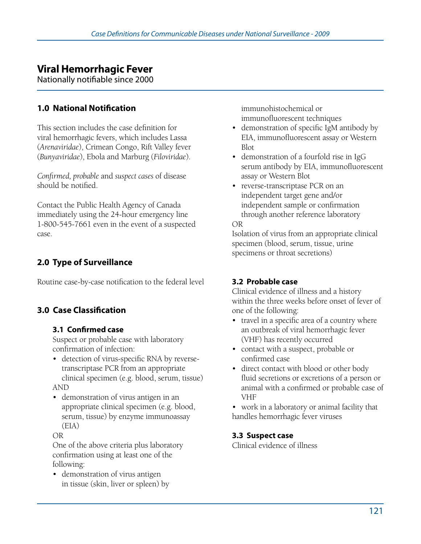# **Viral Hemorrhagic Fever**

Nationally notifiable since 2000

### **1.0 National Notification**

This section includes the case definition for viral hemorrhagic fevers, which includes Lassa (*Arenaviridae*), Crimean Congo, Rift Valley fever (*Bunyaviridae*), Ebola and Marburg (*Filoviridae*).

*Confirmed, probable* and *suspect cases* of disease should be notified.

Contact the Public Health Agency of Canada immediately using the 24-hour emergency line 1-800-545-7661 even in the event of a suspected case.

## **2.0 Type of Surveillance**

Routine case-by-case notification to the federal level

### **3.0 Case Classification**

#### **3.1 Confirmed case**

Suspect or probable case with laboratory confirmation of infection:

- • detection of virus-specific RNA by reversetranscriptase PCR from an appropriate clinical specimen (e.g. blood, serum, tissue) AND
- demonstration of virus antigen in an appropriate clinical specimen (e.g. blood, serum, tissue) by enzyme immunoassay (EIA)

#### OR

One of the above criteria plus laboratory confirmation using at least one of the following:

• demonstration of virus antigen in tissue (skin, liver or spleen) by immunohistochemical or immunofluorescent techniques

- demonstration of specific IgM antibody by EIA, immunofluorescent assay or Western Blot
- demonstration of a fourfold rise in IgG serum antibody by EIA, immunofluorescent assay or Western Blot
- reverse-transcriptase PCR on an independent target gene and/or independent sample or confirmation through another reference laboratory OR

Isolation of virus from an appropriate clinical specimen (blood, serum, tissue, urine specimens or throat secretions)

#### **3.2 Probable case**

Clinical evidence of illness and a history within the three weeks before onset of fever of one of the following:

- travel in a specific area of a country where an outbreak of viral hemorrhagic fever (VHF) has recently occurred
- contact with a suspect, probable or confirmed case
- direct contact with blood or other body fluid secretions or excretions of a person or animal with a confirmed or probable case of VHF

• work in a laboratory or animal facility that handles hemorrhagic fever viruses

#### **3.3 Suspect case**

Clinical evidence of illness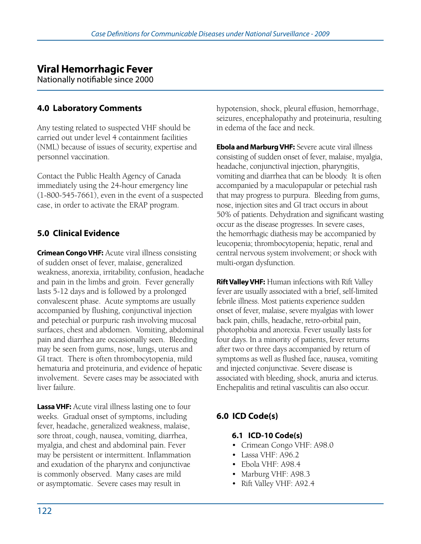# **Viral Hemorrhagic Fever**

Nationally notifiable since 2000

## **4.0 Laboratory Comments**

Any testing related to suspected VHF should be carried out under level 4 containment facilities (NML) because of issues of security, expertise and personnel vaccination.

Contact the Public Health Agency of Canada immediately using the 24-hour emergency line (1-800-545-7661), even in the event of a suspected case, in order to activate the ERAP program.

## **5.0 Clinical Evidence**

**Crimean Congo VHF:** Acute viral illness consisting of sudden onset of fever, malaise, generalized weakness, anorexia, irritability, confusion, headache and pain in the limbs and groin. Fever generally lasts 5-12 days and is followed by a prolonged convalescent phase. Acute symptoms are usually accompanied by flushing, conjunctival injection and petechial or purpuric rash involving mucosal surfaces, chest and abdomen. Vomiting, abdominal pain and diarrhea are occasionally seen. Bleeding may be seen from gums, nose, lungs, uterus and GI tract. There is often thrombocytopenia, mild hematuria and proteinuria, and evidence of hepatic involvement. Severe cases may be associated with liver failure.

**Lassa VHF:** Acute viral illness lasting one to four weeks. Gradual onset of symptoms, including fever, headache, generalized weakness, malaise, sore throat, cough, nausea, vomiting, diarrhea, myalgia, and chest and abdominal pain. Fever may be persistent or intermittent. Inflammation and exudation of the pharynx and conjunctivae is commonly observed. Many cases are mild or asymptomatic. Severe cases may result in

hypotension, shock, pleural effusion, hemorrhage, seizures, encephalopathy and proteinuria, resulting in edema of the face and neck.

**Ebola and Marburg VHF:** Severe acute viral illness consisting of sudden onset of fever, malaise, myalgia, headache, conjunctival injection, pharyngitis, vomiting and diarrhea that can be bloody. It is often accompanied by a maculopapular or petechial rash that may progress to purpura. Bleeding from gums, nose, injection sites and GI tract occurs in about 50% of patients. Dehydration and significant wasting occur as the disease progresses. In severe cases, the hemorrhagic diathesis may be accompanied by leucopenia; thrombocytopenia; hepatic, renal and central nervous system involvement; or shock with multi-organ dysfunction.

**Rift Valley VHF:** Human infections with Rift Valley fever are usually associated with a brief, self-limited febrile illness. Most patients experience sudden onset of fever, malaise, severe myalgias with lower back pain, chills, headache, retro-orbital pain, photophobia and anorexia. Fever usually lasts for four days. In a minority of patients, fever returns after two or three days accompanied by return of symptoms as well as flushed face, nausea, vomiting and injected conjunctivae. Severe disease is associated with bleeding, shock, anuria and icterus. Enchepalitis and retinal vasculitis can also occur.

## **6.0 ICD Code(s)**

#### **6.1 ICD-10 Code(s)**

- Crimean Congo VHF: A98.0
- Lassa VHF: A96.2
- • Ebola VHF: A98.4
- Marburg VHF: A98.3
- Rift Valley VHF: A92.4